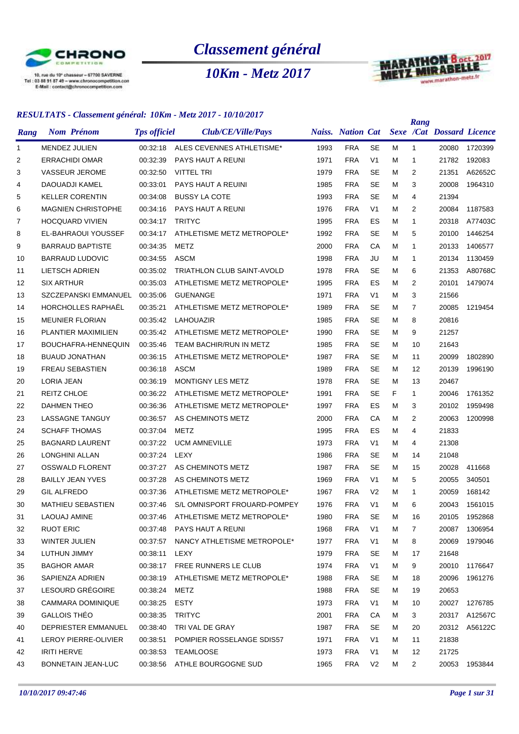

*Classement général*

*10Km - Metz 2017*



|      | <u>RESULTATS - Clussement general. TURM - Metz 2017 - TU/TU/2017</u> |                     |                                     |      |                          |                |   | Rang           |                                  |               |
|------|----------------------------------------------------------------------|---------------------|-------------------------------------|------|--------------------------|----------------|---|----------------|----------------------------------|---------------|
| Rang | <b>Nom Prénom</b>                                                    | <b>Tps officiel</b> | Club/CE/Ville/Pays                  |      | <b>Naiss.</b> Nation Cat |                |   |                | <b>Sexe /Cat Dossard Licence</b> |               |
| 1    | MENDEZ JULIEN                                                        | 00:32:18            | ALES CEVENNES ATHLETISME*           | 1993 | <b>FRA</b>               | <b>SE</b>      | м | 1              | 20080                            | 1720399       |
| 2    | <b>ERRACHIDI OMAR</b>                                                | 00:32:39            | PAYS HAUT A REUNI                   | 1971 | <b>FRA</b>               | V <sub>1</sub> | м | 1              | 21782                            | 192083        |
| 3    | <b>VASSEUR JEROME</b>                                                | 00:32:50            | <b>VITTEL TRI</b>                   | 1979 | <b>FRA</b>               | <b>SE</b>      | м | $\overline{2}$ | 21351                            | A62652C       |
| 4    | DAOUADJI KAMEL                                                       | 00:33:01            | PAYS HAUT A REUINI                  | 1985 | <b>FRA</b>               | <b>SE</b>      | М | 3              | 20008                            | 1964310       |
| 5    | <b>KELLER CORENTIN</b>                                               | 00:34:08            | <b>BUSSY LA COTE</b>                | 1993 | <b>FRA</b>               | <b>SE</b>      | м | 4              | 21394                            |               |
| 6    | <b>MAGNIEN CHRISTOPHE</b>                                            | 00:34:16            | PAYS HAUT A REUNI                   | 1976 | <b>FRA</b>               | V <sub>1</sub> | М | 2              | 20084                            | 1187583       |
| 7    | <b>HOCQUARD VIVIEN</b>                                               | 00:34:17            | <b>TRITYC</b>                       | 1995 | <b>FRA</b>               | ES             | М | $\mathbf{1}$   | 20318                            | A77403C       |
| 8    | EL-BAHRAOUI YOUSSEF                                                  | 00:34:17            | ATHLETISME METZ METROPOLE*          | 1992 | <b>FRA</b>               | <b>SE</b>      | М | 5              | 20100                            | 1446254       |
| 9    | <b>BARRAUD BAPTISTE</b>                                              | 00:34:35            | METZ                                | 2000 | <b>FRA</b>               | СA             | м | 1              | 20133                            | 1406577       |
| 10   | <b>BARRAUD LUDOVIC</b>                                               | 00:34:55            | <b>ASCM</b>                         | 1998 | <b>FRA</b>               | JU             | м | 1              | 20134                            | 1130459       |
| 11   | <b>LIETSCH ADRIEN</b>                                                | 00:35:02            | TRIATHLON CLUB SAINT-AVOLD          | 1978 | <b>FRA</b>               | <b>SE</b>      | М | 6              | 21353                            | A80768C       |
| 12   | <b>SIX ARTHUR</b>                                                    | 00:35:03            | ATHLETISME METZ METROPOLE*          | 1995 | <b>FRA</b>               | ES             | М | 2              | 20101                            | 1479074       |
| 13   | SZCZEPANSKI EMMANUEL                                                 | 00:35:06            | <b>GUENANGE</b>                     | 1971 | <b>FRA</b>               | V <sub>1</sub> | М | 3              | 21566                            |               |
| 14   | HORCHOLLES RAPHAËL                                                   | 00:35:21            | ATHLETISME METZ METROPOLE*          | 1989 | <b>FRA</b>               | <b>SE</b>      | М | $\overline{7}$ | 20085                            | 1219454       |
| 15   | <b>MEUNIER FLORIAN</b>                                               | 00:35:42            | LAHOUAZIR                           | 1985 | <b>FRA</b>               | <b>SE</b>      | м | 8              | 20816                            |               |
| 16   | PLANTIER MAXIMILIEN                                                  | 00:35:42            | ATHLETISME METZ METROPOLE*          | 1990 | <b>FRA</b>               | <b>SE</b>      | м | 9              | 21257                            |               |
| 17   | <b>BOUCHAFRA-HENNEQUIN</b>                                           | 00:35:46            | TEAM BACHIR/RUN IN METZ             | 1985 | <b>FRA</b>               | <b>SE</b>      | М | 10             | 21643                            |               |
| 18   | <b>BUAUD JONATHAN</b>                                                | 00:36:15            | ATHLETISME METZ METROPOLE*          | 1987 | <b>FRA</b>               | <b>SE</b>      | М | 11             | 20099                            | 1802890       |
| 19   | <b>FREAU SEBASTIEN</b>                                               | 00:36:18            | <b>ASCM</b>                         | 1989 | <b>FRA</b>               | <b>SE</b>      | М | 12             | 20139                            | 1996190       |
| 20   | LORIA JEAN                                                           | 00:36:19            | <b>MONTIGNY LES METZ</b>            | 1978 | <b>FRA</b>               | <b>SE</b>      | м | 13             | 20467                            |               |
| 21   | <b>REITZ CHLOE</b>                                                   | 00:36:22            | ATHLETISME METZ METROPOLE*          | 1991 | <b>FRA</b>               | <b>SE</b>      | F | $\mathbf{1}$   | 20046                            | 1761352       |
| 22   | <b>DAHMEN THEO</b>                                                   | 00:36:36            | ATHLETISME METZ METROPOLE*          | 1997 | <b>FRA</b>               | ES             | М | 3              | 20102                            | 1959498       |
| 23   | <b>LASSAGNE TANGUY</b>                                               | 00:36:57            | AS CHEMINOTS METZ                   | 2000 | <b>FRA</b>               | CA             | М | 2              | 20063                            | 1200998       |
| 24   | <b>SCHAFF THOMAS</b>                                                 | 00:37:04            | METZ                                | 1995 | <b>FRA</b>               | ES             | М | 4              | 21833                            |               |
| 25   | <b>BAGNARD LAURENT</b>                                               | 00:37:22            | <b>UCM AMNEVILLE</b>                | 1973 | <b>FRA</b>               | V <sub>1</sub> | м | 4              | 21308                            |               |
| 26   | LONGHINI ALLAN                                                       | 00:37:24            | LEXY                                | 1986 | <b>FRA</b>               | <b>SE</b>      | м | 14             | 21048                            |               |
| 27   | <b>OSSWALD FLORENT</b>                                               | 00:37:27            | AS CHEMINOTS METZ                   | 1987 | <b>FRA</b>               | <b>SE</b>      | м | 15             | 20028                            | 411668        |
| 28   | <b>BAILLY JEAN YVES</b>                                              | 00:37:28            | AS CHEMINOTS METZ                   | 1969 | <b>FRA</b>               | V <sub>1</sub> | М | 5              | 20055                            | 340501        |
| 29   | <b>GIL ALFREDO</b>                                                   | 00:37:36            | ATHLETISME METZ METROPOLE*          | 1967 | <b>FRA</b>               | V <sub>2</sub> | м | 1              | 20059                            | 168142        |
| 30   | <b>MATHIEU SEBASTIEN</b>                                             | 00:37:46            | S/L OMNISPORT FROUARD-POMPEY        | 1976 | <b>FRA</b>               | V <sub>1</sub> | M | 6              | 20043                            | 1561015       |
| 31   | LAOUAJ AMINE                                                         |                     | 00:37:46 ATHLETISME METZ METROPOLE* | 1980 | <b>FRA</b>               | <b>SE</b>      | м | 16             | 20105                            | 1952868       |
| 32   | <b>RUOT ERIC</b>                                                     |                     | 00:37:48 PAYS HAUT A REUNI          | 1968 | <b>FRA</b>               | V <sub>1</sub> | м | $\overline{7}$ | 20087                            | 1306954       |
| 33   | WINTER JULIEN                                                        | 00:37:57            | NANCY ATHLETISME METROPOLE*         | 1977 | <b>FRA</b>               | V <sub>1</sub> | м | 8              | 20069                            | 1979046       |
| 34   | LUTHUN JIMMY                                                         | 00:38:11            | LEXY                                | 1979 | <b>FRA</b>               | <b>SE</b>      | м | 17             | 21648                            |               |
| 35   | <b>BAGHOR AMAR</b>                                                   | 00:38:17            | FREE RUNNERS LE CLUB                | 1974 | <b>FRA</b>               | V <sub>1</sub> | Μ | 9              | 20010                            | 1176647       |
| 36   | SAPIENZA ADRIEN                                                      | 00:38:19            | ATHLETISME METZ METROPOLE*          | 1988 | <b>FRA</b>               | <b>SE</b>      | м | 18             | 20096                            | 1961276       |
| 37   | LESOURD GRÉGOIRE                                                     | 00:38:24            | METZ                                | 1988 | <b>FRA</b>               | <b>SE</b>      | м | 19             | 20653                            |               |
| 38   | CAMMARA DOMINIQUE                                                    | 00:38:25            | ESTY                                | 1973 | <b>FRA</b>               | V <sub>1</sub> | м | 10             | 20027                            | 1276785       |
| 39   | GALLOIS THÉO                                                         | 00:38:35            | <b>TRITYC</b>                       | 2001 | <b>FRA</b>               | CA             | м | 3              | 20317                            | A12567C       |
| 40   | DEPRIESTER EMMANUEL                                                  | 00:38:40            | TRI VAL DE GRAY                     | 1987 | <b>FRA</b>               | <b>SE</b>      | м | 20             |                                  | 20312 A56122C |
| 41   | LEROY PIERRE-OLIVIER                                                 | 00:38:51            | POMPIER ROSSELANGE SDIS57           | 1971 | <b>FRA</b>               | V <sub>1</sub> | м | 11             | 21838                            |               |
| 42   | <b>IRITI HERVE</b>                                                   | 00:38:53            | TEAMLOOSE                           | 1973 | <b>FRA</b>               | V1             | м | 12             | 21725                            |               |
| 43   | BONNETAIN JEAN-LUC                                                   |                     | 00:38:56 ATHLE BOURGOGNE SUD        | 1965 | <b>FRA</b>               | V <sub>2</sub> | м | $\overline{a}$ |                                  | 20053 1953844 |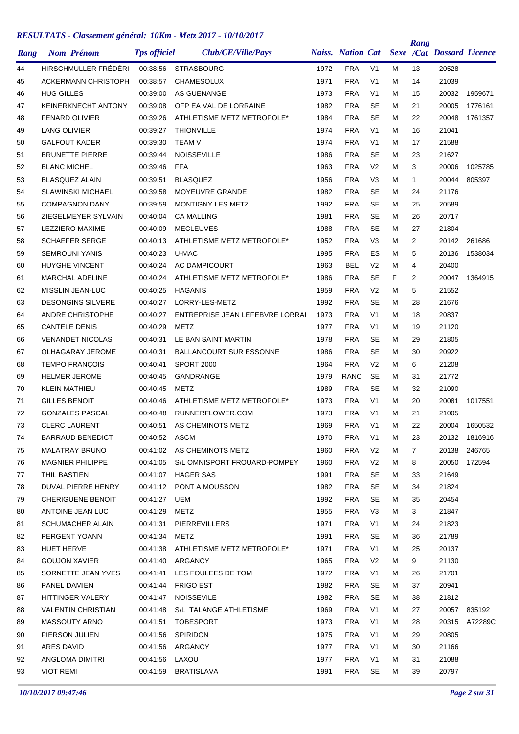| Rang | <b>Nom Prénom</b>          | <b>Tps officiel</b> | Club/CE/Ville/Pays              |      | <b>Naiss.</b> Nation Cat |                |    | Rang           | <b>Sexe /Cat Dossard Licence</b> |         |
|------|----------------------------|---------------------|---------------------------------|------|--------------------------|----------------|----|----------------|----------------------------------|---------|
| 44   | HIRSCHMULLER FRÉDÉRI       | 00:38:56            | <b>STRASBOURG</b>               | 1972 | <b>FRA</b>               | V <sub>1</sub> | М  | 13             | 20528                            |         |
| 45   | <b>ACKERMANN CHRISTOPH</b> | 00:38:57            | <b>CHAMESOLUX</b>               | 1971 | <b>FRA</b>               | V <sub>1</sub> | м  | 14             | 21039                            |         |
| 46   | <b>HUG GILLES</b>          | 00:39:00            | AS GUENANGE                     | 1973 | <b>FRA</b>               | V <sub>1</sub> | М  | 15             | 20032                            | 1959671 |
| 47   | <b>KEINERKNECHT ANTONY</b> | 00:39:08            | OFP EA VAL DE LORRAINE          | 1982 | <b>FRA</b>               | <b>SE</b>      | м  | 21             | 20005                            | 1776161 |
| 48   | <b>FENARD OLIVIER</b>      | 00:39:26            | ATHLETISME METZ METROPOLE*      | 1984 | <b>FRA</b>               | <b>SE</b>      | М  | 22             | 20048                            | 1761357 |
| 49   | <b>LANG OLIVIER</b>        | 00:39:27            | <b>THIONVILLE</b>               | 1974 | <b>FRA</b>               | V <sub>1</sub> | М  | 16             | 21041                            |         |
| 50   | <b>GALFOUT KADER</b>       | 00:39:30            | <b>TEAM V</b>                   | 1974 | <b>FRA</b>               | V <sub>1</sub> | М  | 17             | 21588                            |         |
| 51   | <b>BRUNETTE PIERRE</b>     | 00:39:44            | <b>NOISSEVILLE</b>              | 1986 | <b>FRA</b>               | <b>SE</b>      | М  | 23             | 21627                            |         |
| 52   | <b>BLANC MICHEL</b>        | 00:39:46            | <b>FFA</b>                      | 1963 | <b>FRA</b>               | V <sub>2</sub> | М  | 3              | 20006                            | 1025785 |
| 53   | <b>BLASQUEZ ALAIN</b>      | 00:39:51            | <b>BLASQUEZ</b>                 | 1956 | <b>FRA</b>               | V <sub>3</sub> | М  | $\mathbf{1}$   | 20044                            | 805397  |
| 54   | <b>SLAWINSKI MICHAEL</b>   | 00:39:58            | MOYEUVRE GRANDE                 | 1982 | <b>FRA</b>               | <b>SE</b>      | м  | 24             | 21176                            |         |
| 55   | <b>COMPAGNON DANY</b>      | 00:39:59            | MONTIGNY LES METZ               | 1992 | <b>FRA</b>               | <b>SE</b>      | м  | 25             | 20589                            |         |
| 56   | ZIEGELMEYER SYLVAIN        | 00:40:04            | <b>CA MALLING</b>               | 1981 | <b>FRA</b>               | <b>SE</b>      | М  | 26             | 20717                            |         |
| 57   | <b>LEZZIERO MAXIME</b>     | 00:40:09            | <b>MECLEUVES</b>                | 1988 | <b>FRA</b>               | <b>SE</b>      | М  | 27             | 21804                            |         |
| 58   | <b>SCHAEFER SERGE</b>      | 00:40:13            | ATHLETISME METZ METROPOLE*      | 1952 | <b>FRA</b>               | V <sub>3</sub> | М  | 2              | 20142                            | 261686  |
| 59   | <b>SEMROUNI YANIS</b>      | 00:40:23            | U-MAC                           | 1995 | <b>FRA</b>               | ES             | М  | 5              | 20136                            | 1538034 |
| 60   | <b>HUYGHE VINCENT</b>      | 00:40:24            | <b>AC DAMPICOURT</b>            | 1963 | <b>BEL</b>               | V <sub>2</sub> | М  | 4              | 20400                            |         |
| 61   | <b>MARCHAL ADELINE</b>     | 00:40:24            | ATHLETISME METZ METROPOLE*      | 1986 | <b>FRA</b>               | <b>SE</b>      | F. | $\overline{2}$ | 20047                            | 1364915 |
| 62   | MISSLIN JEAN-LUC           | 00:40:25            | <b>HAGANIS</b>                  | 1959 | <b>FRA</b>               | V <sub>2</sub> | М  | 5              | 21552                            |         |
| 63   | <b>DESONGINS SILVERE</b>   | 00:40:27            | LORRY-LES-METZ                  | 1992 | <b>FRA</b>               | <b>SE</b>      | М  | 28             | 21676                            |         |
| 64   | <b>ANDRE CHRISTOPHE</b>    | 00:40:27            | ENTREPRISE JEAN LEFEBVRE LORRAI | 1973 | <b>FRA</b>               | V <sub>1</sub> | м  | 18             | 20837                            |         |
| 65   | <b>CANTELE DENIS</b>       | 00:40:29            | <b>METZ</b>                     | 1977 | <b>FRA</b>               | V <sub>1</sub> | М  | 19             | 21120                            |         |
| 66   | <b>VENANDET NICOLAS</b>    | 00:40:31            | LE BAN SAINT MARTIN             | 1978 | <b>FRA</b>               | <b>SE</b>      | М  | 29             | 21805                            |         |
| 67   | OLHAGARAY JEROME           | 00:40:31            | <b>BALLANCOURT SUR ESSONNE</b>  | 1986 | <b>FRA</b>               | <b>SE</b>      | М  | 30             | 20922                            |         |
| 68   | <b>TEMPO FRANÇOIS</b>      | 00:40:41            | <b>SPORT 2000</b>               | 1964 | <b>FRA</b>               | V <sub>2</sub> | М  | 6              | 21208                            |         |
| 69   | <b>HELMER JEROME</b>       | 00:40:45            | GANDRANGE                       | 1979 | <b>RANC</b>              | <b>SE</b>      | М  | 31             | 21772                            |         |
| 70   | KLEIN MATHIEU              | 00:40:45            | <b>METZ</b>                     | 1989 | <b>FRA</b>               | <b>SE</b>      | М  | 32             | 21090                            |         |
| 71   | <b>GILLES BENOIT</b>       | 00:40:46            | ATHLETISME METZ METROPOLE*      | 1973 | <b>FRA</b>               | V <sub>1</sub> | м  | 20             | 20081                            | 1017551 |
| 72   | <b>GONZALES PASCAL</b>     | 00:40:48            | RUNNERFLOWER.COM                | 1973 | <b>FRA</b>               | V <sub>1</sub> | М  | 21             | 21005                            |         |
| 73   | <b>CLERC LAURENT</b>       | 00:40:51            | AS CHEMINOTS METZ               | 1969 | <b>FRA</b>               | V <sub>1</sub> | М  | 22             | 20004                            | 1650532 |
| 74   | <b>BARRAUD BENEDICT</b>    | 00:40:52 ASCM       |                                 | 1970 | <b>FRA</b>               | V <sub>1</sub> | Μ  | 23             | 20132                            | 1816916 |
| 75   | MALATRAY BRUNO             | 00:41:02            | AS CHEMINOTS METZ               | 1960 | <b>FRA</b>               | V <sub>2</sub> | м  | 7              | 20138                            | 246765  |
| 76   | <b>MAGNIER PHILIPPE</b>    | 00:41:05            | S/L OMNISPORT FROUARD-POMPEY    | 1960 | <b>FRA</b>               | V <sub>2</sub> | М  | 8              | 20050                            | 172594  |
| 77   | THIL BASTIEN               | 00:41:07            | <b>HAGER SAS</b>                | 1991 | <b>FRA</b>               | <b>SE</b>      | м  | 33             | 21649                            |         |
| 78   | DUVAL PIERRE HENRY         | 00:41:12            | PONT A MOUSSON                  | 1982 | <b>FRA</b>               | <b>SE</b>      | м  | 34             | 21824                            |         |
| 79   | <b>CHERIGUENE BENOIT</b>   | 00:41:27            | UEM                             | 1992 | <b>FRA</b>               | <b>SE</b>      | м  | 35             | 20454                            |         |
| 80   | ANTOINE JEAN LUC           | 00:41:29            | <b>METZ</b>                     | 1955 | <b>FRA</b>               | V <sub>3</sub> | Μ  | 3              | 21847                            |         |
| 81   | <b>SCHUMACHER ALAIN</b>    | 00:41:31            | <b>PIERREVILLERS</b>            | 1971 | <b>FRA</b>               | V <sub>1</sub> | м  | 24             | 21823                            |         |
| 82   | PERGENT YOANN              | 00:41:34            | METZ                            | 1991 | <b>FRA</b>               | <b>SE</b>      | м  | 36             | 21789                            |         |
| 83   | <b>HUET HERVE</b>          | 00:41:38            | ATHLETISME METZ METROPOLE*      | 1971 | FRA                      | V <sub>1</sub> | М  | 25             | 20137                            |         |
| 84   | <b>GOUJON XAVIER</b>       | 00:41:40            | ARGANCY                         | 1965 | <b>FRA</b>               | V <sub>2</sub> | М  | 9              | 21130                            |         |
| 85   | SORNETTE JEAN YVES         | 00:41:41            | LES FOULEES DE TOM              | 1972 | <b>FRA</b>               | V <sub>1</sub> | М  | 26             | 21701                            |         |
| 86   | PANEL DAMIEN               | 00:41:44            | <b>FRIGO EST</b>                | 1982 | <b>FRA</b>               | <b>SE</b>      | м  | 37             | 20941                            |         |
| 87   | HITTINGER VALERY           | 00:41:47            | <b>NOISSEVILE</b>               | 1982 | <b>FRA</b>               | <b>SE</b>      | м  | 38             | 21812                            |         |
| 88   | <b>VALENTIN CHRISTIAN</b>  | 00:41:48            | S/L TALANGE ATHLETISME          | 1969 | <b>FRA</b>               | V <sub>1</sub> | м  | 27             | 20057                            | 835192  |
| 89   | MASSOUTY ARNO              | 00:41:51            | <b>TOBESPORT</b>                | 1973 | <b>FRA</b>               | V <sub>1</sub> | м  | 28             | 20315                            | A72289C |
| 90   | PIERSON JULIEN             | 00:41:56            | SPIRIDON                        | 1975 | <b>FRA</b>               | V1             | М  | 29             | 20805                            |         |
| 91   | ARES DAVID                 | 00:41:56            | ARGANCY                         | 1977 | <b>FRA</b>               | V <sub>1</sub> | м  | 30             | 21166                            |         |
| 92   | ANGLOMA DIMITRI            | 00:41:56            | LAXOU                           | 1977 | <b>FRA</b>               | V <sub>1</sub> | м  | 31             | 21088                            |         |
| 93   | <b>VIOT REMI</b>           |                     | 00:41:59 BRATISLAVA             | 1991 | <b>FRA</b>               | SE             | М  | 39             | 20797                            |         |
|      |                            |                     |                                 |      |                          |                |    |                |                                  |         |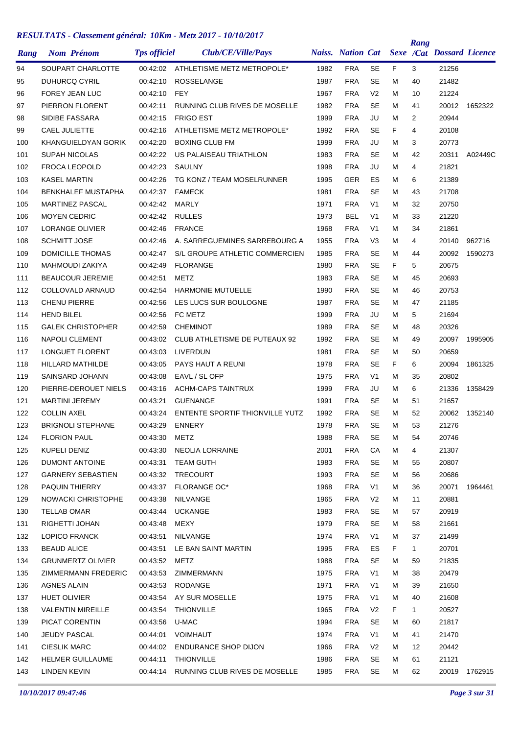| Rang | <b>Nom Prénom</b>         | <b>Tps officiel</b> | Club/CE/Ville/Pays                     |      | <b>Naiss.</b> Nation Cat |                |    | Rang         | <b>Sexe /Cat Dossard Licence</b> |               |
|------|---------------------------|---------------------|----------------------------------------|------|--------------------------|----------------|----|--------------|----------------------------------|---------------|
| 94   | SOUPART CHARLOTTE         | 00:42:02            | ATHLETISME METZ METROPOLE*             | 1982 | <b>FRA</b>               | SE             | F  | 3            | 21256                            |               |
| 95   | <b>DUHURCQ CYRIL</b>      | 00:42:10            | <b>ROSSELANGE</b>                      | 1987 | <b>FRA</b>               | <b>SE</b>      | м  | 40           | 21482                            |               |
| 96   | <b>FOREY JEAN LUC</b>     | 00:42:10            | <b>FEY</b>                             | 1967 | <b>FRA</b>               | V <sub>2</sub> | М  | 10           | 21224                            |               |
| 97   | PIERRON FLORENT           | 00:42:11            | RUNNING CLUB RIVES DE MOSELLE          | 1982 | <b>FRA</b>               | <b>SE</b>      | м  | 41           | 20012                            | 1652322       |
| 98   | SIDIBE FASSARA            | 00:42:15            | <b>FRIGO EST</b>                       | 1999 | <b>FRA</b>               | JU             | м  | 2            | 20944                            |               |
| 99   | <b>CAEL JULIETTE</b>      | 00:42:16            | ATHLETISME METZ METROPOLE*             | 1992 | <b>FRA</b>               | <b>SE</b>      | F  | 4            | 20108                            |               |
| 100  | KHANGUIELDYAN GORIK       | 00:42:20            | <b>BOXING CLUB FM</b>                  | 1999 | <b>FRA</b>               | JU             | м  | 3            | 20773                            |               |
| 101  | <b>SUPAH NICOLAS</b>      | 00:42:22            | US PALAISEAU TRIATHLON                 | 1983 | <b>FRA</b>               | SE             | м  | 42           | 20311                            | A02449C       |
| 102  | <b>FROCA LEOPOLD</b>      | 00:42:23            | SAULNY                                 | 1998 | <b>FRA</b>               | JU             | м  | 4            | 21821                            |               |
| 103  | <b>KASEL MARTIN</b>       | 00:42:26            | TG KONZ / TEAM MOSELRUNNER             | 1995 | <b>GER</b>               | ES             | М  | 6            | 21389                            |               |
| 104  | <b>BENKHALEF MUSTAPHA</b> | 00:42:37            | <b>FAMECK</b>                          | 1981 | <b>FRA</b>               | <b>SE</b>      | м  | 43           | 21708                            |               |
| 105  | <b>MARTINEZ PASCAL</b>    | 00:42:42            | MARLY                                  | 1971 | <b>FRA</b>               | V <sub>1</sub> | м  | 32           | 20750                            |               |
| 106  | <b>MOYEN CEDRIC</b>       | 00:42:42            | <b>RULLES</b>                          | 1973 | <b>BEL</b>               | V <sub>1</sub> | м  | 33           | 21220                            |               |
| 107  | LORANGE OLIVIER           | 00:42:46            | <b>FRANCE</b>                          | 1968 | <b>FRA</b>               | V <sub>1</sub> | м  | 34           | 21861                            |               |
| 108  | <b>SCHMITT JOSE</b>       | 00:42:46            | A. SARREGUEMINES SARREBOURG A          | 1955 | <b>FRA</b>               | V3             | м  | 4            | 20140                            | 962716        |
| 109  | <b>DOMICILLE THOMAS</b>   | 00:42:47            | S/L GROUPE ATHLETIC COMMERCIEN         | 1985 | <b>FRA</b>               | <b>SE</b>      | м  | 44           | 20092                            | 1590273       |
| 110  | <b>MAHMOUDI ZAKIYA</b>    | 00:42:49            | <b>FLORANGE</b>                        | 1980 | <b>FRA</b>               | <b>SE</b>      | F. | 5            | 20675                            |               |
| 111  | <b>BEAUCOUR JEREMIE</b>   | 00:42:51            | <b>METZ</b>                            | 1983 | <b>FRA</b>               | <b>SE</b>      | м  | 45           | 20693                            |               |
| 112  | COLLOVALD ARNAUD          | 00:42:54            | <b>HARMONIE MUTUELLE</b>               | 1990 | <b>FRA</b>               | <b>SE</b>      | м  | 46           | 20753                            |               |
| 113  | <b>CHENU PIERRE</b>       | 00:42:56            | LES LUCS SUR BOULOGNE                  | 1987 | <b>FRA</b>               | <b>SE</b>      | м  | 47           | 21185                            |               |
| 114  | <b>HEND BILEL</b>         | 00:42:56            | FC METZ                                | 1999 | <b>FRA</b>               | JU             | м  | 5            | 21694                            |               |
| 115  | <b>GALEK CHRISTOPHER</b>  | 00:42:59            | <b>CHEMINOT</b>                        | 1989 | <b>FRA</b>               | <b>SE</b>      | м  | 48           | 20326                            |               |
| 116  | <b>NAPOLI CLEMENT</b>     | 00:43:02            | CLUB ATHLETISME DE PUTEAUX 92          | 1992 | <b>FRA</b>               | <b>SE</b>      | м  | 49           | 20097                            | 1995905       |
| 117  | LONGUET FLORENT           | 00:43:03            | LIVERDUN                               | 1981 | <b>FRA</b>               | <b>SE</b>      | м  | 50           | 20659                            |               |
| 118  | <b>HILLARD MATHILDE</b>   | 00:43:05            | PAYS HAUT A REUNI                      | 1978 | <b>FRA</b>               | <b>SE</b>      | F  | 6            | 20094                            | 1861325       |
| 119  | SAINSARD JOHANN           | 00:43:08            | EAVL / SL OFP                          | 1975 | <b>FRA</b>               | V1             | м  | 35           | 20802                            |               |
| 120  | PIERRE-DEROUET NIELS      | 00:43:16            | <b>ACHM-CAPS TAINTRUX</b>              | 1999 | <b>FRA</b>               | JU             | М  | 6            | 21336                            | 1358429       |
| 121  | <b>MARTINI JEREMY</b>     | 00:43:21            | <b>GUENANGE</b>                        | 1991 | <b>FRA</b>               | SE             | м  | 51           | 21657                            |               |
| 122  | <b>COLLIN AXEL</b>        | 00:43:24            | ENTENTE SPORTIF THIONVILLE YUTZ        | 1992 | <b>FRA</b>               | <b>SE</b>      | м  | 52           | 20062                            | 1352140       |
| 123  | <b>BRIGNOLI STEPHANE</b>  | 00:43:29            | <b>ENNERY</b>                          | 1978 | <b>FRA</b>               | <b>SE</b>      | м  | 53           | 21276                            |               |
| 124  | <b>FLORION PAUL</b>       | 00:43:30            | METZ                                   | 1988 | <b>FRA</b>               | <b>SE</b>      | м  | 54           | 20746                            |               |
| 125  | KUPELI DENIZ              | 00:43:30            | NEOLIA LORRAINE                        | 2001 | <b>FRA</b>               | CA             | м  | 4            | 21307                            |               |
| 126  | DUMONT ANTOINE            | 00:43:31            | <b>TEAM GUTH</b>                       | 1983 | <b>FRA</b>               | SE             | м  | 55           | 20807                            |               |
| 127  | <b>GARNERY SEBASTIEN</b>  | 00:43:32            | <b>TRECOURT</b>                        | 1993 | <b>FRA</b>               | SE             | м  | 56           | 20686                            |               |
| 128  | PAQUIN THIERRY            | 00:43:37            | <b>FLORANGE OC*</b>                    | 1968 | <b>FRA</b>               | V <sub>1</sub> | м  | 36           | 20071                            | 1964461       |
| 129  | NOWACKI CHRISTOPHE        | 00:43:38            | NILVANGE                               | 1965 | <b>FRA</b>               | V <sub>2</sub> | м  | 11           | 20881                            |               |
| 130  | <b>TELLAB OMAR</b>        | 00:43:44            | <b>UCKANGE</b>                         | 1983 | <b>FRA</b>               | <b>SE</b>      | М  | 57           | 20919                            |               |
| 131  | RIGHETTI JOHAN            | 00:43:48            | MEXY                                   | 1979 | <b>FRA</b>               | <b>SE</b>      | м  | 58           | 21661                            |               |
| 132  | LOPICO FRANCK             | 00:43:51            | NILVANGE                               | 1974 | <b>FRA</b>               | V <sub>1</sub> | м  | 37           | 21499                            |               |
| 133  | <b>BEAUD ALICE</b>        | 00:43:51            | LE BAN SAINT MARTIN                    | 1995 | <b>FRA</b>               | ES             | F. | $\mathbf{1}$ | 20701                            |               |
| 134  | <b>GRUNMERTZ OLIVIER</b>  | 00:43:52            | <b>METZ</b>                            | 1988 | <b>FRA</b>               | <b>SE</b>      | м  | 59           | 21835                            |               |
| 135  | ZIMMERMANN FREDERIC       | 00:43:53            | ZIMMERMANN                             | 1975 | <b>FRA</b>               | V <sub>1</sub> | м  | 38           | 20479                            |               |
| 136  | AGNES ALAIN               | 00:43:53            | RODANGE                                | 1971 | <b>FRA</b>               | V <sub>1</sub> | м  | 39           | 21650                            |               |
| 137  | HUET OLIVIER              | 00:43:54            | AY SUR MOSELLE                         | 1975 | <b>FRA</b>               | V <sub>1</sub> | м  | 40           | 21608                            |               |
| 138  | <b>VALENTIN MIREILLE</b>  | 00:43:54            | <b>THIONVILLE</b>                      | 1965 | <b>FRA</b>               | V <sub>2</sub> | F. | $\mathbf{1}$ | 20527                            |               |
| 139  | PICAT CORENTIN            | 00:43:56            | U-MAC                                  | 1994 | <b>FRA</b>               | <b>SE</b>      | м  | 60           | 21817                            |               |
| 140  | JEUDY PASCAL              | 00:44:01            | VOIMHAUT                               | 1974 | <b>FRA</b>               | V <sub>1</sub> | м  | 41           | 21470                            |               |
| 141  | <b>CIESLIK MARC</b>       | 00:44:02            | <b>ENDURANCE SHOP DIJON</b>            | 1966 | <b>FRA</b>               | V <sub>2</sub> | м  | 12           | 20442                            |               |
| 142  | <b>HELMER GUILLAUME</b>   | 00:44:11            | <b>THIONVILLE</b>                      | 1986 | <b>FRA</b>               | <b>SE</b>      | м  | 61           | 21121                            |               |
| 143  | <b>LINDEN KEVIN</b>       |                     | 00:44:14 RUNNING CLUB RIVES DE MOSELLE | 1985 | <b>FRA</b>               | SE             | м  | 62           |                                  | 20019 1762915 |
|      |                           |                     |                                        |      |                          |                |    |              |                                  |               |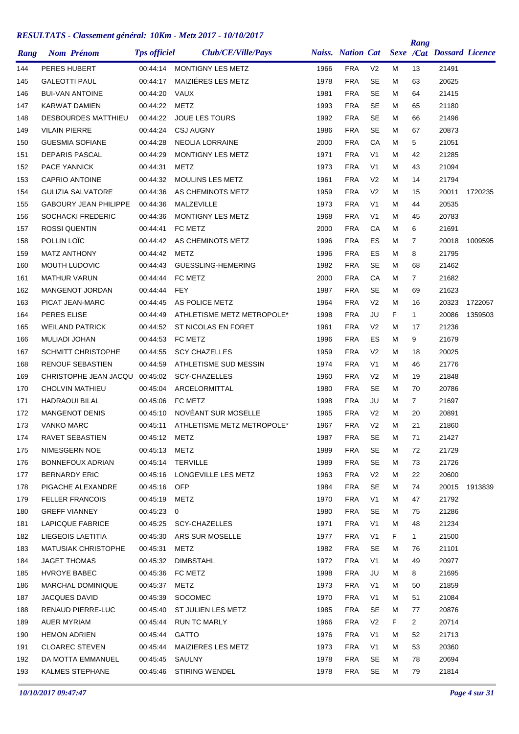| Rang | <b>Nom Prénom</b>            | <b>Tps officiel</b> | Club/CE/Ville/Pays           |      | <b>Naiss.</b> Nation Cat |                |    | Rang           | Sexe /Cat Dossard Licence |         |
|------|------------------------------|---------------------|------------------------------|------|--------------------------|----------------|----|----------------|---------------------------|---------|
| 144  | PERES HUBERT                 | 00:44:14            | <b>MONTIGNY LES METZ</b>     | 1966 | <b>FRA</b>               | V <sub>2</sub> | М  | 13             | 21491                     |         |
| 145  | <b>GALEOTTI PAUL</b>         | 00:44:17            | MAIZIÉRES LES METZ           | 1978 | <b>FRA</b>               | <b>SE</b>      | Μ  | 63             | 20625                     |         |
| 146  | <b>BUI-VAN ANTOINE</b>       | 00:44:20            | <b>VAUX</b>                  | 1981 | <b>FRA</b>               | <b>SE</b>      | М  | 64             | 21415                     |         |
| 147  | <b>KARWAT DAMIEN</b>         | 00:44:22            | <b>METZ</b>                  | 1993 | <b>FRA</b>               | <b>SE</b>      | М  | 65             | 21180                     |         |
| 148  | <b>DESBOURDES MATTHIEU</b>   | 00:44:22            | <b>JOUE LES TOURS</b>        | 1992 | <b>FRA</b>               | <b>SE</b>      | М  | 66             | 21496                     |         |
| 149  | <b>VILAIN PIERRE</b>         | 00:44:24            | <b>CSJ AUGNY</b>             | 1986 | <b>FRA</b>               | <b>SE</b>      | М  | 67             | 20873                     |         |
| 150  | <b>GUESMIA SOFIANE</b>       | 00:44:28            | <b>NEOLIA LORRAINE</b>       | 2000 | <b>FRA</b>               | СA             | Μ  | 5              | 21051                     |         |
| 151  | <b>DEPARIS PASCAL</b>        | 00:44:29            | <b>MONTIGNY LES METZ</b>     | 1971 | <b>FRA</b>               | V <sub>1</sub> | М  | 42             | 21285                     |         |
| 152  | <b>PACE YANNICK</b>          | 00:44:31            | METZ                         | 1973 | <b>FRA</b>               | V <sub>1</sub> | М  | 43             | 21094                     |         |
| 153  | <b>CAPRIO ANTOINE</b>        | 00:44:32            | <b>MOULINS LES METZ</b>      | 1961 | <b>FRA</b>               | V <sub>2</sub> | М  | 14             | 21794                     |         |
| 154  | <b>GULIZIA SALVATORE</b>     | 00:44:36            | AS CHEMINOTS METZ            | 1959 | <b>FRA</b>               | V <sub>2</sub> | М  | 15             | 20011                     | 1720235 |
| 155  | <b>GABOURY JEAN PHILIPPE</b> | 00:44:36            | MALZEVILLE                   | 1973 | <b>FRA</b>               | V <sub>1</sub> | М  | 44             | 20535                     |         |
| 156  | <b>SOCHACKI FREDERIC</b>     | 00:44:36            | <b>MONTIGNY LES METZ</b>     | 1968 | <b>FRA</b>               | V <sub>1</sub> | М  | 45             | 20783                     |         |
| 157  | <b>ROSSI QUENTIN</b>         | 00:44:41            | FC METZ                      | 2000 | <b>FRA</b>               | CA             | Μ  | 6              | 21691                     |         |
| 158  | POLLIN LOÏC                  | 00:44:42            | AS CHEMINOTS METZ            | 1996 | <b>FRA</b>               | ES             | М  | 7              | 20018                     | 1009595 |
| 159  | <b>MATZ ANTHONY</b>          | 00:44:42            | <b>METZ</b>                  | 1996 | <b>FRA</b>               | ES             | М  | 8              | 21795                     |         |
| 160  | <b>MOUTH LUDOVIC</b>         | 00:44:43            | GUESSLING-HEMERING           | 1982 | <b>FRA</b>               | <b>SE</b>      | М  | 68             | 21462                     |         |
| 161  | <b>MATHUR VARUN</b>          | 00:44:44            | FC METZ                      | 2000 | <b>FRA</b>               | СA             | М  | $\overline{7}$ | 21682                     |         |
| 162  | <b>MANGENOT JORDAN</b>       | 00:44:44            | FEY                          | 1987 | <b>FRA</b>               | <b>SE</b>      | М  | 69             | 21623                     |         |
| 163  | PICAT JEAN-MARC              | 00:44:45            | AS POLICE METZ               | 1964 | <b>FRA</b>               | V <sub>2</sub> | М  | 16             | 20323                     | 1722057 |
| 164  | <b>PERES ELISE</b>           | 00:44:49            | ATHLETISME METZ METROPOLE*   | 1998 | <b>FRA</b>               | JU             | F  | $\mathbf{1}$   | 20086                     | 1359503 |
| 165  | <b>WEILAND PATRICK</b>       | 00:44:52            | ST NICOLAS EN FORET          | 1961 | <b>FRA</b>               | V <sub>2</sub> | М  | 17             | 21236                     |         |
| 166  | <b>MULIADI JOHAN</b>         | 00:44:53            | FC METZ                      | 1996 | <b>FRA</b>               | ES             | М  | 9              | 21679                     |         |
| 167  | <b>SCHMITT CHRISTOPHE</b>    | 00:44:55            | <b>SCY CHAZELLES</b>         | 1959 | <b>FRA</b>               | V <sub>2</sub> | М  | 18             | 20025                     |         |
| 168  | <b>RENOUF SEBASTIEN</b>      | 00:44:59            | ATHLETISME SUD MESSIN        | 1974 | <b>FRA</b>               | V <sub>1</sub> | М  | 46             | 21776                     |         |
| 169  | CHRISTOPHE JEAN JACQU        | 00:45:02            | <b>SCY-CHAZELLES</b>         | 1960 | <b>FRA</b>               | V <sub>2</sub> | М  | 19             | 21848                     |         |
| 170  | <b>CHOLVIN MATHIEU</b>       | 00:45:04            | ARCELORMITTAL                | 1980 | <b>FRA</b>               | <b>SE</b>      | М  | 70             | 20786                     |         |
| 171  | <b>HADRAOUI BILAL</b>        | 00:45:06            | FC METZ                      | 1998 | <b>FRA</b>               | JU             | м  | $\overline{7}$ | 21697                     |         |
| 172  | <b>MANGENOT DENIS</b>        | 00:45:10            | NOVÉANT SUR MOSELLE          | 1965 | <b>FRA</b>               | V <sub>2</sub> | М  | 20             | 20891                     |         |
| 173  | <b>VANKO MARC</b>            | 00:45:11            | ATHLETISME METZ METROPOLE*   | 1967 | <b>FRA</b>               | V <sub>2</sub> | М  | 21             | 21860                     |         |
| 174  | RAVET SEBASTIEN              | 00:45:12 METZ       |                              | 1987 | <b>FRA</b>               | <b>SE</b>      | м  | 71             | 21427                     |         |
| 175  | NIMESGERN NOE                | 00:45:13 METZ       |                              | 1989 | <b>FRA</b>               | SE             | м  | 72             | 21729                     |         |
| 176  | BONNEFOUX ADRIAN             |                     | 00:45:14 TERVILLE            | 1989 | <b>FRA</b>               | SE             | м  | 73             | 21726                     |         |
| 177  | <b>BERNARDY ERIC</b>         |                     | 00:45:16 LONGEVILLE LES METZ | 1963 | <b>FRA</b>               | V <sub>2</sub> | м  | 22             | 20600                     |         |
| 178  | PIGACHE ALEXANDRE            | 00:45:16            | <b>OFP</b>                   | 1984 | <b>FRA</b>               | <b>SE</b>      | М  | 74             | 20015                     | 1913839 |
| 179  | <b>FELLER FRANCOIS</b>       | 00:45:19            | <b>METZ</b>                  | 1970 | <b>FRA</b>               | V <sub>1</sub> | м  | 47             | 21792                     |         |
| 180  | <b>GREFF VIANNEY</b>         | 00:45:23 0          |                              | 1980 | <b>FRA</b>               | <b>SE</b>      | М  | 75             | 21286                     |         |
| 181  | LAPICQUE FABRICE             |                     | 00:45:25 SCY-CHAZELLES       | 1971 | <b>FRA</b>               | V <sub>1</sub> | м  | 48             | 21234                     |         |
| 182  | LIEGEOIS LAETITIA            |                     | 00:45:30 ARS SUR MOSELLE     | 1977 | <b>FRA</b>               | V <sub>1</sub> | F. | $\mathbf{1}$   | 21500                     |         |
| 183  | <b>MATUSIAK CHRISTOPHE</b>   | 00:45:31            | METZ                         | 1982 | <b>FRA</b>               | <b>SE</b>      | м  | 76             | 21101                     |         |
| 184  | JAGET THOMAS                 | 00:45:32            | <b>DIMBSTAHL</b>             | 1972 | <b>FRA</b>               | V <sub>1</sub> | м  | 49             | 20977                     |         |
| 185  | HVROYE BABEC                 | 00:45:36            | FC METZ                      | 1998 | <b>FRA</b>               | JU             | м  | 8              | 21695                     |         |
| 186  | MARCHAL DOMINIQUE            | 00:45:37            | <b>METZ</b>                  | 1973 | <b>FRA</b>               | V <sub>1</sub> | м  | 50             | 21859                     |         |
| 187  | <b>JACQUES DAVID</b>         | 00:45:39            | SOCOMEC                      | 1970 | <b>FRA</b>               | V1             | м  | 51             | 21084                     |         |
| 188  | RENAUD PIERRE-LUC            | 00:45:40            | ST JULIEN LES METZ           | 1985 | <b>FRA</b>               | <b>SE</b>      | м  | 77             | 20876                     |         |
| 189  | <b>AUER MYRIAM</b>           | 00:45:44            | <b>RUN TC MARLY</b>          | 1966 | <b>FRA</b>               | V <sub>2</sub> | F  | $\overline{2}$ | 20714                     |         |
| 190  | <b>HEMON ADRIEN</b>          | 00:45:44            | GATTO                        | 1976 | <b>FRA</b>               | V <sub>1</sub> | М  | 52             | 21713                     |         |
| 191  | <b>CLOAREC STEVEN</b>        | 00:45:44            | MAIZIERES LES METZ           | 1973 | <b>FRA</b>               | V <sub>1</sub> | м  | 53             | 20360                     |         |
| 192  | DA MOTTA EMMANUEL            | 00:45:45            | SAULNY                       | 1978 | <b>FRA</b>               | <b>SE</b>      | м  | 78             | 20694                     |         |
| 193  | KALMES STEPHANE              |                     | 00:45:46 STIRING WENDEL      | 1978 | <b>FRA</b>               | SE             | М  | 79             | 21814                     |         |
|      |                              |                     |                              |      |                          |                |    |                |                           |         |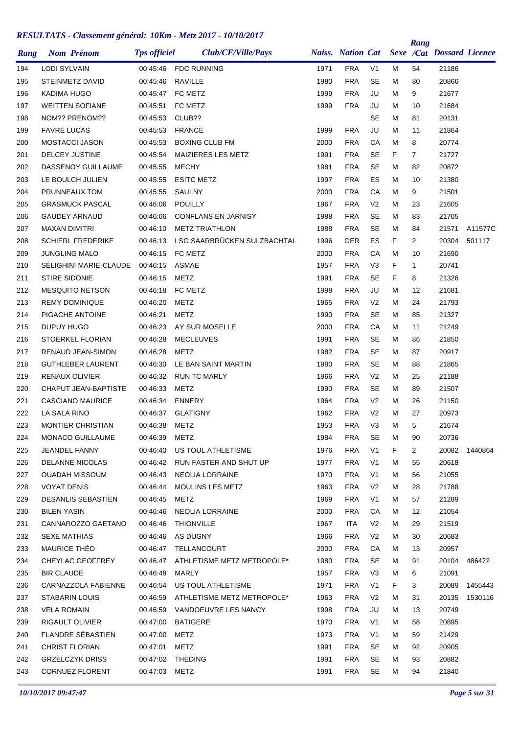| Rang | <b>Nom Prénom</b>           | <b>Tps officiel</b> | Club/CE/Ville/Pays              |      | <b>Naiss.</b> Nation Cat |                |    | Rang           | <b>Sexe /Cat Dossard Licence</b> |         |
|------|-----------------------------|---------------------|---------------------------------|------|--------------------------|----------------|----|----------------|----------------------------------|---------|
| 194  | <b>LODI SYLVAIN</b>         | 00:45:46            | <b>FDC RUNNING</b>              | 1971 | <b>FRA</b>               | V <sub>1</sub> | М  | 54             | 21186                            |         |
| 195  | <b>STEINMETZ DAVID</b>      | 00:45:46            | RAVILLE                         | 1980 | <b>FRA</b>               | <b>SE</b>      | М  | 80             | 20866                            |         |
| 196  | KADIMA HUGO                 | 00:45:47            | FC METZ                         | 1999 | <b>FRA</b>               | JU             | М  | 9              | 21677                            |         |
| 197  | <b>WEITTEN SOFIANE</b>      | 00:45:51            | FC METZ                         | 1999 | <b>FRA</b>               | JU             | м  | 10             | 21684                            |         |
| 198  | NOM?? PRENOM??              | 00:45:53            | CLUB??                          |      |                          | <b>SE</b>      | м  | 81             | 20131                            |         |
| 199  | <b>FAVRE LUCAS</b>          | 00:45:53            | <b>FRANCE</b>                   | 1999 | <b>FRA</b>               | JU             | М  | 11             | 21864                            |         |
| 200  | <b>MOSTACCI JASON</b>       | 00:45:53            | <b>BOXING CLUB FM</b>           | 2000 | <b>FRA</b>               | СA             | М  | 8              | 20774                            |         |
| 201  | <b>DELCEY JUSTINE</b>       | 00:45:54            | MAIZIERES LES METZ              | 1991 | <b>FRA</b>               | <b>SE</b>      | F  | $\overline{7}$ | 21727                            |         |
| 202  | DASSENOY GUILLAUME          | 00:45:55            | <b>MECHY</b>                    | 1981 | <b>FRA</b>               | <b>SE</b>      | м  | 82             | 20872                            |         |
| 203  | LE BOULCH JULIEN            | 00:45:55            | <b>ESITC METZ</b>               | 1997 | <b>FRA</b>               | ES             | М  | 10             | 21380                            |         |
| 204  | PRUNNEAUX TOM               | 00:45:55            | SAULNY                          | 2000 | <b>FRA</b>               | CA             | м  | 9              | 21501                            |         |
| 205  | <b>GRASMUCK PASCAL</b>      | 00:46:06            | <b>POUILLY</b>                  | 1967 | <b>FRA</b>               | V <sub>2</sub> | М  | 23             | 21605                            |         |
| 206  | <b>GAUDEY ARNAUD</b>        | 00:46:06            | <b>CONFLANS EN JARNISY</b>      | 1988 | <b>FRA</b>               | <b>SE</b>      | М  | 83             | 21705                            |         |
| 207  | <b>MAXAN DIMITRI</b>        | 00:46:10            | <b>METZ TRIATHLON</b>           | 1988 | <b>FRA</b>               | <b>SE</b>      | Μ  | 84             | 21571                            | A11577C |
| 208  | <b>SCHIERL FREDERIKE</b>    | 00:46:13            | LSG SAARBRÜCKEN SULZBACHTAL     | 1996 | <b>GER</b>               | ES             | F  | $\overline{2}$ | 20304                            | 501117  |
| 209  | <b>JUNGLING MALO</b>        | 00:46:15            | FC METZ                         | 2000 | <b>FRA</b>               | CA             | М  | 10             | 21690                            |         |
| 210  | SELIGHINI MARIE-CLAUDE      | 00:46:15            | <b>ASMAE</b>                    | 1957 | <b>FRA</b>               | V3             | F  | $\mathbf{1}$   | 20741                            |         |
| 211  | <b>STIRE SIDONIE</b>        | 00:46:15            | <b>METZ</b>                     | 1991 | <b>FRA</b>               | <b>SE</b>      | F  | 8              | 21326                            |         |
| 212  | <b>MESQUITO NETSON</b>      | 00:46:18            | FC METZ                         | 1998 | <b>FRA</b>               | JU             | М  | 12             | 21681                            |         |
| 213  | <b>REMY DOMINIQUE</b>       | 00:46:20            | METZ                            | 1965 | <b>FRA</b>               | V <sub>2</sub> | М  | 24             | 21793                            |         |
| 214  | PIGACHE ANTOINE             | 00:46:21            | METZ                            | 1990 | <b>FRA</b>               | <b>SE</b>      | м  | 85             | 21327                            |         |
| 215  | DUPUY HUGO                  | 00:46:23            | AY SUR MOSELLE                  | 2000 | <b>FRA</b>               | CA             | М  | 11             | 21249                            |         |
| 216  | STOERKEL FLORIAN            | 00:46:28            | <b>MECLEUVES</b>                | 1991 | <b>FRA</b>               | <b>SE</b>      | М  | 86             | 21850                            |         |
| 217  | RENAUD JEAN-SIMON           | 00:46:28            | METZ                            | 1982 | <b>FRA</b>               | <b>SE</b>      | М  | 87             | 20917                            |         |
| 218  | <b>GUTHLEBER LAURENT</b>    | 00:46:30            | LE BAN SAINT MARTIN             | 1980 | <b>FRA</b>               | SE             | Μ  | 88             | 21865                            |         |
| 219  | RENAUX OLIVIER              | 00:46:32            | <b>RUN TC MARLY</b>             | 1966 | <b>FRA</b>               | V <sub>2</sub> | М  | 25             | 21188                            |         |
| 220  | <b>CHAPUT JEAN-BAPTISTE</b> | 00:46:33            | METZ                            | 1990 | <b>FRA</b>               | <b>SE</b>      | М  | 89             | 21507                            |         |
| 221  | <b>CASCIANO MAURICE</b>     | 00:46:34            | <b>ENNERY</b>                   | 1964 | <b>FRA</b>               | V <sub>2</sub> | м  | 26             | 21150                            |         |
| 222  | LA SALA RINO                | 00:46:37            | <b>GLATIGNY</b>                 | 1962 | <b>FRA</b>               | V <sub>2</sub> | М  | 27             | 20973                            |         |
| 223  | <b>MONTIER CHRISTIAN</b>    | 00:46:38            | METZ                            | 1953 | <b>FRA</b>               | V3             | М  | 5              | 21674                            |         |
| 224  | MONACO GUILLAUME            | 00:46:39            | METZ                            | 1984 | <b>FRA</b>               | <b>SE</b>      | Μ  | 90             | 20736                            |         |
| 225  | <b>JEANDEL FANNY</b>        | 00:46:40            | US TOUL ATHLETISME              | 1976 | <b>FRA</b>               | V <sub>1</sub> | F. | $\overline{2}$ | 20082                            | 1440864 |
| 226  | <b>DELANNE NICOLAS</b>      |                     | 00:46:42 RUN FASTER AND SHUT UP | 1977 | <b>FRA</b>               | V <sub>1</sub> | M  | 55             | 20618                            |         |
| 227  | OUADAH MISSOUM              | 00:46:43            | NEOLIA LORRAINE                 | 1970 | <b>FRA</b>               | V <sub>1</sub> | М  | 56             | 21055                            |         |
| 228  | <b>VOYAT DENIS</b>          | 00:46:44            | <b>MOULINS LES METZ</b>         | 1963 | <b>FRA</b>               | V <sub>2</sub> | м  | 28             | 21788                            |         |
| 229  | <b>DESANLIS SEBASTIEN</b>   | 00:46:45            | METZ                            | 1969 | <b>FRA</b>               | V <sub>1</sub> | м  | 57             | 21289                            |         |
| 230  | <b>BILEN YASIN</b>          | 00:46:46            | NEOLIA LORRAINE                 | 2000 | <b>FRA</b>               | CA             | М  | 12             | 21054                            |         |
| 231  | CANNAROZZO GAETANO          | 00:46:46            | <b>THIONVILLE</b>               | 1967 | <b>ITA</b>               | V <sub>2</sub> | м  | 29             | 21519                            |         |
| 232  | <b>SEXE MATHIAS</b>         | 00:46:46            | AS DUGNY                        | 1966 | <b>FRA</b>               | V <sub>2</sub> | м  | 30             | 20683                            |         |
| 233  | <b>MAURICE THEO</b>         | 00:46:47            | TELLANCOURT                     | 2000 | <b>FRA</b>               | CA             | М  | 13             | 20957                            |         |
| 234  | CHEYLAC GEOFFREY            | 00:46:47            | ATHLETISME METZ METROPOLE*      | 1980 | <b>FRA</b>               | <b>SE</b>      | М  | 91             | 20104                            | 486472  |
| 235  | <b>BIR CLAUDE</b>           | 00:46:48            | MARLY                           | 1957 | <b>FRA</b>               | V <sub>3</sub> | м  | 6              | 21091                            |         |
| 236  | CARNAZZOLA FABIENNE         | 00:46:54            | US TOUL ATHLETISME              | 1971 | <b>FRA</b>               | V <sub>1</sub> | F. | 3              | 20089                            | 1455443 |
| 237  | STABARIN LOUIS              | 00:46:59            | ATHLETISME METZ METROPOLE*      | 1963 | <b>FRA</b>               | V <sub>2</sub> | М  | 31             | 20135                            | 1530116 |
| 238  | <b>VELA ROMAIN</b>          | 00:46:59            | VANDOEUVRE LES NANCY            | 1998 | <b>FRA</b>               | JU             | м  | 13             | 20749                            |         |
| 239  | RIGAULT OLIVIER             | 00:47:00            | <b>BATIGERE</b>                 | 1970 | <b>FRA</b>               | V <sub>1</sub> | м  | 58             | 20895                            |         |
| 240  | FLANDRE SÉBASTIEN           | 00:47:00            | <b>METZ</b>                     | 1973 | <b>FRA</b>               | V1             | М  | 59             | 21429                            |         |
| 241  | <b>CHRIST FLORIAN</b>       | 00:47:01            | <b>METZ</b>                     | 1991 | <b>FRA</b>               | <b>SE</b>      | м  | 92             | 20905                            |         |
| 242  | <b>GRZELCZYK DRISS</b>      | 00:47:02            | <b>THEDING</b>                  | 1991 | <b>FRA</b>               | <b>SE</b>      | м  | 93             | 20882                            |         |
| 243  | <b>CORNUEZ FLORENT</b>      | 00:47:03 METZ       |                                 | 1991 | <b>FRA</b>               | SE             | М  | 94             | 21840                            |         |
|      |                             |                     |                                 |      |                          |                |    |                |                                  |         |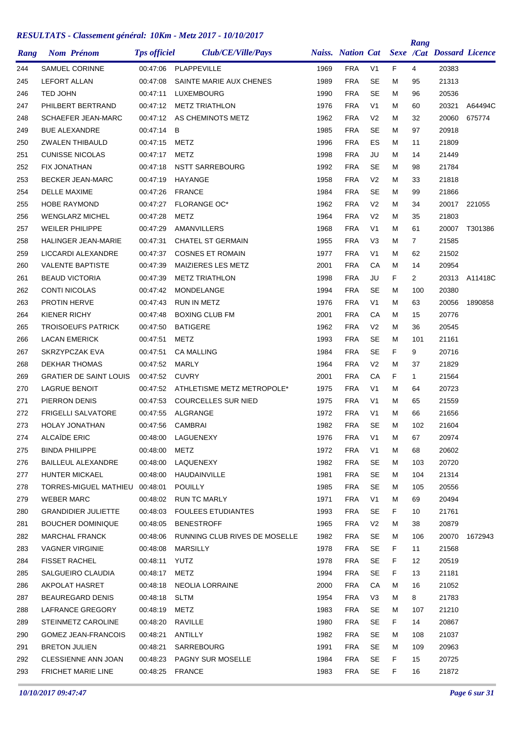|      |                                |                     | Club/CE/Ville/Pays            |      | <b>Naiss.</b> Nation Cat |                |    | Rang           | Sexe /Cat Dossard Licence |         |
|------|--------------------------------|---------------------|-------------------------------|------|--------------------------|----------------|----|----------------|---------------------------|---------|
| Rang | <b>Nom Prénom</b>              | <b>Tps officiel</b> |                               |      |                          |                |    |                |                           |         |
| 244  | <b>SAMUEL CORINNE</b>          | 00:47:06            | PLAPPEVILLE                   | 1969 | <b>FRA</b>               | V <sub>1</sub> | F  | 4              | 20383                     |         |
| 245  | <b>LEFORT ALLAN</b>            | 00:47:08            | SAINTE MARIE AUX CHENES       | 1989 | <b>FRA</b>               | SE             | м  | 95             | 21313                     |         |
| 246  | TED JOHN                       | 00:47:11            | <b>LUXEMBOURG</b>             | 1990 | <b>FRA</b>               | <b>SE</b>      | м  | 96             | 20536                     |         |
| 247  | PHILBERT BERTRAND              | 00:47:12            | <b>METZ TRIATHLON</b>         | 1976 | <b>FRA</b>               | V <sub>1</sub> | М  | 60             | 20321                     | A64494C |
| 248  | <b>SCHAEFER JEAN-MARC</b>      | 00:47:12            | AS CHEMINOTS METZ             | 1962 | <b>FRA</b>               | V <sub>2</sub> | м  | 32             | 20060                     | 675774  |
| 249  | <b>BUE ALEXANDRE</b>           | 00:47:14            | B                             | 1985 | <b>FRA</b>               | <b>SE</b>      | м  | 97             | 20918                     |         |
| 250  | <b>ZWALEN THIBAULD</b>         | 00:47:15            | METZ                          | 1996 | <b>FRA</b>               | ES             | м  | 11             | 21809                     |         |
| 251  | <b>CUNISSE NICOLAS</b>         | 00:47:17            | METZ                          | 1998 | <b>FRA</b>               | JU             | м  | 14             | 21449                     |         |
| 252  | <b>FIX JONATHAN</b>            | 00:47:18            | <b>NSTT SARREBOURG</b>        | 1992 | <b>FRA</b>               | <b>SE</b>      | м  | 98             | 21784                     |         |
| 253  | <b>BECKER JEAN-MARC</b>        | 00:47:19            | HAYANGE                       | 1958 | <b>FRA</b>               | V <sub>2</sub> | М  | 33             | 21818                     |         |
| 254  | <b>DELLE MAXIME</b>            | 00:47:26            | <b>FRANCE</b>                 | 1984 | <b>FRA</b>               | <b>SE</b>      | м  | 99             | 21866                     |         |
| 255  | <b>HOBE RAYMOND</b>            | 00:47:27            | <b>FLORANGE OC*</b>           | 1962 | <b>FRA</b>               | V <sub>2</sub> | м  | 34             | 20017 221055              |         |
| 256  | <b>WENGLARZ MICHEL</b>         | 00:47:28            | METZ                          | 1964 | <b>FRA</b>               | V <sub>2</sub> | м  | 35             | 21803                     |         |
| 257  | <b>WEILER PHILIPPE</b>         | 00:47:29            | AMANVILLERS                   | 1968 | <b>FRA</b>               | V <sub>1</sub> | м  | 61             | 20007                     | T301386 |
| 258  | HALINGER JEAN-MARIE            | 00:47:31            | <b>CHATEL ST GERMAIN</b>      | 1955 | <b>FRA</b>               | V <sub>3</sub> | м  | 7              | 21585                     |         |
| 259  | LICCARDI ALEXANDRE             | 00:47:37            | <b>COSNES ET ROMAIN</b>       | 1977 | <b>FRA</b>               | V <sub>1</sub> | м  | 62             | 21502                     |         |
| 260  | <b>VALENTE BAPTISTE</b>        | 00:47:39            | <b>MAIZIERES LES METZ</b>     | 2001 | <b>FRA</b>               | CA             | м  | 14             | 20954                     |         |
| 261  | <b>BEAUD VICTORIA</b>          | 00:47:39            | <b>METZ TRIATHLON</b>         | 1998 | <b>FRA</b>               | JU             | F  | $\overline{2}$ | 20313                     | A11418C |
| 262  | <b>CONTI NICOLAS</b>           | 00:47:42            | MONDELANGE                    | 1994 | <b>FRA</b>               | <b>SE</b>      | М  | 100            | 20380                     |         |
| 263  | <b>PROTIN HERVE</b>            | 00:47:43            | <b>RUN IN METZ</b>            | 1976 | <b>FRA</b>               | V1             | м  | 63             | 20056                     | 1890858 |
| 264  | <b>KIENER RICHY</b>            | 00:47:48            | <b>BOXING CLUB FM</b>         | 2001 | <b>FRA</b>               | CA             | м  | 15             | 20776                     |         |
| 265  | <b>TROISOEUFS PATRICK</b>      | 00:47:50            | <b>BATIGERE</b>               | 1962 | <b>FRA</b>               | V <sub>2</sub> | м  | 36             | 20545                     |         |
| 266  | <b>LACAN EMERICK</b>           | 00:47:51            | METZ                          | 1993 | <b>FRA</b>               | <b>SE</b>      | м  | 101            | 21161                     |         |
| 267  | SKRZYPCZAK EVA                 | 00:47:51            | <b>CA MALLING</b>             | 1984 | <b>FRA</b>               | <b>SE</b>      | F  | 9              | 20716                     |         |
| 268  | DEKHAR THOMAS                  | 00:47:52            | MARLY                         | 1964 | <b>FRA</b>               | V <sub>2</sub> | м  | 37             | 21829                     |         |
| 269  | <b>GRATIER DE SAINT LOUIS</b>  | 00:47:52            | <b>CUVRY</b>                  | 2001 | <b>FRA</b>               | CA             | F  | $\mathbf{1}$   | 21564                     |         |
| 270  | <b>LAGRUE BENOIT</b>           | 00:47:52            | ATHLETISME METZ METROPOLE*    | 1975 | <b>FRA</b>               | V <sub>1</sub> | М  | 64             | 20723                     |         |
| 271  | PIERRON DENIS                  | 00:47:53            | <b>COURCELLES SUR NIED</b>    | 1975 | <b>FRA</b>               | V <sub>1</sub> | м  | 65             | 21559                     |         |
| 272  | <b>FRIGELLI SALVATORE</b>      | 00:47:55            | ALGRANGE                      | 1972 | <b>FRA</b>               | V <sub>1</sub> | м  | 66             | 21656                     |         |
| 273  | <b>HOLAY JONATHAN</b>          | 00:47:56            | <b>CAMBRAI</b>                | 1982 | <b>FRA</b>               | <b>SE</b>      | М  | 102            | 21604                     |         |
| 274  | <b>ALCAÏDE ERIC</b>            | 00:48:00            | LAGUENEXY                     | 1976 | <b>FRA</b>               | V1             | м  | 67             | 20974                     |         |
| 275  | <b>BINDA PHILIPPE</b>          | 00:48:00            | METZ                          | 1972 | <b>FRA</b>               | V <sub>1</sub> | м  | 68             | 20602                     |         |
| 276  | BAILLEUL ALEXANDRE             | 00:48:00            | LAQUENEXY                     | 1982 | <b>FRA</b>               | <b>SE</b>      | м  | 103            | 20720                     |         |
| 277  | HUNTER MICKAEL                 | 00:48:00            | HAUDAINVILLE                  | 1981 | <b>FRA</b>               | <b>SE</b>      | м  | 104            | 21314                     |         |
| 278  | TORRES-MIGUEL MATHIEU 00:48:01 |                     | <b>POUILLY</b>                | 1985 | <b>FRA</b>               | <b>SE</b>      | м  | 105            | 20556                     |         |
| 279  | <b>WEBER MARC</b>              | 00:48:02            | <b>RUN TC MARLY</b>           | 1971 | <b>FRA</b>               | V <sub>1</sub> | м  | 69             | 20494                     |         |
| 280  | <b>GRANDIDIER JULIETTE</b>     | 00:48:03            | <b>FOULEES ETUDIANTES</b>     | 1993 | <b>FRA</b>               | <b>SE</b>      | F. | 10             | 21761                     |         |
| 281  | <b>BOUCHER DOMINIQUE</b>       | 00:48:05            | <b>BENESTROFF</b>             | 1965 | <b>FRA</b>               | V <sub>2</sub> | M  | 38             | 20879                     |         |
| 282  | MARCHAL FRANCK                 | 00:48:06            | RUNNING CLUB RIVES DE MOSELLE | 1982 | <b>FRA</b>               | <b>SE</b>      | м  | 106            | 20070                     | 1672943 |
| 283  | <b>VAGNER VIRGINIE</b>         | 00:48:08            | <b>MARSILLY</b>               | 1978 | <b>FRA</b>               | SE             | F. | 11             | 21568                     |         |
| 284  | <b>FISSET RACHEL</b>           | 00:48:11            | YUTZ                          | 1978 | <b>FRA</b>               | <b>SE</b>      | F  | 12             | 20519                     |         |
| 285  | SALGUEIRO CLAUDIA              | 00:48:17            | METZ                          | 1994 | <b>FRA</b>               | SE             | F. | 13             | 21181                     |         |
| 286  | AKPOLAT HASRET                 | 00:48:18            | NEOLIA LORRAINE               | 2000 | <b>FRA</b>               | CA             | м  | 16             | 21052                     |         |
| 287  | <b>BEAUREGARD DENIS</b>        | 00:48:18            | SLTM                          | 1954 | <b>FRA</b>               | V <sub>3</sub> | м  | 8              | 21783                     |         |
| 288  | LAFRANCE GREGORY               | 00:48:19            | <b>METZ</b>                   | 1983 | <b>FRA</b>               | <b>SE</b>      | м  | 107            | 21210                     |         |
| 289  | <b>STEINMETZ CAROLINE</b>      | 00:48:20            | RAVILLE                       | 1980 | <b>FRA</b>               | <b>SE</b>      | F. | 14             | 20867                     |         |
| 290  | <b>GOMEZ JEAN-FRANCOIS</b>     | 00:48:21            | ANTILLY                       | 1982 | <b>FRA</b>               | <b>SE</b>      | м  | 108            | 21037                     |         |
| 291  | <b>BRETON JULIEN</b>           | 00:48:21            | SARREBOURG                    | 1991 | <b>FRA</b>               | SE             | м  | 109            | 20963                     |         |
| 292  | CLESSIENNE ANN JOAN            | 00:48:23            | <b>PAGNY SUR MOSELLE</b>      | 1984 | <b>FRA</b>               | SE             | F. | 15             | 20725                     |         |
| 293  | FRICHET MARIE LINE             | 00:48:25 FRANCE     |                               | 1983 | <b>FRA</b>               | SE             | F. | 16             | 21872                     |         |
|      |                                |                     |                               |      |                          |                |    |                |                           |         |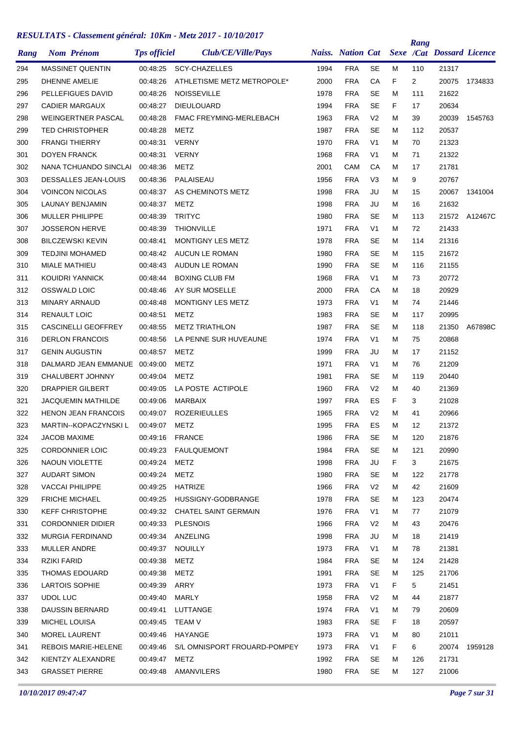|      | <b>Nom Prénom</b>             | <b>Tps officiel</b> | Club/CE/Ville/Pays             |      | <b>Naiss.</b> Nation Cat |                |    | Rang           | Sexe /Cat Dossard Licence |               |
|------|-------------------------------|---------------------|--------------------------------|------|--------------------------|----------------|----|----------------|---------------------------|---------------|
| Rang |                               |                     |                                |      |                          |                |    |                |                           |               |
| 294  | <b>MASSINET QUENTIN</b>       | 00:48:25            | <b>SCY-CHAZELLES</b>           | 1994 | <b>FRA</b>               | SE             | м  | 110            | 21317                     |               |
| 295  | DHENNE AMELIE                 | 00:48:26            | ATHLETISME METZ METROPOLE*     | 2000 | <b>FRA</b>               | CA             | F  | $\overline{2}$ | 20075                     | 1734833       |
| 296  | PELLEFIGUES DAVID             | 00:48:26            | <b>NOISSEVILLE</b>             | 1978 | <b>FRA</b>               | <b>SE</b>      | M  | 111            | 21622                     |               |
| 297  | <b>CADIER MARGAUX</b>         | 00:48:27            | <b>DIEULOUARD</b>              | 1994 | <b>FRA</b>               | <b>SE</b>      | F  | 17             | 20634                     |               |
| 298  | <b>WEINGERTNER PASCAL</b>     | 00:48:28            | <b>FMAC FREYMING-MERLEBACH</b> | 1963 | <b>FRA</b>               | V <sub>2</sub> | м  | 39             | 20039                     | 1545763       |
| 299  | <b>TED CHRISTOPHER</b>        | 00:48:28            | METZ                           | 1987 | <b>FRA</b>               | <b>SE</b>      | м  | 112            | 20537                     |               |
| 300  | <b>FRANGI THIERRY</b>         | 00:48:31            | <b>VERNY</b>                   | 1970 | <b>FRA</b>               | V <sub>1</sub> | м  | 70             | 21323                     |               |
| 301  | <b>DOYEN FRANCK</b>           | 00:48:31            | <b>VERNY</b>                   | 1968 | <b>FRA</b>               | V <sub>1</sub> | м  | 71             | 21322                     |               |
| 302  | NANA TCHUANDO SINCLAI         | 00:48:36            | METZ                           | 2001 | CAM                      | CA             | M  | 17             | 21781                     |               |
| 303  | <b>DESSALLES JEAN-LOUIS</b>   | 00:48:36            | PALAISEAU                      | 1956 | <b>FRA</b>               | V3             | м  | 9              | 20767                     |               |
| 304  | <b>VOINCON NICOLAS</b>        | 00:48:37            | AS CHEMINOTS METZ              | 1998 | <b>FRA</b>               | JU             | м  | 15             | 20067                     | 1341004       |
| 305  | LAUNAY BENJAMIN               | 00:48:37            | METZ                           | 1998 | <b>FRA</b>               | JU             | м  | 16             | 21632                     |               |
| 306  | <b>MULLER PHILIPPE</b>        | 00:48:39            | <b>TRITYC</b>                  | 1980 | <b>FRA</b>               | SE             | м  | 113            |                           | 21572 A12467C |
| 307  | <b>JOSSERON HERVE</b>         | 00:48:39            | <b>THIONVILLE</b>              | 1971 | <b>FRA</b>               | V <sub>1</sub> | м  | 72             | 21433                     |               |
| 308  | <b>BILCZEWSKI KEVIN</b>       | 00:48:41            | <b>MONTIGNY LES METZ</b>       | 1978 | <b>FRA</b>               | SE             | м  | 114            | 21316                     |               |
| 309  | <b>TEDJINI MOHAMED</b>        | 00:48:42            | AUCUN LE ROMAN                 | 1980 | <b>FRA</b>               | <b>SE</b>      | м  | 115            | 21672                     |               |
| 310  | <b>MIALE MATHIEU</b>          | 00:48:43            | AUDUN LE ROMAN                 | 1990 | <b>FRA</b>               | <b>SE</b>      | м  | 116            | 21155                     |               |
| 311  | KOUIDRI YANNICK               | 00:48:44            | <b>BOXING CLUB FM</b>          | 1968 | <b>FRA</b>               | V <sub>1</sub> | м  | 73             | 20772                     |               |
| 312  | OSSWALD LOIC                  | 00:48:46            | AY SUR MOSELLE                 | 2000 | <b>FRA</b>               | CA             | м  | 18             | 20929                     |               |
| 313  | MINARY ARNAUD                 | 00:48:48            | MONTIGNY LES METZ              | 1973 | <b>FRA</b>               | V <sub>1</sub> | м  | 74             | 21446                     |               |
| 314  | <b>RENAULT LOIC</b>           | 00:48:51            | <b>METZ</b>                    | 1983 | <b>FRA</b>               | SE             | м  | 117            | 20995                     |               |
| 315  | <b>CASCINELLI GEOFFREY</b>    | 00:48:55            | <b>METZ TRIATHLON</b>          | 1987 | <b>FRA</b>               | <b>SE</b>      | м  | 118            | 21350                     | A67898C       |
| 316  | <b>DERLON FRANCOIS</b>        | 00:48:56            | LA PENNE SUR HUVEAUNE          | 1974 | <b>FRA</b>               | V <sub>1</sub> | м  | 75             | 20868                     |               |
| 317  | <b>GENIN AUGUSTIN</b>         | 00:48:57            | METZ                           | 1999 | <b>FRA</b>               | JU             | M  | 17             | 21152                     |               |
| 318  | DALMARD JEAN EMMANUE 00:49:00 |                     | METZ                           | 1971 | <b>FRA</b>               | V <sub>1</sub> | M  | 76             | 21209                     |               |
| 319  | <b>CHALUBERT JOHNNY</b>       | 00:49:04            | METZ                           | 1981 | <b>FRA</b>               | SE             | м  | 119            | 20440                     |               |
| 320  | <b>DRAPPIER GILBERT</b>       | 00:49:05            | LA POSTE ACTIPOLE              | 1960 | <b>FRA</b>               | V <sub>2</sub> | M  | 40             | 21369                     |               |
| 321  | <b>JACQUEMIN MATHILDE</b>     | 00:49:06            | <b>MARBAIX</b>                 | 1997 | <b>FRA</b>               | ES             | F. | 3              | 21028                     |               |
| 322  | <b>HENON JEAN FRANCOIS</b>    | 00:49:07            | <b>ROZERIEULLES</b>            | 1965 | <b>FRA</b>               | V <sub>2</sub> | м  | 41             | 20966                     |               |
| 323  | MARTIN--KOPACZYNSKI L         | 00:49:07            | METZ                           | 1995 | <b>FRA</b>               | ES             | M  | 12             | 21372                     |               |
| 324  | <b>JACOB MAXIME</b>           | 00:49:16 FRANCE     |                                | 1986 | <b>FRA</b>               | SE             | м  | 120            | 21876                     |               |
| 325  | <b>CORDONNIER LOIC</b>        | 00:49:23            | FAULQUEMONT                    | 1984 | <b>FRA</b>               | SE             | M  | 121            | 20990                     |               |
| 326  | NAOUN VIOLETTE                | 00:49:24            | METZ                           | 1998 | <b>FRA</b>               | JU             | F. | 3              | 21675                     |               |
| 327  | <b>AUDART SIMON</b>           | 00:49:24            | METZ                           | 1980 | <b>FRA</b>               | SE             | M  | 122            | 21778                     |               |
| 328  | VACCAI PHILIPPE               | 00:49:25            | HATRIZE                        | 1966 | <b>FRA</b>               | V <sub>2</sub> | М  | 42             | 21609                     |               |
| 329  | <b>FRICHE MICHAEL</b>         | 00:49:25            | HUSSIGNY-GODBRANGE             | 1978 | <b>FRA</b>               | SE             | м  | 123            | 20474                     |               |
| 330  | <b>KEFF CHRISTOPHE</b>        | 00:49:32            | CHATEL SAINT GERMAIN           | 1976 | <b>FRA</b>               | V <sub>1</sub> | м  | 77             | 21079                     |               |
| 331  | <b>CORDONNIER DIDIER</b>      | 00:49:33            | <b>PLESNOIS</b>                | 1966 | <b>FRA</b>               | V <sub>2</sub> | М  | 43             | 20476                     |               |
| 332  | MURGIA FERDINAND              |                     | 00:49:34 ANZELING              | 1998 | <b>FRA</b>               | JU             | м  | 18             | 21419                     |               |
| 333  | <b>MULLER ANDRE</b>           | 00:49:37            | NOUILLY                        | 1973 | <b>FRA</b>               | V <sub>1</sub> | м  | 78             | 21381                     |               |
| 334  | <b>RZIKI FARID</b>            | 00:49:38            | <b>METZ</b>                    | 1984 | <b>FRA</b>               | SE             | М  | 124            | 21428                     |               |
| 335  | THOMAS EDOUARD                | 00:49:38            | <b>METZ</b>                    | 1991 | <b>FRA</b>               | SE             | м  | 125            | 21706                     |               |
| 336  | <b>LARTOIS SOPHIE</b>         | 00:49:39            | ARRY                           | 1973 | <b>FRA</b>               | V <sub>1</sub> | F. | 5              | 21451                     |               |
| 337  | <b>UDOL LUC</b>               | 00:49:40            | MARLY                          | 1958 | <b>FRA</b>               | V <sub>2</sub> | м  | 44             | 21877                     |               |
| 338  | DAUSSIN BERNARD               | 00:49:41            | LUTTANGE                       | 1974 | <b>FRA</b>               | V <sub>1</sub> | M  | 79             | 20609                     |               |
| 339  | MICHEL LOUISA                 | 00:49:45 TEAM V     |                                | 1983 | <b>FRA</b>               | <b>SE</b>      | F. | 18             | 20597                     |               |
| 340  | MOREL LAURENT                 |                     | 00:49:46 HAYANGE               | 1973 | <b>FRA</b>               | V <sub>1</sub> | м  | 80             | 21011                     |               |
| 341  | <b>REBOIS MARIE-HELENE</b>    | 00:49:46            | S/L OMNISPORT FROUARD-POMPEY   | 1973 | <b>FRA</b>               | V <sub>1</sub> | F. | 6              | 20074                     | 1959128       |
| 342  | KIENTZY ALEXANDRE             | 00:49:47            | METZ                           | 1992 | <b>FRA</b>               | SE             | M  | 126            | 21731                     |               |
| 343  | <b>GRASSET PIERRE</b>         |                     | 00:49:48 AMANVILERS            | 1980 | <b>FRA</b>               | SE             | М  | 127            | 21006                     |               |
|      |                               |                     |                                |      |                          |                |    |                |                           |               |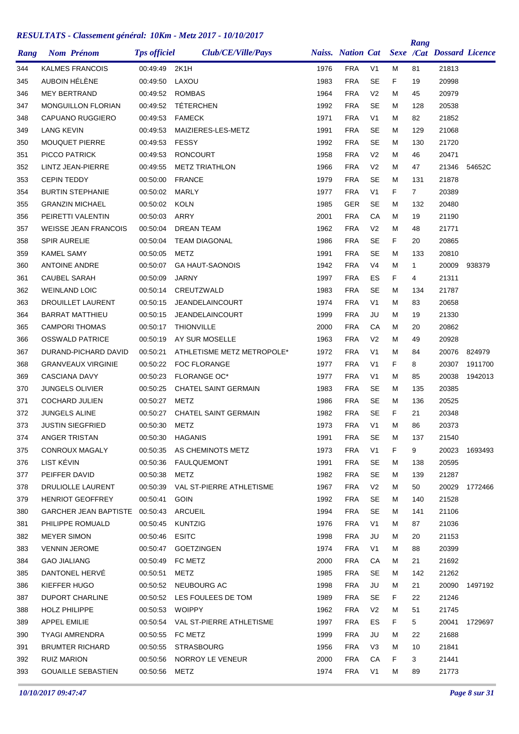| Rang       | <b>Nom Prénom</b>              | <b>Tps officiel</b> | Club/CE/Ville/Pays          |      | <b>Naiss.</b> Nation Cat |                |    | Rang           | <b>Sexe /Cat Dossard Licence</b> |         |
|------------|--------------------------------|---------------------|-----------------------------|------|--------------------------|----------------|----|----------------|----------------------------------|---------|
| 344        | <b>KALMES FRANCOIS</b>         | 00:49:49            | 2K1H                        | 1976 | <b>FRA</b>               | V <sub>1</sub> | м  | 81             | 21813                            |         |
| 345        | AUBOIN HÉLÈNE                  | 00:49:50            | LAXOU                       | 1983 | <b>FRA</b>               | <b>SE</b>      | F  | 19             | 20998                            |         |
| 346        | <b>MEY BERTRAND</b>            | 00:49:52            | <b>ROMBAS</b>               | 1964 | <b>FRA</b>               | V <sub>2</sub> | М  | 45             | 20979                            |         |
| 347        | <b>MONGUILLON FLORIAN</b>      | 00:49:52            | <b>TÉTERCHEN</b>            | 1992 | <b>FRA</b>               | <b>SE</b>      | м  | 128            | 20538                            |         |
| 348        | <b>CAPUANO RUGGIERO</b>        | 00:49:53            | <b>FAMECK</b>               | 1971 | <b>FRA</b>               | V <sub>1</sub> | м  | 82             | 21852                            |         |
| 349        | <b>LANG KEVIN</b>              | 00:49:53            | MAIZIERES-LES-METZ          | 1991 | <b>FRA</b>               | <b>SE</b>      | м  | 129            | 21068                            |         |
| 350        | <b>MOUQUET PIERRE</b>          | 00:49:53            | <b>FESSY</b>                | 1992 | <b>FRA</b>               | <b>SE</b>      | м  | 130            | 21720                            |         |
|            | PICCO PATRICK                  | 00:49:53            | <b>RONCOURT</b>             | 1958 | <b>FRA</b>               | V <sub>2</sub> | м  | 46             | 20471                            |         |
| 351<br>352 | LINTZ JEAN-PIERRE              | 00:49:55            | <b>METZ TRIATHLON</b>       | 1966 | <b>FRA</b>               | V <sub>2</sub> | м  | 47             | 21346                            | 54652C  |
|            | <b>CEPIN TEDDY</b>             |                     | <b>FRANCE</b>               | 1979 | <b>FRA</b>               | <b>SE</b>      | м  |                | 21878                            |         |
| 353        |                                | 00:50:00            |                             |      |                          |                | F  | 131            |                                  |         |
| 354        | <b>BURTIN STEPHANIE</b>        | 00:50:02            | <b>MARLY</b>                | 1977 | <b>FRA</b>               | V <sub>1</sub> |    | $\overline{7}$ | 20389                            |         |
| 355        | <b>GRANZIN MICHAEL</b>         | 00:50:02            | <b>KOLN</b>                 | 1985 | <b>GER</b>               | SE             | м  | 132            | 20480                            |         |
| 356        | PEIRETTI VALENTIN              | 00:50:03            | ARRY                        | 2001 | <b>FRA</b>               | CA             | м  | 19             | 21190                            |         |
| 357        | <b>WEISSE JEAN FRANCOIS</b>    | 00:50:04            | <b>DREAN TEAM</b>           | 1962 | <b>FRA</b>               | V <sub>2</sub> | м  | 48             | 21771                            |         |
| 358        | <b>SPIR AURELIE</b>            | 00:50:04            | <b>TEAM DIAGONAL</b>        | 1986 | <b>FRA</b>               | <b>SE</b>      | F  | 20             | 20865                            |         |
| 359        | <b>KAMEL SAMY</b>              | 00:50:05            | <b>METZ</b>                 | 1991 | <b>FRA</b>               | <b>SE</b>      | м  | 133            | 20810                            |         |
| 360        | <b>ANTOINE ANDRE</b>           | 00:50:07            | <b>GA HAUT-SAONOIS</b>      | 1942 | <b>FRA</b>               | V <sub>4</sub> | м  | 1              | 20009                            | 938379  |
| 361        | <b>CAUBEL SARAH</b>            | 00:50:09            | <b>JARNY</b>                | 1997 | <b>FRA</b>               | ES             | F  | 4              | 21311                            |         |
| 362        | <b>WEINLAND LOIC</b>           | 00:50:14            | CREUTZWALD                  | 1983 | <b>FRA</b>               | <b>SE</b>      | М  | 134            | 21787                            |         |
| 363        | <b>DROUILLET LAURENT</b>       | 00:50:15            | JEANDELAINCOURT             | 1974 | <b>FRA</b>               | V <sub>1</sub> | М  | 83             | 20658                            |         |
| 364        | <b>BARRAT MATTHIEU</b>         | 00:50:15            | JEANDELAINCOURT             | 1999 | <b>FRA</b>               | JU             | м  | 19             | 21330                            |         |
| 365        | <b>CAMPORI THOMAS</b>          | 00:50:17            | <b>THIONVILLE</b>           | 2000 | <b>FRA</b>               | CA             | м  | 20             | 20862                            |         |
| 366        | <b>OSSWALD PATRICE</b>         | 00:50:19            | AY SUR MOSELLE              | 1963 | <b>FRA</b>               | V <sub>2</sub> | м  | 49             | 20928                            |         |
| 367        | DURAND-PICHARD DAVID           | 00:50:21            | ATHLETISME METZ METROPOLE*  | 1972 | <b>FRA</b>               | V <sub>1</sub> | м  | 84             | 20076                            | 824979  |
| 368        | <b>GRANVEAUX VIRGINIE</b>      | 00:50:22            | <b>FOC FLORANGE</b>         | 1977 | <b>FRA</b>               | V <sub>1</sub> | F  | 8              | 20307                            | 1911700 |
| 369        | <b>CASCIANA DAVY</b>           | 00:50:23            | <b>FLORANGE OC*</b>         | 1977 | <b>FRA</b>               | V <sub>1</sub> | м  | 85             | 20038                            | 1942013 |
| 370        | <b>JUNGELS OLIVIER</b>         | 00:50:25            | <b>CHATEL SAINT GERMAIN</b> | 1983 | <b>FRA</b>               | <b>SE</b>      | М  | 135            | 20385                            |         |
| 371        | <b>COCHARD JULIEN</b>          | 00:50:27            | METZ                        | 1986 | <b>FRA</b>               | <b>SE</b>      | м  | 136            | 20525                            |         |
| 372        | <b>JUNGELS ALINE</b>           | 00:50:27            | <b>CHATEL SAINT GERMAIN</b> | 1982 | <b>FRA</b>               | <b>SE</b>      | F  | 21             | 20348                            |         |
| 373        | JUSTIN SIEGFRIED               | 00:50:30            | METZ                        | 1973 | <b>FRA</b>               | V <sub>1</sub> | M  | 86             | 20373                            |         |
| 374        | ANGER TRISTAN                  | 00:50:30            | <b>HAGANIS</b>              | 1991 | <b>FRA</b>               | <b>SE</b>      | м  | 137            | 21540                            |         |
| 375        | CONROUX MAGALY                 | 00:50:35            | AS CHEMINOTS METZ           | 1973 | <b>FRA</b>               | V <sub>1</sub> | F. | 9              | 20023                            | 1693493 |
| 376        | LIST KÉVIN                     | 00:50:36            | FAULQUEMONT                 | 1991 | <b>FRA</b>               | <b>SE</b>      | м  | 138            | 20595                            |         |
| 377        | PEIFFER DAVID                  | 00:50:38            | <b>METZ</b>                 | 1982 | <b>FRA</b>               | <b>SE</b>      | м  | 139            | 21287                            |         |
| 378        | DRULIOLLE LAURENT              | 00:50:39            | VAL ST-PIERRE ATHLETISME    | 1967 | <b>FRA</b>               | V <sub>2</sub> | м  | 50             | 20029                            | 1772466 |
| 379        | <b>HENRIOT GEOFFREY</b>        | 00:50:41            | <b>GOIN</b>                 | 1992 | <b>FRA</b>               | <b>SE</b>      | м  | 140            | 21528                            |         |
| 380        | GARCHER JEAN BAPTISTE 00:50:43 |                     | ARCUEIL                     | 1994 | <b>FRA</b>               | <b>SE</b>      | м  | 141            | 21106                            |         |
| 381        | PHILIPPE ROMUALD               | 00:50:45            | <b>KUNTZIG</b>              | 1976 | <b>FRA</b>               | V <sub>1</sub> | м  | 87             | 21036                            |         |
| 382        | MEYER SIMON                    | 00:50:46            | <b>ESITC</b>                | 1998 | <b>FRA</b>               | JU             | м  | 20             | 21153                            |         |
| 383        | <b>VENNIN JEROME</b>           | 00:50:47            | <b>GOETZINGEN</b>           | 1974 | <b>FRA</b>               | V <sub>1</sub> | м  | 88             | 20399                            |         |
| 384        | <b>GAO JIALIANG</b>            | 00:50:49            | FC METZ                     | 2000 | <b>FRA</b>               | CA             | м  | 21             | 21692                            |         |
| 385        | DANTONEL HERVE                 | 00:50:51            | METZ                        | 1985 | <b>FRA</b>               | <b>SE</b>      | м  | 142            | 21262                            |         |
| 386        | KIEFFER HUGO                   | 00:50:52            | NEUBOURG AC                 | 1998 | <b>FRA</b>               | JU             | м  | 21             | 20090                            | 1497192 |
| 387        | <b>DUPORT CHARLINE</b>         |                     | 00:50:52 LES FOULEES DE TOM | 1989 | <b>FRA</b>               | <b>SE</b>      | F. | 22             | 21246                            |         |
| 388        | <b>HOLZ PHILIPPE</b>           | 00:50:53 WOIPPY     |                             | 1962 | <b>FRA</b>               | V <sub>2</sub> | м  | 51             | 21745                            |         |
| 389        | <b>APPEL EMILIE</b>            | 00:50:54            | VAL ST-PIERRE ATHLETISME    | 1997 | <b>FRA</b>               | ES             | F  | 5              | 20041                            | 1729697 |
| 390        | <b>TYAGI AMRENDRA</b>          | 00:50:55            | FC METZ                     | 1999 | <b>FRA</b>               | JU             | м  | 22             | 21688                            |         |
| 391        | <b>BRUMTER RICHARD</b>         | 00:50:55            | <b>STRASBOURG</b>           | 1956 | <b>FRA</b>               | V <sub>3</sub> | м  | 10             | 21841                            |         |
| 392        | RUIZ MARION                    | 00:50:56            | NORROY LE VENEUR            | 2000 | <b>FRA</b>               | СA             | F. | 3              | 21441                            |         |
| 393        | <b>GOUAILLE SEBASTIEN</b>      | 00:50:56 METZ       |                             | 1974 | <b>FRA</b>               | V <sub>1</sub> | м  | 89             | 21773                            |         |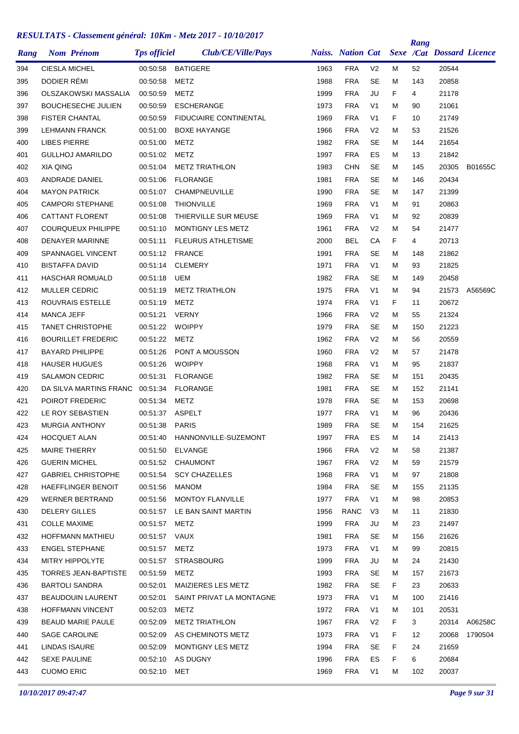|      |                             |                     |                               |      |                          |                |    | Rang |                                  |         |
|------|-----------------------------|---------------------|-------------------------------|------|--------------------------|----------------|----|------|----------------------------------|---------|
| Rang | <b>Nom Prénom</b>           | <b>Tps officiel</b> | Club/CE/Ville/Pays            |      | <b>Naiss.</b> Nation Cat |                |    |      | <b>Sexe /Cat Dossard Licence</b> |         |
| 394  | <b>CIESLA MICHEL</b>        | 00:50:58            | <b>BATIGERE</b>               | 1963 | <b>FRA</b>               | V <sub>2</sub> | м  | 52   | 20544                            |         |
| 395  | DODIER RÉMI                 | 00:50:58            | METZ                          | 1988 | <b>FRA</b>               | <b>SE</b>      | М  | 143  | 20858                            |         |
| 396  | <b>OLSZAKOWSKI MASSALIA</b> | 00:50:59            | METZ                          | 1999 | <b>FRA</b>               | JU             | F  | 4    | 21178                            |         |
| 397  | <b>BOUCHESECHE JULIEN</b>   | 00:50:59            | <b>ESCHERANGE</b>             | 1973 | <b>FRA</b>               | V <sub>1</sub> | м  | 90   | 21061                            |         |
| 398  | <b>FISTER CHANTAL</b>       | 00:50:59            | <b>FIDUCIAIRE CONTINENTAL</b> | 1969 | <b>FRA</b>               | V <sub>1</sub> | F  | 10   | 21749                            |         |
| 399  | <b>LEHMANN FRANCK</b>       | 00:51:00            | <b>BOXE HAYANGE</b>           | 1966 | <b>FRA</b>               | V <sub>2</sub> | М  | 53   | 21526                            |         |
| 400  | <b>LIBES PIERRE</b>         | 00:51:00            | METZ                          | 1982 | <b>FRA</b>               | <b>SE</b>      | М  | 144  | 21654                            |         |
| 401  | <b>GULLHOJ AMARILDO</b>     | 00:51:02            | METZ                          | 1997 | <b>FRA</b>               | ES             | М  | 13   | 21842                            |         |
| 402  | <b>XIA QING</b>             | 00:51:04            | <b>METZ TRIATHLON</b>         | 1983 | <b>CHN</b>               | <b>SE</b>      | М  | 145  | 20305                            | B01655C |
| 403  | ANDRADE DANIEL              | 00:51:06            | <b>FLORANGE</b>               | 1981 | <b>FRA</b>               | <b>SE</b>      | М  | 146  | 20434                            |         |
| 404  | <b>MAYON PATRICK</b>        | 00:51:07            | CHAMPNEUVILLE                 | 1990 | <b>FRA</b>               | <b>SE</b>      | М  | 147  | 21399                            |         |
| 405  | <b>CAMPORI STEPHANE</b>     | 00:51:08            | <b>THIONVILLE</b>             | 1969 | <b>FRA</b>               | V <sub>1</sub> | М  | 91   | 20863                            |         |
| 406  | <b>CATTANT FLORENT</b>      | 00:51:08            | THIERVILLE SUR MEUSE          | 1969 | <b>FRA</b>               | V <sub>1</sub> | М  | 92   | 20839                            |         |
| 407  | <b>COURQUEUX PHILIPPE</b>   | 00:51:10            | <b>MONTIGNY LES METZ</b>      | 1961 | <b>FRA</b>               | V <sub>2</sub> | м  | 54   | 21477                            |         |
| 408  | <b>DENAYER MARINNE</b>      | 00:51:11            | <b>FLEURUS ATHLETISME</b>     | 2000 | <b>BEL</b>               | CA             | F  | 4    | 20713                            |         |
| 409  | SPANNAGEL VINCENT           | 00:51:12            | <b>FRANCE</b>                 | 1991 | <b>FRA</b>               | <b>SE</b>      | м  | 148  | 21862                            |         |
| 410  | <b>BISTAFFA DAVID</b>       | 00:51:14            | <b>CLEMERY</b>                | 1971 | <b>FRA</b>               | V <sub>1</sub> | М  | 93   | 21825                            |         |
| 411  | <b>HASCHAR ROMUALD</b>      | 00:51:18            | UEM                           | 1982 | <b>FRA</b>               | SE             | М  | 149  | 20458                            |         |
| 412  | <b>MULLER CEDRIC</b>        | 00:51:19            | <b>METZ TRIATHLON</b>         | 1975 | <b>FRA</b>               | V <sub>1</sub> | М  | 94   | 21573                            | A56569C |
| 413  | ROUVRAIS ESTELLE            | 00:51:19            | METZ                          | 1974 | <b>FRA</b>               | V <sub>1</sub> | F  | 11   | 20672                            |         |
| 414  | <b>MANCA JEFF</b>           | 00:51:21            | <b>VERNY</b>                  | 1966 | <b>FRA</b>               | V <sub>2</sub> | м  | 55   | 21324                            |         |
| 415  | <b>TANET CHRISTOPHE</b>     | 00:51:22            | <b>WOIPPY</b>                 | 1979 | <b>FRA</b>               | <b>SE</b>      | М  | 150  | 21223                            |         |
| 416  | <b>BOURILLET FREDERIC</b>   | 00:51:22            | METZ                          | 1962 | <b>FRA</b>               | V <sub>2</sub> | М  | 56   | 20559                            |         |
| 417  | <b>BAYARD PHILIPPE</b>      | 00:51:26            | PONT A MOUSSON                | 1960 | <b>FRA</b>               | V <sub>2</sub> | М  | 57   | 21478                            |         |
| 418  | <b>HAUSER HUGUES</b>        | 00:51:26            | <b>WOIPPY</b>                 | 1968 | <b>FRA</b>               | V <sub>1</sub> | М  | 95   | 21837                            |         |
| 419  | <b>SALAMON CEDRIC</b>       | 00:51:31            | <b>FLORANGE</b>               | 1982 | <b>FRA</b>               | SE             | М  | 151  | 20435                            |         |
| 420  | DA SILVA MARTINS FRANC      | 00:51:34            | <b>FLORANGE</b>               | 1981 | <b>FRA</b>               | <b>SE</b>      | М  | 152  | 21141                            |         |
| 421  | POIROT FREDERIC             | 00:51:34            | METZ                          | 1978 | <b>FRA</b>               | SE             | М  | 153  | 20698                            |         |
| 422  | LE ROY SEBASTIEN            | 00:51:37            | <b>ASPELT</b>                 | 1977 | <b>FRA</b>               | V <sub>1</sub> | М  | 96   | 20436                            |         |
| 423  | <b>MURGIA ANTHONY</b>       | 00:51:38            | <b>PARIS</b>                  | 1989 | <b>FRA</b>               | <b>SE</b>      | М  | 154  | 21625                            |         |
| 424  | <b>HOCQUET ALAN</b>         | 00:51:40            | HANNONVILLE-SUZEMONT          | 1997 | <b>FRA</b>               | ES             | M  | 14   | 21413                            |         |
| 425  | MAIRE THIERRY               | 00:51:50            | ELVANGE                       | 1966 | <b>FRA</b>               | V <sub>2</sub> | м  | 58   | 21387                            |         |
| 426  | <b>GUERIN MICHEL</b>        |                     | 00:51:52 CHAUMONT             | 1967 | <b>FRA</b>               | V <sub>2</sub> | М  | 59   | 21579                            |         |
| 427  | <b>GABRIEL CHRISTOPHE</b>   | 00:51:54            | <b>SCY CHAZELLES</b>          | 1968 | <b>FRA</b>               | V <sub>1</sub> | М  | 97   | 21808                            |         |
| 428  | HAEFFLINGER BENOIT          | 00:51:56            | MANOM                         | 1984 | <b>FRA</b>               | <b>SE</b>      | М  | 155  | 21135                            |         |
| 429  | <b>WERNER BERTRAND</b>      | 00:51:56            | MONTOY FLANVILLE              | 1977 | <b>FRA</b>               | V <sub>1</sub> | M  | 98   | 20853                            |         |
| 430  | <b>DELERY GILLES</b>        | 00:51:57            | LE BAN SAINT MARTIN           | 1956 | <b>RANC</b>              | V3             | М  | 11   | 21830                            |         |
| 431  | <b>COLLE MAXIME</b>         | 00:51:57            | METZ                          | 1999 | <b>FRA</b>               | JU             | М  | 23   | 21497                            |         |
| 432  | HOFFMANN MATHIEU            | 00:51:57 VAUX       |                               | 1981 | <b>FRA</b>               | <b>SE</b>      | м  | 156  | 21626                            |         |
| 433  | <b>ENGEL STEPHANE</b>       | 00:51:57            | <b>METZ</b>                   | 1973 | <b>FRA</b>               | V <sub>1</sub> | М  | 99   | 20815                            |         |
| 434  | MITRY HIPPOLYTE             | 00:51:57            | <b>STRASBOURG</b>             | 1999 | <b>FRA</b>               | JU             | М  | 24   | 21430                            |         |
| 435  | <b>TORRES JEAN-BAPTISTE</b> | 00:51:59            | METZ                          | 1993 | <b>FRA</b>               | <b>SE</b>      | М  | 157  | 21673                            |         |
| 436  | <b>BARTOLI SANDRA</b>       | 00:52:01            | MAIZIERES LES METZ            | 1982 | <b>FRA</b>               | SE             | F. | 23   | 20633                            |         |
| 437  | <b>BEAUDOUIN LAURENT</b>    | 00:52:01            | SAINT PRIVAT LA MONTAGNE      | 1973 | <b>FRA</b>               | V1             | м  | 100  | 21416                            |         |
| 438  | <b>HOFFMANN VINCENT</b>     | 00:52:03            | METZ                          | 1972 | <b>FRA</b>               | V <sub>1</sub> | М  | 101  | 20531                            |         |
| 439  | <b>BEAUD MARIE PAULE</b>    | 00:52:09            | <b>METZ TRIATHLON</b>         | 1967 | <b>FRA</b>               | V <sub>2</sub> | F  | 3    | 20314                            | A06258C |
| 440  | <b>SAGE CAROLINE</b>        | 00:52:09            | AS CHEMINOTS METZ             | 1973 | <b>FRA</b>               | V <sub>1</sub> | F  | 12   | 20068                            | 1790504 |
| 441  | LINDAS ISAURE               | 00:52:09            | MONTIGNY LES METZ             | 1994 | <b>FRA</b>               | <b>SE</b>      | F  | 24   | 21659                            |         |
| 442  | <b>SEXE PAULINE</b>         | 00:52:10            | AS DUGNY                      | 1996 | <b>FRA</b>               | ES             | F  | 6    | 20684                            |         |
| 443  | <b>CUOMO ERIC</b>           | 00:52:10 MET        |                               | 1969 | <b>FRA</b>               | V <sub>1</sub> | М  | 102  | 20037                            |         |
|      |                             |                     |                               |      |                          |                |    |      |                                  |         |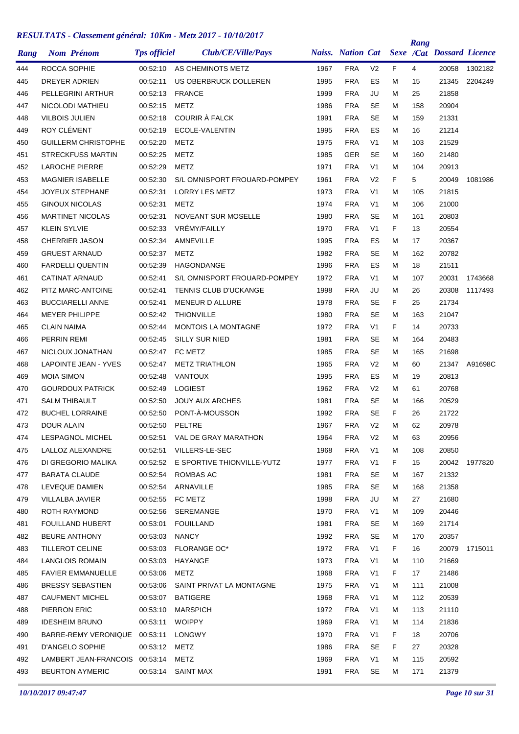| Rang | <b>Nom Prénom</b>              | <b>Tps officiel</b> | Club/CE/Ville/Pays                  |      | <b>Naiss.</b> Nation Cat |                |    | Rang | Sexe /Cat Dossard Licence |               |
|------|--------------------------------|---------------------|-------------------------------------|------|--------------------------|----------------|----|------|---------------------------|---------------|
| 444  | ROCCA SOPHIE                   | 00:52:10            | AS CHEMINOTS METZ                   | 1967 | <b>FRA</b>               | V <sub>2</sub> | F. | 4    | 20058                     | 1302182       |
| 445  | DREYER ADRIEN                  | 00:52:11            | US OBERBRUCK DOLLEREN               | 1995 | <b>FRA</b>               | ES             | M  | 15   | 21345                     | 2204249       |
| 446  | PELLEGRINI ARTHUR              | 00:52:13            | <b>FRANCE</b>                       | 1999 | <b>FRA</b>               | JU             | M  | 25   | 21858                     |               |
| 447  | NICOLODI MATHIEU               | 00:52:15            | <b>METZ</b>                         | 1986 | <b>FRA</b>               | <b>SE</b>      | м  | 158  | 20904                     |               |
| 448  | <b>VILBOIS JULIEN</b>          | 00:52:18            | COURIR À FALCK                      | 1991 | <b>FRA</b>               | SE             | м  | 159  | 21331                     |               |
| 449  | <b>ROY CLÉMENT</b>             | 00:52:19            | ECOLE-VALENTIN                      | 1995 | <b>FRA</b>               | <b>ES</b>      | м  | 16   | 21214                     |               |
| 450  | <b>GUILLERM CHRISTOPHE</b>     | 00:52:20            | METZ                                | 1975 | <b>FRA</b>               | V <sub>1</sub> | м  | 103  | 21529                     |               |
| 451  | <b>STRECKFUSS MARTIN</b>       | 00:52:25            | <b>METZ</b>                         | 1985 | GER                      | SE             | м  | 160  | 21480                     |               |
| 452  | <b>LAROCHE PIERRE</b>          | 00:52:29            | METZ                                | 1971 | <b>FRA</b>               | V <sub>1</sub> | M  | 104  | 20913                     |               |
| 453  | <b>MAGNIER ISABELLE</b>        | 00:52:30            | S/L OMNISPORT FROUARD-POMPEY        | 1961 | <b>FRA</b>               | V <sub>2</sub> | F  | 5    | 20049                     | 1081986       |
| 454  | JOYEUX STEPHANE                | 00:52:31            | LORRY LES METZ                      | 1973 | <b>FRA</b>               | V <sub>1</sub> | M  | 105  | 21815                     |               |
| 455  | <b>GINOUX NICOLAS</b>          | 00:52:31            | METZ                                | 1974 | <b>FRA</b>               | V <sub>1</sub> | м  | 106  | 21000                     |               |
| 456  | <b>MARTINET NICOLAS</b>        | 00:52:31            | <b>NOVEANT SUR MOSELLE</b>          | 1980 | <b>FRA</b>               | SE             | м  | 161  | 20803                     |               |
| 457  | <b>KLEIN SYLVIE</b>            | 00:52:33            | VRÉMY/FAILLY                        | 1970 | <b>FRA</b>               | V <sub>1</sub> | F  | 13   | 20554                     |               |
| 458  | <b>CHERRIER JASON</b>          | 00:52:34            | AMNEVILLE                           | 1995 | <b>FRA</b>               | ES             | м  | 17   | 20367                     |               |
| 459  | <b>GRUEST ARNAUD</b>           | 00:52:37            | <b>METZ</b>                         | 1982 | <b>FRA</b>               | <b>SE</b>      | м  | 162  | 20782                     |               |
| 460  | <b>FARDELLI QUENTIN</b>        | 00:52:39            | <b>HAGONDANGE</b>                   | 1996 | <b>FRA</b>               | <b>ES</b>      | м  | 18   | 21511                     |               |
| 461  | <b>CATINAT ARNAUD</b>          | 00:52:41            | S/L OMNISPORT FROUARD-POMPEY        | 1972 | <b>FRA</b>               | V <sub>1</sub> | м  | 107  | 20031                     | 1743668       |
| 462  | PITZ MARC-ANTOINE              | 00:52:41            | <b>TENNIS CLUB D'UCKANGE</b>        | 1998 | <b>FRA</b>               | JU             | м  | 26   | 20308                     | 1117493       |
| 463  | <b>BUCCIARELLI ANNE</b>        | 00:52:41            | <b>MENEUR D ALLURE</b>              | 1978 | <b>FRA</b>               | <b>SE</b>      | F  | 25   | 21734                     |               |
| 464  | <b>MEYER PHILIPPE</b>          | 00:52:42            | <b>THIONVILLE</b>                   | 1980 | <b>FRA</b>               | <b>SE</b>      | M  | 163  | 21047                     |               |
| 465  | <b>CLAIN NAIMA</b>             | 00:52:44            | <b>MONTOIS LA MONTAGNE</b>          | 1972 | <b>FRA</b>               | V <sub>1</sub> | F. | 14   | 20733                     |               |
| 466  | <b>PERRIN REMI</b>             | 00:52:45            | <b>SILLY SUR NIED</b>               | 1981 | <b>FRA</b>               | <b>SE</b>      | м  | 164  | 20483                     |               |
| 467  | NICLOUX JONATHAN               | 00:52:47            | FC METZ                             | 1985 | <b>FRA</b>               | <b>SE</b>      | м  | 165  | 21698                     |               |
| 468  | <b>LAPOINTE JEAN - YVES</b>    | 00:52:47            | <b>METZ TRIATHLON</b>               | 1965 | <b>FRA</b>               | V <sub>2</sub> | м  | 60   | 21347                     | A91698C       |
| 469  | <b>MOIA SIMON</b>              | 00:52:48            | <b>VANTOUX</b>                      | 1995 | <b>FRA</b>               | ES             | м  | 19   | 20813                     |               |
| 470  | <b>GOURDOUX PATRICK</b>        | 00:52:49            | <b>LOGIEST</b>                      | 1962 | <b>FRA</b>               | V <sub>2</sub> | м  | 61   | 20768                     |               |
| 471  | <b>SALM THIBAULT</b>           | 00:52:50            | <b>JOUY AUX ARCHES</b>              | 1981 | <b>FRA</b>               | SE             | м  | 166  | 20529                     |               |
| 472  | <b>BUCHEL LORRAINE</b>         | 00:52:50            | PONT-À-MOUSSON                      | 1992 | <b>FRA</b>               | <b>SE</b>      | F  | 26   | 21722                     |               |
| 473  | DOUR ALAIN                     | 00:52:50            | PELTRE                              | 1967 | <b>FRA</b>               | V <sub>2</sub> | M  | 62   | 20978                     |               |
| 474  | LESPAGNOL MICHEL               |                     | 00:52:51 VAL DE GRAY MARATHON       | 1964 | <b>FRA</b>               | V <sub>2</sub> | M  | 63   | 20956                     |               |
| 475  | LALLOZ ALEXANDRE               | 00:52:51            | VILLERS-LE-SEC                      | 1968 | <b>FRA</b>               | V <sub>1</sub> | М  | 108  | 20850                     |               |
| 476  | DI GREGORIO MALIKA             |                     | 00:52:52 E SPORTIVE THIONVILLE-YUTZ | 1977 | <b>FRA</b>               | V <sub>1</sub> | F. | 15   |                           | 20042 1977820 |
| 477  | <b>BARATA CLAUDE</b>           | 00:52:54            | ROMBAS AC                           | 1981 | <b>FRA</b>               | SE             | м  | 167  | 21332                     |               |
| 478  | LEVEQUE DAMIEN                 | 00:52:54            | ARNAVILLE                           | 1985 | <b>FRA</b>               | SE             | м  | 168  | 21358                     |               |
| 479  | VILLALBA JAVIER                |                     | 00:52:55 FC METZ                    | 1998 | <b>FRA</b>               | JU             | м  | 27   | 21680                     |               |
| 480  | ROTH RAYMOND                   | 00:52:56            | SEREMANGE                           | 1970 | <b>FRA</b>               | V <sub>1</sub> | м  | 109  | 20446                     |               |
| 481  | FOUILLAND HUBERT               | 00:53:01            | <b>FOUILLAND</b>                    | 1981 | <b>FRA</b>               | SE             | М  | 169  | 21714                     |               |
| 482  | <b>BEURE ANTHONY</b>           | 00:53:03            | NANCY                               | 1992 | FRA                      | SE             | м  | 170  | 20357                     |               |
| 483  | TILLEROT CELINE                | 00:53:03            | <b>FLORANGE OC*</b>                 | 1972 | <b>FRA</b>               | V <sub>1</sub> | F. | 16   | 20079                     | 1715011       |
| 484  | <b>LANGLOIS ROMAIN</b>         | 00:53:03            | HAYANGE                             | 1973 | <b>FRA</b>               | V <sub>1</sub> | м  | 110  | 21669                     |               |
|      |                                |                     |                                     | 1968 | <b>FRA</b>               | V <sub>1</sub> |    |      |                           |               |
| 485  | <b>FAVIER EMMANUELLE</b>       | 00:53:06            | METZ                                |      |                          |                | F. | 17   | 21486                     |               |
| 486  | <b>BRESSY SEBASTIEN</b>        | 00:53:06            | SAINT PRIVAT LA MONTAGNE            | 1975 | <b>FRA</b>               | V <sub>1</sub> | м  | 111  | 21008                     |               |
| 487  | <b>CAUFMENT MICHEL</b>         | 00:53:07            | <b>BATIGERE</b>                     | 1968 | <b>FRA</b>               | V <sub>1</sub> | м  | 112  | 20539                     |               |
| 488  | PIERRON ERIC                   | 00:53:10            | MARSPICH                            | 1972 | <b>FRA</b>               | V1             | м  | 113  | 21110                     |               |
| 489  | <b>IDESHEIM BRUNO</b>          | 00:53:11            | <b>WOIPPY</b>                       | 1969 | <b>FRA</b>               | V <sub>1</sub> | м  | 114  | 21836                     |               |
| 490  | BARRE-REMY VERONIQUE 00:53:11  |                     | LONGWY                              | 1970 | <b>FRA</b>               | V1             | F. | 18   | 20706                     |               |
| 491  | D'ANGELO SOPHIE                | 00:53:12            | <b>METZ</b>                         | 1986 | <b>FRA</b>               | SE             | F. | 27   | 20328                     |               |
| 492  | LAMBERT JEAN-FRANCOIS 00:53:14 |                     | METZ                                | 1969 | <b>FRA</b>               | V <sub>1</sub> | М  | 115  | 20592                     |               |
| 493  | <b>BEURTON AYMERIC</b>         |                     | 00:53:14 SAINT MAX                  | 1991 | <b>FRA</b>               | SE             | М  | 171  | 21379                     |               |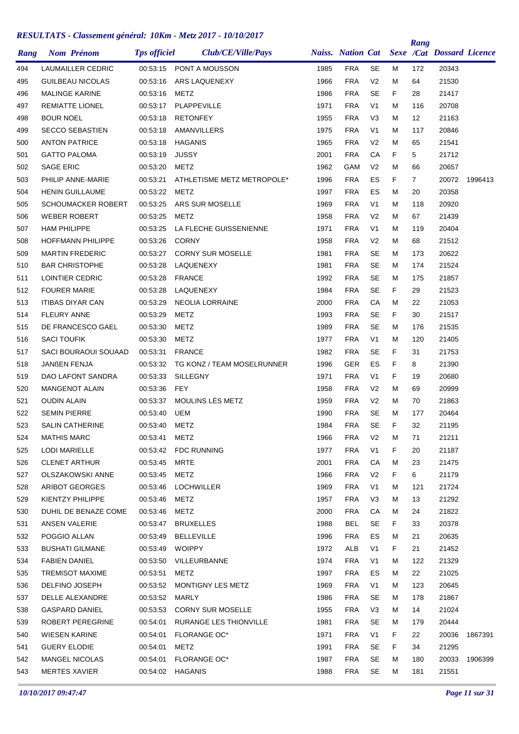|      |                      | <b>Nom Prénom</b>        | <b>Tps officiel</b> | Club/CE/Ville/Pays         |      |            |                |    | Rang           | Naiss. Nation Cat Sexe /Cat Dossard Licence |         |
|------|----------------------|--------------------------|---------------------|----------------------------|------|------------|----------------|----|----------------|---------------------------------------------|---------|
| Rang |                      |                          |                     |                            |      |            |                |    |                |                                             |         |
| 494  |                      | <b>LAUMAILLER CEDRIC</b> | 00:53:15            | PONT A MOUSSON             | 1985 | <b>FRA</b> | <b>SE</b>      | М  | 172            | 20343                                       |         |
| 495  |                      | <b>GUILBEAU NICOLAS</b>  | 00:53:16            | ARS LAQUENEXY              | 1966 | <b>FRA</b> | V <sub>2</sub> | Μ  | 64             | 21530                                       |         |
| 496  |                      | <b>MALINGE KARINE</b>    | 00:53:16            | METZ                       | 1986 | <b>FRA</b> | <b>SE</b>      | F. | 28             | 21417                                       |         |
| 497  |                      | <b>REMIATTE LIONEL</b>   | 00:53:17            | PLAPPEVILLE                | 1971 | <b>FRA</b> | V <sub>1</sub> | М  | 116            | 20708                                       |         |
| 498  | <b>BOUR NOEL</b>     |                          | 00:53:18            | <b>RETONFEY</b>            | 1955 | <b>FRA</b> | V <sub>3</sub> | м  | 12             | 21163                                       |         |
| 499  |                      | <b>SECCO SEBASTIEN</b>   | 00:53:18            | AMANVILLERS                | 1975 | <b>FRA</b> | V <sub>1</sub> | М  | 117            | 20846                                       |         |
| 500  |                      | <b>ANTON PATRICE</b>     | 00:53:18            | HAGANIS                    | 1965 | <b>FRA</b> | V <sub>2</sub> | М  | 65             | 21541                                       |         |
| 501  | <b>GATTO PALOMA</b>  |                          | 00:53:19            | <b>JUSSY</b>               | 2001 | <b>FRA</b> | CA             | F  | 5              | 21712                                       |         |
| 502  | <b>SAGE ERIC</b>     |                          | 00:53:20            | <b>METZ</b>                | 1962 | GAM        | V <sub>2</sub> | М  | 66             | 20657                                       |         |
| 503  |                      | PHILIP ANNE-MARIE        | 00:53:21            | ATHLETISME METZ METROPOLE* | 1996 | <b>FRA</b> | ES             | F  | $\overline{7}$ | 20072                                       | 1996413 |
| 504  |                      | <b>HENIN GUILLAUME</b>   | 00:53:22            | METZ                       | 1997 | <b>FRA</b> | ES             | М  | 20             | 20358                                       |         |
| 505  |                      | SCHOUMACKER ROBERT       | 00:53:25            | ARS SUR MOSELLE            | 1969 | <b>FRA</b> | V <sub>1</sub> | Μ  | 118            | 20920                                       |         |
| 506  |                      | <b>WEBER ROBERT</b>      | 00:53:25            | METZ                       | 1958 | <b>FRA</b> | V <sub>2</sub> | М  | 67             | 21439                                       |         |
| 507  | <b>HAM PHILIPPE</b>  |                          | 00:53:25            | LA FLECHE GUISSENIENNE     | 1971 | <b>FRA</b> | V <sub>1</sub> | М  | 119            | 20404                                       |         |
| 508  |                      | <b>HOFFMANN PHILIPPE</b> | 00:53:26            | <b>CORNY</b>               | 1958 | <b>FRA</b> | V <sub>2</sub> | М  | 68             | 21512                                       |         |
| 509  |                      | <b>MARTIN FREDERIC</b>   | 00:53:27            | <b>CORNY SUR MOSELLE</b>   | 1981 | <b>FRA</b> | <b>SE</b>      | м  | 173            | 20622                                       |         |
| 510  |                      | <b>BAR CHRISTOPHE</b>    | 00:53:28            | LAQUENEXY                  | 1981 | <b>FRA</b> | <b>SE</b>      | м  | 174            | 21524                                       |         |
| 511  |                      | LOINTIER CEDRIC          | 00:53:28            | <b>FRANCE</b>              | 1992 | <b>FRA</b> | <b>SE</b>      | М  | 175            | 21857                                       |         |
| 512  | <b>FOURER MARIE</b>  |                          | 00:53:28            | LAQUENEXY                  | 1984 | <b>FRA</b> | <b>SE</b>      | F  | 29             | 21523                                       |         |
| 513  |                      | <b>ITIBAS DIYAR CAN</b>  | 00:53:29            | <b>NEOLIA LORRAINE</b>     | 2000 | <b>FRA</b> | CA             | Μ  | 22             | 21053                                       |         |
| 514  | <b>FLEURY ANNE</b>   |                          | 00:53:29            | METZ                       | 1993 | <b>FRA</b> | <b>SE</b>      | F. | 30             | 21517                                       |         |
| 515  |                      | DE FRANCESCO GAEL        | 00:53:30            | METZ                       | 1989 | <b>FRA</b> | <b>SE</b>      | М  | 176            | 21535                                       |         |
| 516  | <b>SACI TOUFIK</b>   |                          | 00:53:30            | METZ                       | 1977 | <b>FRA</b> | V <sub>1</sub> | М  | 120            | 21405                                       |         |
| 517  |                      | SACI BOURAOUI SOUAAD     | 00:53:31            | <b>FRANCE</b>              | 1982 | <b>FRA</b> | <b>SE</b>      | F  | 31             | 21753                                       |         |
| 518  | JANßEN FENJA         |                          | 00:53:32            | TG KONZ / TEAM MOSELRUNNER | 1996 | GER        | ES             | F  | 8              | 21390                                       |         |
| 519  |                      | DAO LAFONT SANDRA        | 00:53:33            | <b>SILLEGNY</b>            | 1971 | <b>FRA</b> | V <sub>1</sub> | F  | 19             | 20680                                       |         |
| 520  |                      | <b>MANGENOT ALAIN</b>    | 00:53:36            | <b>FEY</b>                 | 1958 | <b>FRA</b> | V <sub>2</sub> | М  | 69             | 20999                                       |         |
| 521  | <b>OUDIN ALAIN</b>   |                          | 00:53:37            | MOULINS LÈS METZ           | 1959 | <b>FRA</b> | V <sub>2</sub> | М  | 70             | 21863                                       |         |
| 522  | <b>SEMIN PIERRE</b>  |                          | 00:53:40            | <b>UEM</b>                 | 1990 | <b>FRA</b> | <b>SE</b>      | М  | 177            | 20464                                       |         |
| 523  |                      | <b>SALIN CATHERINE</b>   | 00:53:40            | METZ                       | 1984 | <b>FRA</b> | <b>SE</b>      | F  | 32             | 21195                                       |         |
| 524  | <b>MATHIS MARC</b>   |                          | 00:53:41            | METZ                       | 1966 | <b>FRA</b> | V <sub>2</sub> | М  | 71             | 21211                                       |         |
| 525  | LODI MARIELLE        |                          | 00:53:42            | FDC RUNNING                | 1977 | <b>FRA</b> | V <sub>1</sub> | F. | 20             | 21187                                       |         |
| 526  |                      | <b>CLENET ARTHUR</b>     | 00:53:45            | <b>MRTE</b>                | 2001 | <b>FRA</b> | CА             | Μ  | 23             | 21475                                       |         |
| 527  |                      | <b>OLSZAKOWSKI ANNE</b>  | 00:53:45            | METZ                       | 1966 | <b>FRA</b> | V <sub>2</sub> | F. | 6              | 21179                                       |         |
| 528  |                      | ARIBOT GEORGES           | 00:53:46            | <b>LOCHWILLER</b>          | 1969 | <b>FRA</b> | V <sub>1</sub> | М  | 121            | 21724                                       |         |
| 529  |                      | KIENTZY PHILIPPE         | 00:53:46            | <b>METZ</b>                | 1957 | FRA        | V3             | м  | 13             | 21292                                       |         |
| 530  |                      | DUHIL DE BENAZE COME     | 00:53:46            | METZ                       | 2000 | <b>FRA</b> | CA             | М  | 24             | 21822                                       |         |
| 531  | ANSEN VALERIE        |                          | 00:53:47            | <b>BRUXELLES</b>           | 1988 | <b>BEL</b> | SE             | F  | 33             | 20378                                       |         |
| 532  | POGGIO ALLAN         |                          | 00:53:49            | <b>BELLEVILLE</b>          | 1996 | <b>FRA</b> | ES             | Μ  | 21             | 20635                                       |         |
| 533  |                      | <b>BUSHATI GILMANE</b>   | 00:53:49            | WOIPPY                     | 1972 | ALB        | V <sub>1</sub> | F. | 21             | 21452                                       |         |
| 534  | <b>FABIEN DANIEL</b> |                          | 00:53:50            | VILLEURBANNE               | 1974 | <b>FRA</b> | V <sub>1</sub> | М  | 122            | 21329                                       |         |
| 535  |                      | <b>TREMISOT MAXIME</b>   | 00:53:51            | METZ                       | 1997 | <b>FRA</b> | ES             | М  | 22             | 21025                                       |         |
| 536  |                      | DELFINO JOSEPH           | 00:53:52            | MONTIGNY LES METZ          | 1969 | <b>FRA</b> | V1             | М  | 123            | 20645                                       |         |
| 537  |                      | DELLE ALEXANDRE          | 00:53:52            | MARLY                      | 1986 | <b>FRA</b> | <b>SE</b>      | м  | 178            | 21867                                       |         |
| 538  |                      | <b>GASPARD DANIEL</b>    | 00:53:53            | <b>CORNY SUR MOSELLE</b>   | 1955 | <b>FRA</b> | V <sub>3</sub> | М  | 14             | 21024                                       |         |
| 539  |                      | ROBERT PEREGRINE         | 00:54:01            | RURANGE LES THIONVILLE     | 1981 | <b>FRA</b> | <b>SE</b>      | М  | 179            | 20444                                       |         |
| 540  |                      | WIESEN KARINE            | 00:54:01            | <b>FLORANGE OC*</b>        | 1971 | <b>FRA</b> | V1             | F. | 22             | 20036                                       | 1867391 |
| 541  | <b>GUERY ELODIE</b>  |                          | 00:54:01            | METZ                       | 1991 | <b>FRA</b> | SE             | F. | 34             | 21295                                       |         |
| 542  |                      | <b>MANGEL NICOLAS</b>    | 00:54:01            | <b>FLORANGE OC*</b>        | 1987 | <b>FRA</b> | <b>SE</b>      | Μ  | 180            | 20033                                       | 1906399 |
| 543  |                      | <b>MERTES XAVIER</b>     | 00:54:02            | HAGANIS                    | 1988 | <b>FRA</b> | <b>SE</b>      | Μ  | 181            | 21551                                       |         |
|      |                      |                          |                     |                            |      |            |                |    |                |                                             |         |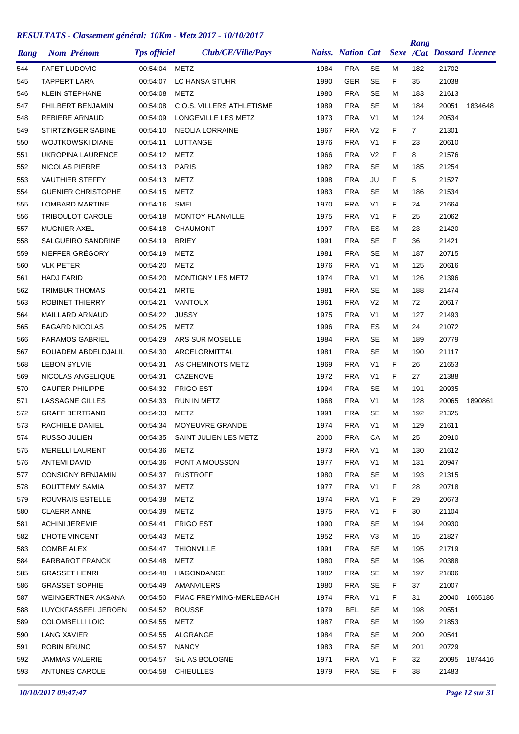| Rang | <b>Nom Prénom</b>          | <b>Tps officiel</b> | Club/CE/Ville/Pays               |      | <b>Naiss.</b> Nation Cat |                |    | Rang           | Sexe /Cat Dossard Licence |         |
|------|----------------------------|---------------------|----------------------------------|------|--------------------------|----------------|----|----------------|---------------------------|---------|
| 544  | <b>FAFET LUDOVIC</b>       | 00:54:04            | <b>METZ</b>                      | 1984 | <b>FRA</b>               | <b>SE</b>      | М  | 182            | 21702                     |         |
| 545  | <b>TAPPERT LARA</b>        | 00:54:07            | LC HANSA STUHR                   | 1990 | <b>GER</b>               | <b>SE</b>      | F  | 35             | 21038                     |         |
| 546  | <b>KLEIN STEPHANE</b>      | 00:54:08            | METZ                             | 1980 | <b>FRA</b>               | <b>SE</b>      | M  | 183            | 21613                     |         |
| 547  | PHILBERT BENJAMIN          | 00:54:08            | <b>C.O.S. VILLERS ATHLETISME</b> | 1989 | <b>FRA</b>               | <b>SE</b>      | М  | 184            | 20051                     | 1834648 |
| 548  | <b>REBIERE ARNAUD</b>      | 00:54:09            | LONGEVILLE LES METZ              | 1973 | <b>FRA</b>               | V <sub>1</sub> | М  | 124            | 20534                     |         |
| 549  | STIRTZINGER SABINE         | 00:54:10            | <b>NEOLIA LORRAINE</b>           | 1967 | <b>FRA</b>               | V <sub>2</sub> | F  | $\overline{7}$ | 21301                     |         |
| 550  | <b>WOJTKOWSKI DIANE</b>    | 00:54:11            | LUTTANGE                         | 1976 | <b>FRA</b>               | V <sub>1</sub> | F  | 23             | 20610                     |         |
| 551  | <b>UKROPINA LAURENCE</b>   | 00:54:12            | <b>METZ</b>                      | 1966 | <b>FRA</b>               | V <sub>2</sub> | F  | 8              | 21576                     |         |
| 552  | NICOLAS PIERRE             | 00:54:13            | <b>PARIS</b>                     | 1982 | <b>FRA</b>               | <b>SE</b>      | М  | 185            | 21254                     |         |
| 553  | <b>VAUTHIER STEFFY</b>     | 00:54:13            | METZ                             | 1998 | <b>FRA</b>               | JU             | F  | 5              | 21527                     |         |
| 554  | <b>GUENIER CHRISTOPHE</b>  | 00:54:15            | <b>METZ</b>                      | 1983 | <b>FRA</b>               | <b>SE</b>      | М  | 186            | 21534                     |         |
| 555  | LOMBARD MARTINE            | 00:54:16            | SMEL                             | 1970 | <b>FRA</b>               | V <sub>1</sub> | F  | 24             | 21664                     |         |
| 556  | <b>TRIBOULOT CAROLE</b>    | 00:54:18            | <b>MONTOY FLANVILLE</b>          | 1975 | <b>FRA</b>               | V <sub>1</sub> | F  | 25             | 21062                     |         |
| 557  | <b>MUGNIER AXEL</b>        | 00:54:18            | <b>CHAUMONT</b>                  | 1997 | <b>FRA</b>               | ES             | M  | 23             | 21420                     |         |
| 558  | SALGUEIRO SANDRINE         | 00:54:19            | <b>BRIEY</b>                     | 1991 | <b>FRA</b>               | <b>SE</b>      | F  | 36             | 21421                     |         |
| 559  | KIEFFER GRÉGORY            | 00:54:19            | METZ                             | 1981 | <b>FRA</b>               | <b>SE</b>      | М  | 187            | 20715                     |         |
| 560  | <b>VLK PETER</b>           | 00:54:20            | METZ                             | 1976 | <b>FRA</b>               | V <sub>1</sub> | М  | 125            | 20616                     |         |
| 561  | <b>HADJ FARID</b>          | 00:54:20            | <b>MONTIGNY LES METZ</b>         | 1974 | <b>FRA</b>               | V <sub>1</sub> | М  | 126            | 21396                     |         |
| 562  | <b>TRIMBUR THOMAS</b>      | 00:54:21            | MRTE                             | 1981 | <b>FRA</b>               | <b>SE</b>      | M  | 188            | 21474                     |         |
| 563  | <b>ROBINET THIERRY</b>     | 00:54:21            | <b>VANTOUX</b>                   | 1961 | <b>FRA</b>               | V <sub>2</sub> | М  | 72             | 20617                     |         |
| 564  | <b>MAILLARD ARNAUD</b>     | 00:54:22            | <b>JUSSY</b>                     | 1975 | <b>FRA</b>               | V <sub>1</sub> | М  | 127            | 21493                     |         |
| 565  | <b>BAGARD NICOLAS</b>      | 00:54:25            | METZ                             | 1996 | <b>FRA</b>               | ES             | м  | 24             | 21072                     |         |
| 566  | <b>PARAMOS GABRIEL</b>     | 00:54:29            | ARS SUR MOSELLE                  | 1984 | <b>FRA</b>               | <b>SE</b>      | М  | 189            | 20779                     |         |
| 567  | <b>BOUADEM ABDELDJALIL</b> | 00:54:30            | ARCELORMITTAL                    | 1981 | <b>FRA</b>               | <b>SE</b>      | М  | 190            | 21117                     |         |
| 568  | <b>LEBON SYLVIE</b>        | 00:54:31            | AS CHEMINOTS METZ                | 1969 | <b>FRA</b>               | V <sub>1</sub> | F  | 26             | 21653                     |         |
| 569  | NICOLAS ANGELIQUE          | 00:54:31            | <b>CAZENOVE</b>                  | 1972 | <b>FRA</b>               | V <sub>1</sub> | F  | 27             | 21388                     |         |
| 570  | <b>GAUFER PHILIPPE</b>     | 00:54:32            | <b>FRIGO EST</b>                 | 1994 | <b>FRA</b>               | <b>SE</b>      | М  | 191            | 20935                     |         |
| 571  | <b>LASSAGNE GILLES</b>     | 00:54:33            | RUN IN METZ                      | 1968 | <b>FRA</b>               | V <sub>1</sub> | м  | 128            | 20065                     | 1890861 |
| 572  | <b>GRAFF BERTRAND</b>      | 00:54:33            | <b>METZ</b>                      | 1991 | <b>FRA</b>               | <b>SE</b>      | М  | 192            | 21325                     |         |
| 573  | RACHIELE DANIEL            | 00:54:34            | MOYEUVRE GRANDE                  | 1974 | <b>FRA</b>               | V <sub>1</sub> | М  | 129            | 21611                     |         |
| 574  | RUSSO JULIEN               | 00:54:35            | SAINT JULIEN LES METZ            | 2000 | <b>FRA</b>               | СA             | M  | 25             | 20910                     |         |
| 575  | <b>MERELLI LAURENT</b>     | 00:54:36            | METZ                             | 1973 | <b>FRA</b>               | V <sub>1</sub> | м  | 130            | 21612                     |         |
| 576  | ANTEMI DAVID               |                     | 00:54:36 PONT A MOUSSON          | 1977 | <b>FRA</b>               | V <sub>1</sub> | M  | 131            | 20947                     |         |
| 577  | <b>CONSIGNY BENJAMIN</b>   | 00:54:37            | <b>RUSTROFF</b>                  | 1980 | <b>FRA</b>               | SE             | M  | 193            | 21315                     |         |
| 578  | <b>BOUTTEMY SAMIA</b>      | 00:54:37            | <b>METZ</b>                      | 1977 | <b>FRA</b>               | V <sub>1</sub> | F. | 28             | 20718                     |         |
| 579  | ROUVRAIS ESTELLE           | 00:54:38            | METZ                             | 1974 | <b>FRA</b>               | V1             | F. | 29             | 20673                     |         |
| 580  | <b>CLAERR ANNE</b>         | 00:54:39            | METZ                             | 1975 | <b>FRA</b>               | V <sub>1</sub> | F  | 30             | 21104                     |         |
| 581  | <b>ACHINI JEREMIE</b>      | 00:54:41            | <b>FRIGO EST</b>                 | 1990 | <b>FRA</b>               | <b>SE</b>      | М  | 194            | 20930                     |         |
| 582  | L'HOTE VINCENT             | 00:54:43            | METZ                             | 1952 | <b>FRA</b>               | V <sub>3</sub> | M  | 15             | 21827                     |         |
| 583  | <b>COMBE ALEX</b>          | 00:54:47            | <b>THIONVILLE</b>                | 1991 | <b>FRA</b>               | <b>SE</b>      | М  | 195            | 21719                     |         |
| 584  | <b>BARBAROT FRANCK</b>     | 00:54:48            | METZ                             | 1980 | <b>FRA</b>               | SE             | М  | 196            | 20388                     |         |
| 585  | <b>GRASSET HENRI</b>       | 00:54:48            | HAGONDANGE                       | 1982 | <b>FRA</b>               | SE             | М  | 197            | 21806                     |         |
| 586  | <b>GRASSET SOPHIE</b>      | 00:54:49            | AMANVILERS                       | 1980 | <b>FRA</b>               | SE             | F. | 37             | 21007                     |         |
| 587  | WEINGERTNER AKSANA         |                     | 00:54:50 FMAC FREYMING-MERLEBACH | 1974 | <b>FRA</b>               | V <sub>1</sub> | F. | 31             | 20040                     | 1665186 |
| 588  | LUYCKFASSEEL JEROEN        | 00:54:52            | <b>BOUSSE</b>                    | 1979 | BEL                      | <b>SE</b>      | Μ  | 198            | 20551                     |         |
| 589  | COLOMBELLI LOÏC            | 00:54:55            | METZ                             | 1987 | <b>FRA</b>               | <b>SE</b>      | м  | 199            | 21853                     |         |
| 590  | <b>LANG XAVIER</b>         | 00:54:55            | ALGRANGE                         | 1984 | <b>FRA</b>               | SE             | M  | 200            | 20541                     |         |
| 591  | <b>ROBIN BRUNO</b>         | 00:54:57            | <b>NANCY</b>                     | 1983 | <b>FRA</b>               | SE             | М  | 201            | 20729                     |         |
| 592  | JAMMAS VALERIE             | 00:54:57            | S/L AS BOLOGNE                   | 1971 | <b>FRA</b>               | V <sub>1</sub> | F. | 32             | 20095                     | 1874416 |
| 593  | ANTUNES CAROLE             |                     | 00:54:58 CHIEULLES               | 1979 | FRA                      | SE             | F. | 38             | 21483                     |         |
|      |                            |                     |                                  |      |                          |                |    |                |                           |         |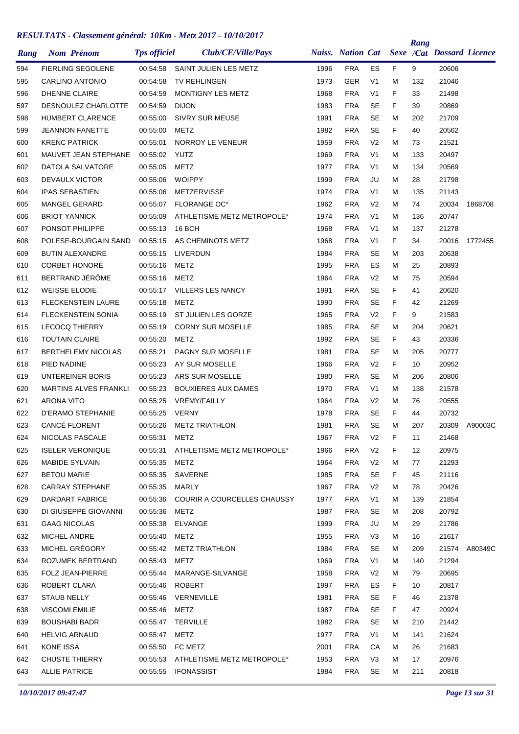| Rang | <b>Nom Prénom</b>            | <b>Tps officiel</b> | Club/CE/Ville/Pays                 |      | <b>Naiss. Nation Cat</b> |                |    | Rang | <b>Sexe /Cat Dossard Licence</b> |         |
|------|------------------------------|---------------------|------------------------------------|------|--------------------------|----------------|----|------|----------------------------------|---------|
| 594  | <b>FIERLING SEGOLENE</b>     | 00:54:58            | SAINT JULIEN LES METZ              | 1996 | <b>FRA</b>               | ES             | F. | 9    | 20606                            |         |
| 595  | <b>CARLINO ANTONIO</b>       | 00:54:58            | <b>TV REHLINGEN</b>                | 1973 | GER                      | V <sub>1</sub> | М  | 132  | 21046                            |         |
| 596  | <b>DHENNE CLAIRE</b>         | 00:54:59            | <b>MONTIGNY LES METZ</b>           | 1968 | <b>FRA</b>               | V <sub>1</sub> | F  | 33   | 21498                            |         |
| 597  | <b>DESNOULEZ CHARLOTTE</b>   | 00:54:59            | <b>DIJON</b>                       | 1983 | <b>FRA</b>               | <b>SE</b>      | F  | 39   | 20869                            |         |
| 598  | <b>HUMBERT CLARENCE</b>      | 00:55:00            | <b>SIVRY SUR MEUSE</b>             | 1991 | <b>FRA</b>               | <b>SE</b>      | М  | 202  | 21709                            |         |
| 599  | <b>JEANNON FANETTE</b>       | 00:55:00            | METZ                               | 1982 | <b>FRA</b>               | <b>SE</b>      | F  | 40   | 20562                            |         |
| 600  | <b>KRENC PATRICK</b>         | 00:55:01            | NORROY LE VENEUR                   | 1959 | <b>FRA</b>               | V <sub>2</sub> | М  | 73   | 21521                            |         |
| 601  | MAUVET JEAN STEPHANE         | 00:55:02            | YUTZ                               | 1969 | <b>FRA</b>               | V <sub>1</sub> | М  | 133  | 20497                            |         |
| 602  | DATOLA SALVATORE             | 00:55:05            | METZ                               | 1977 | <b>FRA</b>               | V <sub>1</sub> | М  | 134  | 20569                            |         |
| 603  | <b>DEVAULX VICTOR</b>        | 00:55:06            | <b>WOIPPY</b>                      | 1999 | <b>FRA</b>               | JU             | М  | 28   | 21798                            |         |
| 604  | <b>IPAS SEBASTIEN</b>        | 00:55:06            | METZERVISSE                        | 1974 | <b>FRA</b>               | V <sub>1</sub> | м  | 135  | 21143                            |         |
| 605  | <b>MANGEL GERARD</b>         | 00:55:07            | <b>FLORANGE OC*</b>                | 1962 | <b>FRA</b>               | V <sub>2</sub> | м  | 74   | 20034                            | 1868708 |
| 606  | <b>BRIOT YANNICK</b>         | 00:55:09            | ATHLETISME METZ METROPOLE*         | 1974 | <b>FRA</b>               | V <sub>1</sub> | М  | 136  | 20747                            |         |
| 607  | PONSOT PHILIPPE              | 00:55:13            | <b>16 BCH</b>                      | 1968 | <b>FRA</b>               | V <sub>1</sub> | М  | 137  | 21278                            |         |
| 608  | POLESE-BOURGAIN SAND         | 00:55:15            | AS CHEMINOTS METZ                  | 1968 | <b>FRA</b>               | V <sub>1</sub> | F  | 34   | 20016                            | 1772455 |
| 609  | <b>BUTIN ALEXANDRE</b>       | 00:55:15            | LIVERDUN                           | 1984 | <b>FRA</b>               | <b>SE</b>      | М  | 203  | 20638                            |         |
| 610  | <b>CORBET HONORÉ</b>         | 00:55:16            | METZ                               | 1995 | <b>FRA</b>               | ES             | М  | 25   | 20893                            |         |
| 611  | BERTRAND JÉRÔME              | 00:55:16            | <b>METZ</b>                        | 1964 | <b>FRA</b>               | V <sub>2</sub> | М  | 75   | 20594                            |         |
| 612  | <b>WEISSE ELODIE</b>         | 00:55:17            | <b>VILLERS LES NANCY</b>           | 1991 | <b>FRA</b>               | <b>SE</b>      | F  | 41   | 20620                            |         |
| 613  | <b>FLECKENSTEIN LAURE</b>    | 00:55:18            | METZ                               | 1990 | <b>FRA</b>               | <b>SE</b>      | F  | 42   | 21269                            |         |
| 614  | <b>FLECKENSTEIN SONIA</b>    | 00:55:19            | ST JULIEN LES GORZE                | 1965 | <b>FRA</b>               | V <sub>2</sub> | F  | 9    | 21583                            |         |
| 615  | <b>LECOCQ THIERRY</b>        | 00:55:19            | <b>CORNY SUR MOSELLE</b>           | 1985 | <b>FRA</b>               | <b>SE</b>      | М  | 204  | 20621                            |         |
| 616  | <b>TOUTAIN CLAIRE</b>        | 00:55:20            | METZ                               | 1992 | <b>FRA</b>               | <b>SE</b>      | F  | 43   | 20336                            |         |
| 617  | <b>BERTHELEMY NICOLAS</b>    | 00:55:21            | PAGNY SUR MOSELLE                  | 1981 | <b>FRA</b>               | <b>SE</b>      | М  | 205  | 20777                            |         |
| 618  | PIED NADINE                  | 00:55:23            | AY SUR MOSELLE                     | 1966 | <b>FRA</b>               | V <sub>2</sub> | F  | 10   | 20952                            |         |
| 619  | UNTEREINER BORIS             | 00:55:23            | ARS SUR MOSELLE                    | 1980 | <b>FRA</b>               | <b>SE</b>      | м  | 206  | 20806                            |         |
| 620  | <b>MARTINS ALVES FRANKLI</b> | 00:55:23            | <b>BOUXIERES AUX DAMES</b>         | 1970 | <b>FRA</b>               | V <sub>1</sub> | М  | 138  | 21578                            |         |
| 621  | <b>ARONA VITO</b>            | 00:55:25            | VRÉMY/FAILLY                       | 1964 | <b>FRA</b>               | V <sub>2</sub> | м  | 76   | 20555                            |         |
| 622  | <b>D'ERAMO STEPHANIE</b>     | 00:55:25            | <b>VERNY</b>                       | 1978 | <b>FRA</b>               | <b>SE</b>      | F. | 44   | 20732                            |         |
| 623  | CANCÉ FLORENT                | 00:55:26            | <b>METZ TRIATHLON</b>              | 1981 | <b>FRA</b>               | <b>SE</b>      | М  | 207  | 20309                            | A90003C |
| 624  | NICOLAS PASCALE              | 00:55:31            | METZ                               | 1967 | <b>FRA</b>               | V <sub>2</sub> | F  | 11   | 21468                            |         |
| 625  | <b>ISELER VERONIQUE</b>      | 00:55:31            | ATHLETISME METZ METROPOLE*         | 1966 | <b>FRA</b>               | V <sub>2</sub> | F. | 12   | 20975                            |         |
| 626  | MABIDE SYLVAIN               | 00:55:35            | METZ                               | 1964 | <b>FRA</b>               | V <sub>2</sub> | Μ  | 77   | 21293                            |         |
| 627  | <b>BETOU MARIE</b>           | 00:55:35            | SAVERNE                            | 1985 | <b>FRA</b>               | <b>SE</b>      | F. | 45   | 21116                            |         |
| 628  | <b>CARRAY STEPHANE</b>       | 00:55:35            | MARLY                              | 1967 | <b>FRA</b>               | V <sub>2</sub> | М  | 78   | 20426                            |         |
| 629  | <b>DARDART FABRICE</b>       | 00:55:36            | <b>COURIR A COURCELLES CHAUSSY</b> | 1977 | <b>FRA</b>               | V <sub>1</sub> | м  | 139  | 21854                            |         |
| 630  | DI GIUSEPPE GIOVANNI         | 00:55:36            | METZ                               | 1987 | <b>FRA</b>               | <b>SE</b>      | м  | 208  | 20792                            |         |
| 631  | <b>GAAG NICOLAS</b>          | 00:55:38            | ELVANGE                            | 1999 | <b>FRA</b>               | JU             | м  | 29   | 21786                            |         |
| 632  | MICHEL ANDRE                 | 00:55:40            | METZ                               | 1955 | <b>FRA</b>               | V <sub>3</sub> | м  | 16   | 21617                            |         |
| 633  | MICHEL GRÉGORY               | 00:55:42            | <b>METZ TRIATHLON</b>              | 1984 | FRA                      | <b>SE</b>      | М  | 209  | 21574                            | A80349C |
| 634  | ROZUMEK BERTRAND             | 00:55:43            | METZ                               | 1969 | FRA                      | V <sub>1</sub> | М  | 140  | 21294                            |         |
| 635  | FOLZ JEAN-PIERRE             | 00:55:44            | MARANGE-SILVANGE                   | 1958 | <b>FRA</b>               | V <sub>2</sub> | М  | 79   | 20695                            |         |
| 636  | ROBERT CLARA                 | 00:55:46            | ROBERT                             | 1997 | <b>FRA</b>               | ES             | F. | 10   | 20817                            |         |
| 637  | <b>STAUB NELLY</b>           | 00:55:46            | VERNEVILLE                         | 1981 | <b>FRA</b>               | <b>SE</b>      | F. | 46   | 21378                            |         |
| 638  | <b>VISCOMI EMILIE</b>        | 00:55:46            | <b>METZ</b>                        | 1987 | <b>FRA</b>               | <b>SE</b>      | F. | 47   | 20924                            |         |
| 639  | <b>BOUSHABI BADR</b>         | 00:55:47            | TERVILLE                           | 1982 | <b>FRA</b>               | <b>SE</b>      | м  | 210  | 21442                            |         |
| 640  | <b>HELVIG ARNAUD</b>         | 00:55:47            | METZ                               | 1977 | FRA                      | V <sub>1</sub> | м  | 141  | 21624                            |         |
| 641  | <b>KONE ISSA</b>             | 00:55:50            | FC METZ                            | 2001 | <b>FRA</b>               | СA             | м  | 26   | 21683                            |         |
| 642  | <b>CHUSTE THIERRY</b>        | 00:55:53            | ATHLETISME METZ METROPOLE*         | 1953 | <b>FRA</b>               | V <sub>3</sub> | м  | 17   | 20976                            |         |
| 643  | <b>ALLIE PATRICE</b>         |                     | 00:55:55 IFONASSIST                | 1984 | <b>FRA</b>               | SE             | М  | 211  | 20818                            |         |
|      |                              |                     |                                    |      |                          |                |    |      |                                  |         |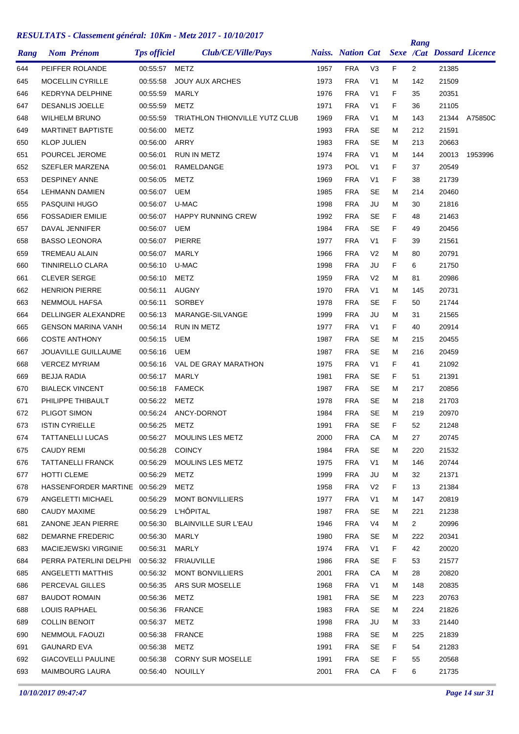| Rang | <b>Nom Prénom</b>             | <b>Tps officiel</b> | Club/CE/Ville/Pays                    |      | <b>Naiss.</b> Nation Cat |                |    | Rang         | <b>Sexe /Cat Dossard Licence</b> |         |
|------|-------------------------------|---------------------|---------------------------------------|------|--------------------------|----------------|----|--------------|----------------------------------|---------|
| 644  | PEIFFER ROLANDE               | 00:55:57            | METZ                                  | 1957 | <b>FRA</b>               | V <sub>3</sub> | F. | $\mathbf{2}$ | 21385                            |         |
| 645  | MOCELLIN CYRILLE              | 00:55:58            | <b>JOUY AUX ARCHES</b>                | 1973 | <b>FRA</b>               | V <sub>1</sub> | м  | 142          | 21509                            |         |
| 646  | <b>KEDRYNA DELPHINE</b>       | 00:55:59            | MARLY                                 | 1976 | <b>FRA</b>               | V <sub>1</sub> | F  | 35           | 20351                            |         |
| 647  | <b>DESANLIS JOELLE</b>        | 00:55:59            | METZ                                  | 1971 | <b>FRA</b>               | V <sub>1</sub> | F  | 36           | 21105                            |         |
| 648  | <b>WILHELM BRUNO</b>          | 00:55:59            | <b>TRIATHLON THIONVILLE YUTZ CLUB</b> | 1969 | <b>FRA</b>               | V <sub>1</sub> | м  | 143          | 21344                            | A75850C |
| 649  | <b>MARTINET BAPTISTE</b>      | 00:56:00            | METZ                                  | 1993 | <b>FRA</b>               | <b>SE</b>      | м  | 212          | 21591                            |         |
| 650  | <b>KLOP JULIEN</b>            | 00:56:00            | <b>ARRY</b>                           | 1983 | <b>FRA</b>               | <b>SE</b>      | м  | 213          | 20663                            |         |
| 651  | POURCEL JEROME                | 00:56:01            | <b>RUN IN METZ</b>                    | 1974 | <b>FRA</b>               | V <sub>1</sub> | м  | 144          | 20013                            | 1953996 |
| 652  | SZEFLER MARZENA               | 00:56:01            | RAMELDANGE                            | 1973 | POL                      | V <sub>1</sub> | F  | 37           | 20549                            |         |
| 653  | <b>DESPINEY ANNE</b>          | 00:56:05            | METZ                                  | 1969 | <b>FRA</b>               | V <sub>1</sub> | F  | 38           | 21739                            |         |
| 654  | <b>LEHMANN DAMIEN</b>         | 00:56:07            | UEM                                   | 1985 | <b>FRA</b>               | <b>SE</b>      | м  | 214          | 20460                            |         |
| 655  | <b>PASQUINI HUGO</b>          | 00:56:07            | U-MAC                                 | 1998 | <b>FRA</b>               | JU             | м  | 30           | 21816                            |         |
| 656  | <b>FOSSADIER EMILIE</b>       | 00:56:07            | <b>HAPPY RUNNING CREW</b>             | 1992 | <b>FRA</b>               | <b>SE</b>      | F  | 48           | 21463                            |         |
| 657  | DAVAL JENNIFER                | 00:56:07            | UEM                                   | 1984 | <b>FRA</b>               | <b>SE</b>      | F  | 49           | 20456                            |         |
| 658  | <b>BASSO LEONORA</b>          | 00:56:07            | <b>PIERRE</b>                         | 1977 | <b>FRA</b>               | V <sub>1</sub> | F  | 39           | 21561                            |         |
| 659  | TREMEAU ALAIN                 | 00:56:07            | MARLY                                 | 1966 | <b>FRA</b>               | V <sub>2</sub> | M  | 80           | 20791                            |         |
| 660  | <b>TINNIRELLO CLARA</b>       | 00:56:10            | U-MAC                                 | 1998 | <b>FRA</b>               | JU             | F  | 6            | 21750                            |         |
| 661  | <b>CLEVER SERGE</b>           | 00:56:10            | METZ                                  | 1959 | <b>FRA</b>               | V <sub>2</sub> | м  | 81           | 20986                            |         |
| 662  | <b>HENRION PIERRE</b>         | 00:56:11            | <b>AUGNY</b>                          | 1970 | <b>FRA</b>               | V <sub>1</sub> | М  | 145          | 20731                            |         |
| 663  | <b>NEMMOUL HAFSA</b>          | 00:56:11            | <b>SORBEY</b>                         | 1978 | <b>FRA</b>               | <b>SE</b>      | F  | 50           | 21744                            |         |
| 664  | DELLINGER ALEXANDRE           | 00:56:13            | MARANGE-SILVANGE                      | 1999 | <b>FRA</b>               | JU             | м  | 31           | 21565                            |         |
| 665  | GENSON MARINA VANH            | 00:56:14            | <b>RUN IN METZ</b>                    | 1977 | <b>FRA</b>               | V <sub>1</sub> | F  | 40           | 20914                            |         |
| 666  | <b>COSTE ANTHONY</b>          | 00:56:15            | UEM                                   | 1987 | <b>FRA</b>               | <b>SE</b>      | м  | 215          | 20455                            |         |
| 667  | JOUAVILLE GUILLAUME           | 00:56:16            | UEM                                   | 1987 | <b>FRA</b>               | <b>SE</b>      | м  | 216          | 20459                            |         |
| 668  | <b>VERCEZ MYRIAM</b>          | 00:56:16            | VAL DE GRAY MARATHON                  | 1975 | <b>FRA</b>               | V <sub>1</sub> | F  | 41           | 21092                            |         |
| 669  | <b>BEJJA RADIA</b>            | 00:56:17            | MARLY                                 | 1981 | <b>FRA</b>               | <b>SE</b>      | F  | 51           | 21391                            |         |
| 670  | <b>BIALECK VINCENT</b>        | 00:56:18            | <b>FAMECK</b>                         | 1987 | <b>FRA</b>               | <b>SE</b>      | м  | 217          | 20856                            |         |
| 671  | PHILIPPE THIBAULT             | 00:56:22            | METZ                                  | 1978 | <b>FRA</b>               | SE             | м  | 218          | 21703                            |         |
| 672  | PLIGOT SIMON                  | 00:56:24            | ANCY-DORNOT                           | 1984 | <b>FRA</b>               | <b>SE</b>      | м  | 219          | 20970                            |         |
| 673  | <b>ISTIN CYRIELLE</b>         | 00:56:25            | METZ                                  | 1991 | <b>FRA</b>               | <b>SE</b>      | F  | 52           | 21248                            |         |
| 674  | <b>TATTANELLI LUCAS</b>       | 00:56:27            | MOULINS LES METZ                      | 2000 | <b>FRA</b>               | CA             | M  | 27           | 20745                            |         |
| 675  | <b>CAUDY REMI</b>             | 00:56:28            | <b>COINCY</b>                         | 1984 | <b>FRA</b>               | SE             | М  | 220          | 21532                            |         |
| 676  | TATTANELLI FRANCK             | 00:56:29            | <b>MOULINS LES METZ</b>               | 1975 | <b>FRA</b>               | V <sub>1</sub> | м  | 146          | 20744                            |         |
| 677  | <b>HOTTI CLEME</b>            | 00:56:29            | METZ                                  | 1999 | <b>FRA</b>               | JU             | м  | 32           | 21371                            |         |
| 678  | HASSENFORDER MARTINE 00:56:29 |                     | METZ                                  | 1958 | <b>FRA</b>               | V <sub>2</sub> | F. | 13           | 21384                            |         |
| 679  | ANGELETTI MICHAEL             | 00:56:29            | <b>MONT BONVILLIERS</b>               | 1977 | <b>FRA</b>               | V <sub>1</sub> | м  | 147          | 20819                            |         |
| 680  | CAUDY MAXIME                  | 00:56:29            | <b>L'HÔPITAL</b>                      | 1987 | <b>FRA</b>               | <b>SE</b>      | м  | 221          | 21238                            |         |
| 681  | ZANONE JEAN PIERRE            | 00:56:30            | <b>BLAINVILLE SUR L'EAU</b>           | 1946 | <b>FRA</b>               | V <sub>4</sub> | м  | $\mathbf{2}$ | 20996                            |         |
| 682  | DEMARNE FREDERIC              | 00:56:30            | MARLY                                 | 1980 | <b>FRA</b>               | <b>SE</b>      | м  | 222          | 20341                            |         |
| 683  | <b>MACIEJEWSKI VIRGINIE</b>   | 00:56:31            | MARLY                                 | 1974 | <b>FRA</b>               | V <sub>1</sub> | F  | 42           | 20020                            |         |
| 684  | PERRA PATERLINI DELPHI        | 00:56:32            | <b>FRIAUVILLE</b>                     | 1986 | <b>FRA</b>               | <b>SE</b>      | F  | 53           | 21577                            |         |
| 685  | ANGELETTI MATTHIS             | 00:56:32            | MONT BONVILLIERS                      | 2001 | <b>FRA</b>               | CA             | м  | 28           | 20820                            |         |
| 686  | PERCEVAL GILLES               | 00:56:35            | ARS SUR MOSELLE                       | 1968 | <b>FRA</b>               | V <sub>1</sub> | м  | 148          | 20835                            |         |
| 687  | <b>BAUDOT ROMAIN</b>          | 00:56:36            | <b>METZ</b>                           | 1981 | <b>FRA</b>               | SE             | м  | 223          | 20763                            |         |
| 688  | LOUIS RAPHAEL                 | 00:56:36            | FRANCE                                | 1983 | <b>FRA</b>               | <b>SE</b>      | м  | 224          | 21826                            |         |
| 689  | <b>COLLIN BENOIT</b>          | 00:56:37            | <b>METZ</b>                           | 1998 | <b>FRA</b>               | JU             | м  | 33           | 21440                            |         |
| 690  | NEMMOUL FAOUZI                | 00:56:38            | <b>FRANCE</b>                         | 1988 | <b>FRA</b>               | <b>SE</b>      | м  | 225          | 21839                            |         |
| 691  | <b>GAUNARD EVA</b>            | 00:56:38            | <b>METZ</b>                           | 1991 | <b>FRA</b>               | <b>SE</b>      | F. | 54           | 21283                            |         |
| 692  | GIACOVELLI PAULINE            |                     | 00:56:38 CORNY SUR MOSELLE            | 1991 | <b>FRA</b>               | SE             | F  | 55           | 20568                            |         |
| 693  | MAIMBOURG LAURA               | 00:56:40            | NOUILLY                               | 2001 | <b>FRA</b>               | CA             | F. | 6            | 21735                            |         |
|      |                               |                     |                                       |      |                          |                |    |              |                                  |         |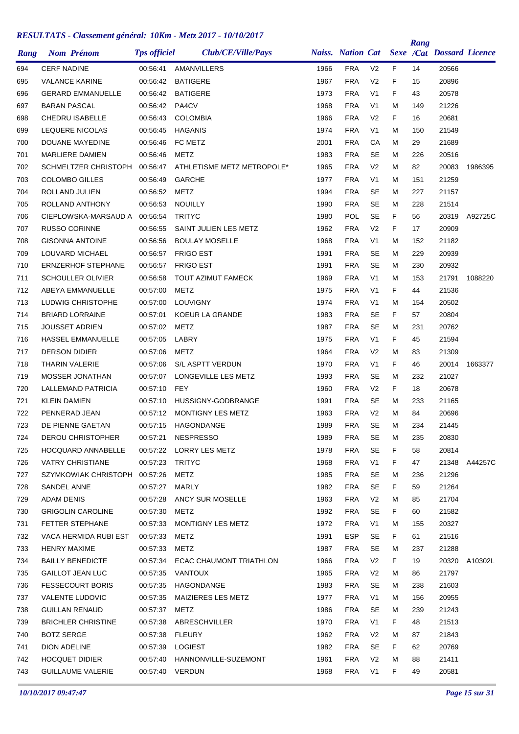|      | <b>Nom Prénom</b>             | <b>Tps officiel</b> | Club/CE/Ville/Pays         |      | <b>Naiss. Nation Cat</b> |                |    | Rang | <b>Sexe /Cat Dossard Licence</b> |         |
|------|-------------------------------|---------------------|----------------------------|------|--------------------------|----------------|----|------|----------------------------------|---------|
| Rang |                               |                     |                            |      |                          |                |    |      |                                  |         |
| 694  | <b>CERF NADINE</b>            | 00:56:41            | AMANVILLERS                | 1966 | <b>FRA</b>               | V <sub>2</sub> | F. | 14   | 20566                            |         |
| 695  | <b>VALANCE KARINE</b>         | 00:56:42            | <b>BATIGERE</b>            | 1967 | <b>FRA</b>               | V <sub>2</sub> | F  | 15   | 20896                            |         |
| 696  | <b>GERARD EMMANUELLE</b>      | 00:56:42            | <b>BATIGERE</b>            | 1973 | <b>FRA</b>               | V <sub>1</sub> | F  | 43   | 20578                            |         |
| 697  | <b>BARAN PASCAL</b>           | 00:56:42            | PA4CV                      | 1968 | <b>FRA</b>               | V <sub>1</sub> | М  | 149  | 21226                            |         |
| 698  | <b>CHEDRU ISABELLE</b>        | 00:56:43            | <b>COLOMBIA</b>            | 1966 | <b>FRA</b>               | V <sub>2</sub> | F. | 16   | 20681                            |         |
| 699  | LEQUERE NICOLAS               | 00:56:45            | <b>HAGANIS</b>             | 1974 | <b>FRA</b>               | V <sub>1</sub> | М  | 150  | 21549                            |         |
| 700  | DOUANE MAYEDINE               | 00:56:46            | FC METZ                    | 2001 | <b>FRA</b>               | СA             | М  | 29   | 21689                            |         |
| 701  | <b>MARLIERE DAMIEN</b>        | 00:56:46            | METZ                       | 1983 | <b>FRA</b>               | <b>SE</b>      | М  | 226  | 20516                            |         |
| 702  | <b>SCHMELTZER CHRISTOPH</b>   | 00:56:47            | ATHLETISME METZ METROPOLE* | 1965 | <b>FRA</b>               | V <sub>2</sub> | Μ  | 82   | 20083                            | 1986395 |
| 703  | <b>COLOMBO GILLES</b>         | 00:56:49            | <b>GARCHE</b>              | 1977 | <b>FRA</b>               | V <sub>1</sub> | М  | 151  | 21259                            |         |
| 704  | ROLLAND JULIEN                | 00:56:52            | METZ                       | 1994 | <b>FRA</b>               | <b>SE</b>      | М  | 227  | 21157                            |         |
| 705  | ROLLAND ANTHONY               | 00:56:53            | <b>NOUILLY</b>             | 1990 | <b>FRA</b>               | SE             | м  | 228  | 21514                            |         |
| 706  | CIEPLOWSKA-MARSAUD A          | 00:56:54            | <b>TRITYC</b>              | 1980 | POL                      | <b>SE</b>      | F  | 56   | 20319                            | A92725C |
| 707  | <b>RUSSO CORINNE</b>          | 00:56:55            | SAINT JULIEN LES METZ      | 1962 | <b>FRA</b>               | V <sub>2</sub> | F  | 17   | 20909                            |         |
| 708  | <b>GISONNA ANTOINE</b>        | 00:56:56            | <b>BOULAY MOSELLE</b>      | 1968 | <b>FRA</b>               | V <sub>1</sub> | М  | 152  | 21182                            |         |
| 709  | LOUVARD MICHAEL               | 00:56:57            | <b>FRIGO EST</b>           | 1991 | <b>FRA</b>               | <b>SE</b>      | М  | 229  | 20939                            |         |
| 710  | <b>ERNZERHOF STEPHANE</b>     | 00:56:57            | <b>FRIGO EST</b>           | 1991 | <b>FRA</b>               | <b>SE</b>      | М  | 230  | 20932                            |         |
| 711  | <b>SCHOULLER OLIVIER</b>      | 00:56:58            | <b>TOUT AZIMUT FAMECK</b>  | 1969 | <b>FRA</b>               | V <sub>1</sub> | м  | 153  | 21791                            | 1088220 |
| 712  | ABEYA EMMANUELLE              | 00:57:00            | METZ                       | 1975 | <b>FRA</b>               | V <sub>1</sub> | F  | 44   | 21536                            |         |
| 713  | LUDWIG CHRISTOPHE             | 00:57:00            | LOUVIGNY                   | 1974 | <b>FRA</b>               | V <sub>1</sub> | М  | 154  | 20502                            |         |
| 714  | <b>BRIARD LORRAINE</b>        | 00:57:01            | KOEUR LA GRANDE            | 1983 | <b>FRA</b>               | <b>SE</b>      | F  | 57   | 20804                            |         |
| 715  | JOUSSET ADRIEN                | 00:57:02            | METZ                       | 1987 | <b>FRA</b>               | <b>SE</b>      | М  | 231  | 20762                            |         |
| 716  | <b>HASSEL EMMANUELLE</b>      | 00:57:05            | LABRY                      | 1975 | <b>FRA</b>               | V <sub>1</sub> | F  | 45   | 21594                            |         |
| 717  | <b>DERSON DIDIER</b>          | 00:57:06            | METZ                       | 1964 | <b>FRA</b>               | V <sub>2</sub> | М  | 83   | 21309                            |         |
| 718  | <b>THARIN VALERIE</b>         | 00:57:06            | S/L ASPTT VERDUN           | 1970 | <b>FRA</b>               | V <sub>1</sub> | F  | 46   | 20014                            | 1663377 |
| 719  | <b>MOSSER JONATHAN</b>        | 00:57:07            | LONGEVILLE LES METZ        | 1993 | <b>FRA</b>               | <b>SE</b>      | М  | 232  | 21027                            |         |
| 720  | <b>LALLEMAND PATRICIA</b>     | 00:57:10            | <b>FEY</b>                 | 1960 | <b>FRA</b>               | V <sub>2</sub> | F  | 18   | 20678                            |         |
| 721  | <b>KLEIN DAMIEN</b>           | 00:57:10            | <b>HUSSIGNY-GODBRANGE</b>  | 1991 | <b>FRA</b>               | <b>SE</b>      | м  | 233  | 21165                            |         |
| 722  | PENNERAD JEAN                 | 00:57:12            | MONTIGNY LES METZ          | 1963 | <b>FRA</b>               | V <sub>2</sub> | М  | 84   | 20696                            |         |
| 723  | DE PIENNE GAETAN              | 00:57:15            | HAGONDANGE                 | 1989 | <b>FRA</b>               | <b>SE</b>      | М  | 234  | 21445                            |         |
| 724  | <b>DEROU CHRISTOPHER</b>      | 00:57:21            | <b>NESPRESSO</b>           | 1989 | <b>FRA</b>               | <b>SE</b>      | Μ  | 235  | 20830                            |         |
| 725  | <b>HOCQUARD ANNABELLE</b>     | 00:57:22            | LORRY LES METZ             | 1978 | <b>FRA</b>               | <b>SE</b>      | F. | 58   | 20814                            |         |
| 726  | <b>VATRY CHRISTIANE</b>       | 00:57:23 TRITYC     |                            | 1968 | <b>FRA</b>               | V <sub>1</sub> | F. | 47   | 21348                            | A44257C |
| 727  | SZYMKOWIAK CHRISTOPH 00:57:26 |                     | <b>METZ</b>                | 1985 | <b>FRA</b>               | <b>SE</b>      | М  | 236  | 21296                            |         |
| 728  | SANDEL ANNE                   | 00:57:27            | MARLY                      | 1982 | <b>FRA</b>               | <b>SE</b>      | F. | 59   | 21264                            |         |
| 729  | ADAM DENIS                    | 00:57:28            | ANCY SUR MOSELLE           | 1963 | <b>FRA</b>               | V <sub>2</sub> | м  | 85   | 21704                            |         |
| 730  | <b>GRIGOLIN CAROLINE</b>      | 00:57:30            | METZ                       | 1992 | <b>FRA</b>               | <b>SE</b>      | F. | 60   | 21582                            |         |
| 731  | FETTER STEPHANE               | 00:57:33            | MONTIGNY LES METZ          | 1972 | <b>FRA</b>               | V <sub>1</sub> | М  | 155  | 20327                            |         |
| 732  | VACA HERMIDA RUBI EST         | 00:57:33            | METZ                       | 1991 | <b>ESP</b>               | SE             | F. | 61   | 21516                            |         |
| 733  | <b>HENRY MAXIME</b>           | 00:57:33            | <b>METZ</b>                | 1987 | <b>FRA</b>               | <b>SE</b>      | М  | 237  | 21288                            |         |
| 734  | <b>BAILLY BENEDICTE</b>       | 00:57:34            | ECAC CHAUMONT TRIATHLON    | 1966 | <b>FRA</b>               | V <sub>2</sub> | F. | 19   | 20320                            | A10302L |
| 735  | <b>GAILLOT JEAN LUC</b>       | 00:57:35            | VANTOUX                    | 1965 | <b>FRA</b>               | V <sub>2</sub> | М  | 86   | 21797                            |         |
| 736  | <b>FESSECOURT BORIS</b>       | 00:57:35            | HAGONDANGE                 | 1983 | <b>FRA</b>               | <b>SE</b>      | м  | 238  | 21603                            |         |
| 737  | VALENTE LUDOVIC               | 00:57:35            | MAIZIERES LES METZ         | 1977 | <b>FRA</b>               | V <sub>1</sub> | м  | 156  | 20955                            |         |
| 738  | <b>GUILLAN RENAUD</b>         | 00:57:37            | <b>METZ</b>                | 1986 | <b>FRA</b>               | <b>SE</b>      | м  | 239  | 21243                            |         |
| 739  | <b>BRICHLER CHRISTINE</b>     | 00:57:38            | ABRESCHVILLER              | 1970 | <b>FRA</b>               | V <sub>1</sub> | F. | 48   | 21513                            |         |
| 740  | <b>BOTZ SERGE</b>             |                     | 00:57:38 FLEURY            | 1962 | FRA                      | V <sub>2</sub> | М  | 87   | 21843                            |         |
| 741  | <b>DION ADELINE</b>           | 00:57:39            | <b>LOGIEST</b>             | 1982 | <b>FRA</b>               | <b>SE</b>      | F. | 62   | 20769                            |         |
| 742  | <b>HOCQUET DIDIER</b>         | 00:57:40            | HANNONVILLE-SUZEMONT       | 1961 | <b>FRA</b>               | V <sub>2</sub> | м  | 88   | 21411                            |         |
| 743  | <b>GUILLAUME VALERIE</b>      |                     | 00:57:40 VERDUN            | 1968 | <b>FRA</b>               | V <sub>1</sub> | F. | 49   | 20581                            |         |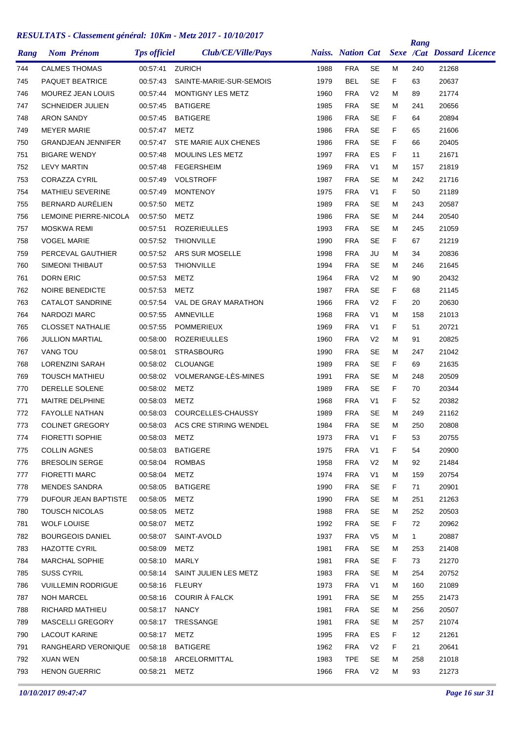| Rang | <b>Nom Prénom</b>         | <b>Tps officiel</b> | Club/CE/Ville/Pays             |      | <b>Naiss. Nation Cat</b> |                |    | Rang         | <b>Sexe /Cat Dossard Licence</b> |  |
|------|---------------------------|---------------------|--------------------------------|------|--------------------------|----------------|----|--------------|----------------------------------|--|
| 744  | <b>CALMES THOMAS</b>      | 00:57:41            | <b>ZURICH</b>                  | 1988 | <b>FRA</b>               | <b>SE</b>      | м  | 240          | 21268                            |  |
| 745  | <b>PAQUET BEATRICE</b>    | 00:57:43            | SAINTE-MARIE-SUR-SEMOIS        | 1979 | <b>BEL</b>               | <b>SE</b>      | F  | 63           | 20637                            |  |
| 746  | <b>MOUREZ JEAN LOUIS</b>  | 00:57:44            | MONTIGNY LES METZ              | 1960 | <b>FRA</b>               | V <sub>2</sub> | М  | 89           | 21774                            |  |
| 747  | <b>SCHNEIDER JULIEN</b>   | 00:57:45            | <b>BATIGERE</b>                | 1985 | <b>FRA</b>               | <b>SE</b>      | м  | 241          | 20656                            |  |
| 748  | <b>ARON SANDY</b>         | 00:57:45            | <b>BATIGERE</b>                | 1986 | <b>FRA</b>               | <b>SE</b>      | F  | 64           | 20894                            |  |
| 749  | <b>MEYER MARIE</b>        | 00:57:47            | METZ                           | 1986 | <b>FRA</b>               | <b>SE</b>      | F  | 65           | 21606                            |  |
| 750  | <b>GRANDJEAN JENNIFER</b> | 00:57:47            | STE MARIE AUX CHENES           | 1986 | <b>FRA</b>               | <b>SE</b>      | F  | 66           | 20405                            |  |
| 751  | <b>BIGARE WENDY</b>       | 00:57:48            | <b>MOULINS LES METZ</b>        | 1997 | <b>FRA</b>               | ES             | F  | 11           | 21671                            |  |
| 752  | <b>LEVY MARTIN</b>        | 00:57:48            | <b>FEGERSHEIM</b>              | 1969 | <b>FRA</b>               | V <sub>1</sub> | М  | 157          | 21819                            |  |
| 753  | <b>CORAZZA CYRIL</b>      | 00:57:49            | <b>VOLSTROFF</b>               | 1987 | <b>FRA</b>               | <b>SE</b>      | м  | 242          | 21716                            |  |
| 754  | <b>MATHIEU SEVERINE</b>   | 00:57:49            | <b>MONTENOY</b>                | 1975 | <b>FRA</b>               | V <sub>1</sub> | F  | 50           | 21189                            |  |
| 755  | BERNARD AURÉLIEN          | 00:57:50            | METZ                           | 1989 | <b>FRA</b>               | SE             | м  | 243          | 20587                            |  |
| 756  | LEMOINE PIERRE-NICOLA     | 00:57:50            | METZ                           | 1986 | <b>FRA</b>               | SE             | м  | 244          | 20540                            |  |
| 757  | <b>MOSKWA REMI</b>        | 00:57:51            | <b>ROZERIEULLES</b>            | 1993 | <b>FRA</b>               | <b>SE</b>      | м  | 245          | 21059                            |  |
| 758  | <b>VOGEL MARIE</b>        | 00:57:52            | <b>THIONVILLE</b>              | 1990 | <b>FRA</b>               | SE             | F  | 67           | 21219                            |  |
| 759  | PERCEVAL GAUTHIER         | 00:57:52            | ARS SUR MOSELLE                | 1998 | <b>FRA</b>               | JU             | м  | 34           | 20836                            |  |
| 760  | SIMEONI THIBAUT           | 00:57:53            | <b>THIONVILLE</b>              | 1994 | <b>FRA</b>               | <b>SE</b>      | м  | 246          | 21645                            |  |
| 761  | <b>DORN ERIC</b>          | 00:57:53            | <b>METZ</b>                    | 1964 | <b>FRA</b>               | V <sub>2</sub> | м  | 90           | 20432                            |  |
| 762  | <b>NOIRE BENEDICTE</b>    | 00:57:53            | METZ                           | 1987 | <b>FRA</b>               | <b>SE</b>      | F  | 68           | 21145                            |  |
| 763  | <b>CATALOT SANDRINE</b>   | 00:57:54            | VAL DE GRAY MARATHON           | 1966 | <b>FRA</b>               | V <sub>2</sub> | F  | 20           | 20630                            |  |
| 764  | NARDOZI MARC              | 00:57:55            | AMNEVILLE                      | 1968 | <b>FRA</b>               | V <sub>1</sub> | м  | 158          | 21013                            |  |
| 765  | <b>CLOSSET NATHALIE</b>   | 00:57:55            | <b>POMMERIEUX</b>              | 1969 | <b>FRA</b>               | V <sub>1</sub> | F  | 51           | 20721                            |  |
| 766  | <b>JULLION MARTIAL</b>    | 00:58:00            | <b>ROZERIEULLES</b>            | 1960 | <b>FRA</b>               | V <sub>2</sub> | м  | 91           | 20825                            |  |
| 767  | <b>VANG TOU</b>           | 00:58:01            | <b>STRASBOURG</b>              | 1990 | <b>FRA</b>               | <b>SE</b>      | М  | 247          | 21042                            |  |
| 768  | <b>LORENZINI SARAH</b>    | 00:58:02            | CLOUANGE                       | 1989 | <b>FRA</b>               | SE             | F  | 69           | 21635                            |  |
| 769  | <b>TOUSCH MATHIEU</b>     | 00:58:02            | VOLMERANGE-LÈS-MINES           | 1991 | <b>FRA</b>               | <b>SE</b>      | М  | 248          | 20509                            |  |
| 770  | DERELLE SOLENE            | 00:58:02            | METZ                           | 1989 | <b>FRA</b>               | <b>SE</b>      | F  | 70           | 20344                            |  |
| 771  | MAITRE DELPHINE           | 00:58:03            | METZ                           | 1968 | <b>FRA</b>               | V <sub>1</sub> | F  | 52           | 20382                            |  |
| 772  | FAYOLLE NATHAN            | 00:58:03            | COURCELLES-CHAUSSY             | 1989 | <b>FRA</b>               | SE             | м  | 249          | 21162                            |  |
| 773  | <b>COLINET GREGORY</b>    | 00:58:03            | ACS CRE STIRING WENDEL         | 1984 | <b>FRA</b>               | <b>SE</b>      | М  | 250          | 20808                            |  |
| 774  | <b>FIORETTI SOPHIE</b>    | 00:58:03            | METZ                           | 1973 | <b>FRA</b>               | V <sub>1</sub> | F. | 53           | 20755                            |  |
| 775  | <b>COLLIN AGNES</b>       |                     | 00:58:03 BATIGERE              | 1975 | <b>FRA</b>               | V <sub>1</sub> | F. | 54           | 20900                            |  |
| 776  | <b>BRESOLIN SERGE</b>     |                     | 00:58:04 ROMBAS                | 1958 | <b>FRA</b>               | V <sub>2</sub> | м  | 92           | 21484                            |  |
| 777  | <b>FIORETTI MARC</b>      | 00:58:04            | METZ                           | 1974 | <b>FRA</b>               | V <sub>1</sub> | м  | 159          | 20754                            |  |
| 778  | <b>MENDES SANDRA</b>      | 00:58:05            | BATIGERE                       | 1990 | <b>FRA</b>               | SE             | F. | 71           | 20901                            |  |
| 779  | DUFOUR JEAN BAPTISTE      | 00:58:05            | METZ                           | 1990 | FRA                      | SE             | м  | 251          | 21263                            |  |
| 780  | <b>TOUSCH NICOLAS</b>     | 00:58:05            | METZ                           | 1988 | <b>FRA</b>               | <b>SE</b>      | м  | 252          | 20503                            |  |
| 781  | WOLF LOUISE               | 00:58:07            | METZ                           | 1992 | <b>FRA</b>               | <b>SE</b>      | F. | 72           | 20962                            |  |
| 782  | <b>BOURGEOIS DANIEL</b>   |                     | 00:58:07 SAINT-AVOLD           | 1937 | FRA                      | V <sub>5</sub> | м  | $\mathbf{1}$ | 20887                            |  |
| 783  | <b>HAZOTTE CYRIL</b>      | 00:58:09            | METZ                           | 1981 | <b>FRA</b>               | <b>SE</b>      | м  | 253          | 21408                            |  |
| 784  | MARCHAL SOPHIE            | 00:58:10            | MARLY                          | 1981 | <b>FRA</b>               | <b>SE</b>      | F. | 73           | 21270                            |  |
| 785  | <b>SUSS CYRIL</b>         |                     | 00:58:14 SAINT JULIEN LES METZ | 1983 | <b>FRA</b>               | <b>SE</b>      | м  | 254          | 20752                            |  |
| 786  | <b>VUILLEMIN RODRIGUE</b> | 00:58:16 FLEURY     |                                | 1973 | <b>FRA</b>               | V <sub>1</sub> | м  | 160          | 21089                            |  |
| 787  | <b>NOH MARCEL</b>         |                     | 00:58:16 COURIR A FALCK        | 1991 | <b>FRA</b>               | SE             | м  | 255          | 21473                            |  |
| 788  | RICHARD MATHIEU           | 00:58:17 NANCY      |                                | 1981 | <b>FRA</b>               | SE             | м  | 256          | 20507                            |  |
| 789  | MASCELLI GREGORY          | 00:58:17            | TRESSANGE                      | 1981 | <b>FRA</b>               | <b>SE</b>      | м  | 257          | 21074                            |  |
| 790  | <b>LACOUT KARINE</b>      | 00:58:17            | METZ                           | 1995 | <b>FRA</b>               | ES             | F. | 12           | 21261                            |  |
| 791  | RANGHEARD VERONIQUE       |                     | 00:58:18 BATIGERE              | 1962 | <b>FRA</b>               | V <sub>2</sub> | F. | 21           | 20641                            |  |
| 792  | XUAN WEN                  |                     | 00.58:18 ARCELORMITTAL         | 1983 | <b>TPE</b>               | SE             | м  | 258          | 21018                            |  |
| 793  | <b>HENON GUERRIC</b>      | 00:58:21 METZ       |                                | 1966 | <b>FRA</b>               | V <sub>2</sub> | М  | 93           | 21273                            |  |
|      |                           |                     |                                |      |                          |                |    |              |                                  |  |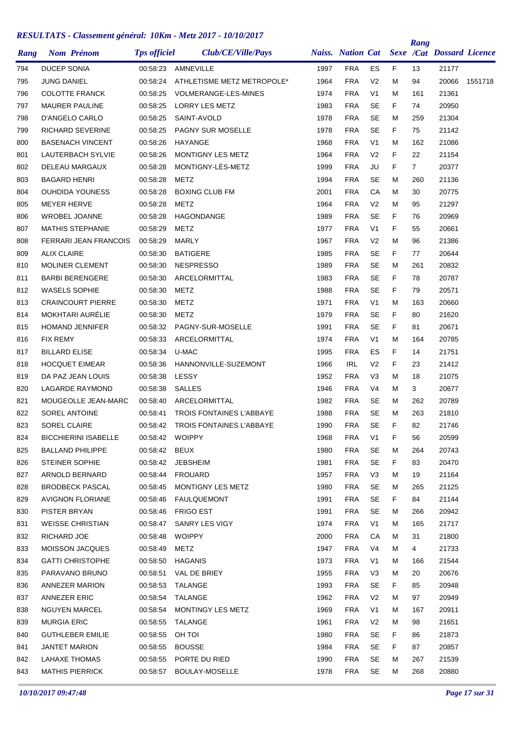| Rang | <b>Nom Prénom</b>           | <b>Tps officiel</b> | Club/CE/Ville/Pays              |      | <b>Naiss. Nation Cat</b> |                |    | Rang           | <b>Sexe /Cat Dossard Licence</b> |         |
|------|-----------------------------|---------------------|---------------------------------|------|--------------------------|----------------|----|----------------|----------------------------------|---------|
| 794  | <b>DUCEP SONIA</b>          | 00:58:23            | AMNEVILLE                       | 1997 | <b>FRA</b>               | ES             | F. | 13             | 21177                            |         |
| 795  | JUNG DANIEL                 | 00:58:24            | ATHLETISME METZ METROPOLE*      | 1964 | <b>FRA</b>               | V <sub>2</sub> | М  | 94             | 20066                            | 1551718 |
| 796  | <b>COLOTTE FRANCK</b>       | 00:58:25            | <b>VOLMERANGE-LES-MINES</b>     | 1974 | <b>FRA</b>               | V <sub>1</sub> | M  | 161            | 21361                            |         |
| 797  | <b>MAURER PAULINE</b>       | 00:58:25            | <b>LORRY LES METZ</b>           | 1983 | <b>FRA</b>               | <b>SE</b>      | F  | 74             | 20950                            |         |
| 798  | D'ANGELO CARLO              | 00:58:25            | SAINT-AVOLD                     | 1978 | <b>FRA</b>               | <b>SE</b>      | М  | 259            | 21304                            |         |
| 799  | RICHARD SEVERINE            | 00:58:25            | PAGNY SUR MOSELLE               | 1978 | <b>FRA</b>               | <b>SE</b>      | F  | 75             | 21142                            |         |
| 800  | <b>BASENACH VINCENT</b>     | 00:58:26            | <b>HAYANGE</b>                  | 1968 | <b>FRA</b>               | V <sub>1</sub> | М  | 162            | 21086                            |         |
| 801  | <b>LAUTERBACH SYLVIE</b>    | 00:58:26            | <b>MONTIGNY LES METZ</b>        | 1964 | <b>FRA</b>               | V <sub>2</sub> | F  | 22             | 21154                            |         |
| 802  | <b>DELEAU MARGAUX</b>       | 00:58:28            | MONTIGNY-LÈS-METZ               | 1999 | <b>FRA</b>               | JU             | F  | $\overline{7}$ | 20377                            |         |
| 803  | <b>BAGARD HENRI</b>         | 00:58:28            | <b>METZ</b>                     | 1994 | <b>FRA</b>               | <b>SE</b>      | М  | 260            | 21136                            |         |
| 804  | <b>OUHDIDA YOUNESS</b>      | 00:58:28            | <b>BOXING CLUB FM</b>           | 2001 | <b>FRA</b>               | CA             | М  | 30             | 20775                            |         |
| 805  | <b>MEYER HERVE</b>          | 00:58:28            | METZ                            | 1964 | <b>FRA</b>               | V <sub>2</sub> | М  | 95             | 21297                            |         |
| 806  | <b>WROBEL JOANNE</b>        | 00:58:28            | <b>HAGONDANGE</b>               | 1989 | <b>FRA</b>               | <b>SE</b>      | F  | 76             | 20969                            |         |
| 807  | <b>MATHIS STEPHANIE</b>     | 00:58:29            | METZ                            | 1977 | <b>FRA</b>               | V1             | F  | 55             | 20661                            |         |
| 808  | FERRARI JEAN FRANCOIS       | 00:58:29            | <b>MARLY</b>                    | 1967 | <b>FRA</b>               | V <sub>2</sub> | M  | 96             | 21386                            |         |
| 809  | <b>ALIX CLAIRE</b>          | 00:58:30            | <b>BATIGERE</b>                 | 1985 | <b>FRA</b>               | <b>SE</b>      | F  | 77             | 20644                            |         |
| 810  | <b>MOLINER CLEMENT</b>      | 00:58:30            | <b>NESPRESSO</b>                | 1989 | <b>FRA</b>               | <b>SE</b>      | M  | 261            | 20832                            |         |
| 811  | <b>BARBI BERENGERE</b>      | 00:58:30            | <b>ARCELORMITTAL</b>            | 1983 | <b>FRA</b>               | SE             | F  | 78             | 20787                            |         |
| 812  | <b>WASELS SOPHIE</b>        | 00:58:30            | METZ                            | 1988 | <b>FRA</b>               | <b>SE</b>      | F  | 79             | 20571                            |         |
| 813  | <b>CRAINCOURT PIERRE</b>    | 00:58:30            | METZ                            | 1971 | <b>FRA</b>               | V1             | М  | 163            | 20660                            |         |
| 814  | MOKHTARI AURÉLIE            | 00:58:30            | METZ                            | 1979 | <b>FRA</b>               | <b>SE</b>      | F  | 80             | 21620                            |         |
| 815  | <b>HOMAND JENNIFER</b>      | 00:58:32            | PAGNY-SUR-MOSELLE               | 1991 | <b>FRA</b>               | <b>SE</b>      | F  | 81             | 20671                            |         |
| 816  | <b>FIX REMY</b>             | 00:58:33            | ARCELORMITTAL                   | 1974 | <b>FRA</b>               | V <sub>1</sub> | M  | 164            | 20785                            |         |
| 817  | <b>BILLARD ELISE</b>        | 00:58:34            | U-MAC                           | 1995 | <b>FRA</b>               | ES             | F  | 14             | 21751                            |         |
| 818  | <b>HOCQUET EIMEAR</b>       | 00:58:36            | HANNONVILLE-SUZEMONT            | 1966 | <b>IRL</b>               | V <sub>2</sub> | F  | 23             | 21412                            |         |
| 819  | DA PAZ JEAN LOUIS           | 00:58:38            | LESSY                           | 1952 | <b>FRA</b>               | V3             | M  | 18             | 21075                            |         |
| 820  | <b>LAGARDE RAYMOND</b>      | 00:58:38            | <b>SALLES</b>                   | 1946 | <b>FRA</b>               | V4             | M  | 3              | 20677                            |         |
| 821  | MOUGEOLLE JEAN-MARC         | 00:58:40            | ARCELORMITTAL                   | 1982 | <b>FRA</b>               | SE             | М  | 262            | 20789                            |         |
| 822  | <b>SOREL ANTOINE</b>        | 00:58:41            | <b>TROIS FONTAINES L'ABBAYE</b> | 1988 | <b>FRA</b>               | <b>SE</b>      | М  | 263            | 21810                            |         |
| 823  | <b>SOREL CLAIRE</b>         | 00:58:42            | <b>TROIS FONTAINES L'ABBAYE</b> | 1990 | <b>FRA</b>               | <b>SE</b>      | F  | 82             | 21746                            |         |
| 824  | <b>BICCHIERINI ISABELLE</b> | 00:58:42 WOIPPY     |                                 | 1968 | <b>FRA</b>               | V <sub>1</sub> | F  | 56             | 20599                            |         |
| 825  | <b>BALLAND PHILIPPE</b>     | 00:58:42 BEUX       |                                 | 1980 | <b>FRA</b>               | SE             | м  | 264            | 20743                            |         |
| 826  | <b>STEINER SOPHIE</b>       |                     | 00:58:42 JEBSHEIM               | 1981 | <b>FRA</b>               | SE             | F. | 83             | 20470                            |         |
| 827  | ARNOLD BERNARD              | 00:58:44            | FROUARD                         | 1957 | <b>FRA</b>               | V <sub>3</sub> | M  | 19             | 21164                            |         |
| 828  | <b>BRODBECK PASCAL</b>      | 00:58:45            | MONTIGNY LES METZ               | 1980 | <b>FRA</b>               | SE             | м  | 265            | 21125                            |         |
| 829  | <b>AVIGNON FLORIANE</b>     | 00:58:46            | <b>FAULQUEMONT</b>              | 1991 | <b>FRA</b>               | SE             | F. | 84             | 21144                            |         |
| 830  | PISTER BRYAN                | 00:58:46            | <b>FRIGO EST</b>                | 1991 | <b>FRA</b>               | <b>SE</b>      | м  | 266            | 20942                            |         |
| 831  | <b>WEISSE CHRISTIAN</b>     | 00:58:47            | SANRY LES VIGY                  | 1974 | <b>FRA</b>               | V <sub>1</sub> | м  | 165            | 21717                            |         |
| 832  | RICHARD JOE                 | 00:58:48            | WOIPPY                          | 2000 | FRA                      | СA             | м  | 31             | 21800                            |         |
| 833  | MOISSON JACQUES             | 00:58:49            | METZ                            | 1947 | <b>FRA</b>               | V <sub>4</sub> | м  | 4              | 21733                            |         |
| 834  | <b>GATTI CHRISTOPHE</b>     | 00:58:50            | <b>HAGANIS</b>                  | 1973 | <b>FRA</b>               | V1             | м  | 166            | 21544                            |         |
| 835  | PARAVANO BRUNO              | 00:58:51            | VAL DE BRIEY                    | 1955 | <b>FRA</b>               | V3             | м  | 20             | 20676                            |         |
| 836  | ANNEZER MARION              | 00:58:53            | TALANGE                         | 1993 | <b>FRA</b>               | SE             | F. | 85             | 20948                            |         |
| 837  | <b>ANNEZER ERIC</b>         | 00:58:54            | TALANGE                         | 1962 | <b>FRA</b>               | V <sub>2</sub> | м  | 97             | 20949                            |         |
| 838  | <b>NGUYEN MARCEL</b>        | 00:58:54            | MONTINGY LES METZ               | 1969 | <b>FRA</b>               | V1             | м  | 167            | 20911                            |         |
| 839  | <b>MURGIA ERIC</b>          | 00:58:55            | TALANGE                         | 1961 | <b>FRA</b>               | V <sub>2</sub> | м  | 98             | 21651                            |         |
| 840  | <b>GUTHLEBER EMILIE</b>     | 00:58:55            | OH TOI                          | 1980 | <b>FRA</b>               | <b>SE</b>      | F. | 86             | 21873                            |         |
| 841  | <b>JANTET MARION</b>        | 00:58:55            | <b>BOUSSE</b>                   | 1984 | <b>FRA</b>               | SE             | F. | 87             | 20857                            |         |
| 842  | LAHAXE THOMAS               | 00:58:55            | PORTE DU RIED                   | 1990 | <b>FRA</b>               | SE             | м  | 267            | 21539                            |         |
| 843  | <b>MATHIS PIERRICK</b>      | 00:58:57            | BOULAY-MOSELLE                  | 1978 | <b>FRA</b>               | SE             | м  | 268            | 20880                            |         |
|      |                             |                     |                                 |      |                          |                |    |                |                                  |         |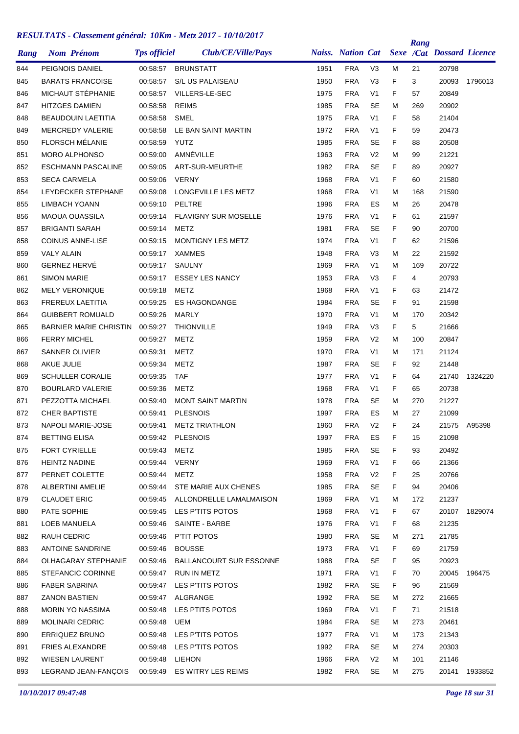| Rang | <b>Nom Prénom</b>             | <b>Tps officiel</b> | Club/CE/Ville/Pays               |      | <b>Naiss.</b> Nation Cat |                |    | Rang | <b>Sexe /Cat Dossard Licence</b> |               |
|------|-------------------------------|---------------------|----------------------------------|------|--------------------------|----------------|----|------|----------------------------------|---------------|
| 844  | PEIGNOIS DANIEL               | 00:58:57            | <b>BRUNSTATT</b>                 | 1951 | <b>FRA</b>               | V <sub>3</sub> | м  | 21   | 20798                            |               |
| 845  | <b>BARATS FRANCOISE</b>       | 00:58:57            | S/L US PALAISEAU                 | 1950 | <b>FRA</b>               | V <sub>3</sub> | F  | 3    | 20093                            | 1796013       |
| 846  | MICHAUT STÉPHANIE             | 00:58:57            | VILLERS-LE-SEC                   | 1975 | <b>FRA</b>               | V1             | F  | 57   | 20849                            |               |
| 847  | <b>HITZGES DAMIEN</b>         | 00:58:58            | <b>REIMS</b>                     | 1985 | <b>FRA</b>               | <b>SE</b>      | M  | 269  | 20902                            |               |
| 848  | <b>BEAUDOUIN LAETITIA</b>     | 00:58:58            | <b>SMEL</b>                      | 1975 | <b>FRA</b>               | V <sub>1</sub> | F  | 58   | 21404                            |               |
| 849  | <b>MERCREDY VALERIE</b>       | 00:58:58            | LE BAN SAINT MARTIN              | 1972 | <b>FRA</b>               | V <sub>1</sub> | F  | 59   | 20473                            |               |
| 850  | <b>FLORSCH MÉLANIE</b>        | 00:58:59            | YUTZ                             | 1985 | <b>FRA</b>               | <b>SE</b>      | F  | 88   | 20508                            |               |
| 851  | <b>MORO ALPHONSO</b>          | 00:59:00            | AMNÉVILLE                        | 1963 | <b>FRA</b>               | V <sub>2</sub> | M  | 99   | 21221                            |               |
| 852  | <b>ESCHMANN PASCALINE</b>     | 00:59:05            | ART-SUR-MEURTHE                  | 1982 | <b>FRA</b>               | <b>SE</b>      | F  | 89   | 20927                            |               |
| 853  | <b>SECA CARMELA</b>           | 00:59:06            | <b>VERNY</b>                     | 1968 | <b>FRA</b>               | V <sub>1</sub> | F  | 60   | 21580                            |               |
| 854  | LEYDECKER STEPHANE            | 00:59:08            | LONGEVILLE LES METZ              | 1968 | <b>FRA</b>               | V <sub>1</sub> | M  | 168  | 21590                            |               |
| 855  | LIMBACH YOANN                 | 00:59:10            | PELTRE                           | 1996 | <b>FRA</b>               | ES             | м  | 26   | 20478                            |               |
| 856  | <b>MAOUA OUASSILA</b>         | 00:59:14            | <b>FLAVIGNY SUR MOSELLE</b>      | 1976 | <b>FRA</b>               | V <sub>1</sub> | F  | 61   | 21597                            |               |
| 857  | <b>BRIGANTI SARAH</b>         | 00:59:14            | METZ                             | 1981 | <b>FRA</b>               | SE             | F  | 90   | 20700                            |               |
| 858  | <b>COINUS ANNE-LISE</b>       | 00:59:15            | MONTIGNY LES METZ                | 1974 | <b>FRA</b>               | V1             | F  | 62   | 21596                            |               |
| 859  | <b>VALY ALAIN</b>             | 00:59:17            | XAMMES                           | 1948 | <b>FRA</b>               | V <sub>3</sub> | м  | 22   | 21592                            |               |
| 860  | <b>GERNEZ HERVÉ</b>           | 00:59:17            | SAULNY                           | 1969 | <b>FRA</b>               | V <sub>1</sub> | м  | 169  | 20722                            |               |
| 861  | <b>SIMON MARIE</b>            | 00:59:17            | <b>ESSEY LES NANCY</b>           | 1953 | <b>FRA</b>               | V <sub>3</sub> | F  | 4    | 20793                            |               |
| 862  | <b>MELY VERONIQUE</b>         | 00:59:18            | METZ                             | 1968 | <b>FRA</b>               | V <sub>1</sub> | F  | 63   | 21472                            |               |
| 863  | FREREUX LAETITIA              | 00:59:25            | <b>ES HAGONDANGE</b>             | 1984 | <b>FRA</b>               | SE             | F  | 91   | 21598                            |               |
| 864  | <b>GUIBBERT ROMUALD</b>       | 00:59:26            | <b>MARLY</b>                     | 1970 | <b>FRA</b>               | V <sub>1</sub> | M  | 170  | 20342                            |               |
| 865  | <b>BARNIER MARIE CHRISTIN</b> | 00:59:27            | <b>THIONVILLE</b>                | 1949 | <b>FRA</b>               | V <sub>3</sub> | F  | 5    | 21666                            |               |
| 866  | <b>FERRY MICHEL</b>           | 00:59:27            | METZ                             | 1959 | <b>FRA</b>               | V <sub>2</sub> | м  | 100  | 20847                            |               |
| 867  | <b>SANNER OLIVIER</b>         | 00:59:31            | <b>METZ</b>                      | 1970 | <b>FRA</b>               | V <sub>1</sub> | м  | 171  | 21124                            |               |
| 868  | <b>AKUE JULIE</b>             | 00:59:34            | METZ                             | 1987 | <b>FRA</b>               | SE             | F  | 92   | 21448                            |               |
| 869  | <b>SCHULLER CORALIE</b>       | 00:59:35            | <b>TAF</b>                       | 1977 | <b>FRA</b>               | V <sub>1</sub> | F  | 64   | 21740                            | 1324220       |
| 870  | <b>BOURLARD VALERIE</b>       | 00:59:36            | METZ                             | 1968 | <b>FRA</b>               | V <sub>1</sub> | F  | 65   | 20738                            |               |
| 871  | PEZZOTTA MICHAEL              | 00:59:40            | <b>MONT SAINT MARTIN</b>         | 1978 | <b>FRA</b>               | SE             | М  | 270  | 21227                            |               |
| 872  | <b>CHER BAPTISTE</b>          | 00:59:41            | <b>PLESNOIS</b>                  | 1997 | <b>FRA</b>               | ES             | м  | 27   | 21099                            |               |
| 873  | NAPOLI MARIE-JOSE             | 00:59:41            | <b>METZ TRIATHLON</b>            | 1960 | <b>FRA</b>               | V <sub>2</sub> | F  | 24   |                                  | 21575 A95398  |
| 874  | <b>BETTING ELISA</b>          |                     | 00:59:42 PLESNOIS                | 1997 | <b>FRA</b>               | ES             | F  | 15   | 21098                            |               |
| 875  | FORT CYRIELLE                 | 00:59:43 METZ       |                                  | 1985 | <b>FRA</b>               | SE             | F. | 93   | 20492                            |               |
| 876  | HEINTZ NADINE                 | 00:59:44 VERNY      |                                  | 1969 | <b>FRA</b>               | V <sub>1</sub> | F  | 66   | 21366                            |               |
| 877  | PERNET COLETTE                | 00:59:44 METZ       |                                  | 1958 | <b>FRA</b>               | V <sub>2</sub> | F  | 25   | 20766                            |               |
| 878  | ALBERTINI AMELIE              |                     | 00:59:44 STE MARIE AUX CHENES    | 1985 | <b>FRA</b>               | <b>SE</b>      | F. | 94   | 20406                            |               |
| 879  | <b>CLAUDET ERIC</b>           |                     | 00:59:45 ALLONDRELLE LAMALMAISON | 1969 | <b>FRA</b>               | V <sub>1</sub> | м  | 172  | 21237                            |               |
| 880  | PATE SOPHIE                   |                     | 00:59:45 LES P'TITS POTOS        | 1968 | <b>FRA</b>               | V <sub>1</sub> | F  | 67   |                                  | 20107 1829074 |
| 881  | LOEB MANUELA                  |                     | 00:59:46 SAINTE - BARBE          | 1976 | <b>FRA</b>               | V <sub>1</sub> | F. | 68   | 21235                            |               |
| 882  | RAUH CEDRIC                   |                     | 00:59:46 PTIT POTOS              | 1980 | <b>FRA</b>               | <b>SE</b>      | M  | 271  | 21785                            |               |
| 883  | <b>ANTOINE SANDRINE</b>       | 00:59:46            | <b>BOUSSE</b>                    | 1973 | <b>FRA</b>               | V <sub>1</sub> | F  | 69   | 21759                            |               |
| 884  | OLHAGARAY STEPHANIE           | 00:59:46            | <b>BALLANCOURT SUR ESSONNE</b>   | 1988 | <b>FRA</b>               | <b>SE</b>      | F  | 95   | 20923                            |               |
| 885  | <b>STEFANCIC CORINNE</b>      |                     | 00:59:47 RUN IN METZ             | 1971 | <b>FRA</b>               | V <sub>1</sub> | F. | 70   | 20045                            | 196475        |
| 886  | <b>FABER SABRINA</b>          |                     | 00:59:47 LES P'TITS POTOS        | 1982 | <b>FRA</b>               | <b>SE</b>      | F  | 96   | 21569                            |               |
| 887  | <b>ZANON BASTIEN</b>          |                     | 00:59:47 ALGRANGE                | 1992 | <b>FRA</b>               | <b>SE</b>      | М  | 272  | 21665                            |               |
| 888  | <b>MORIN YO NASSIMA</b>       |                     | 00:59:48 LES PTITS POTOS         | 1969 | <b>FRA</b>               | V <sub>1</sub> | F. | 71   | 21518                            |               |
| 889  | <b>MOLINARI CEDRIC</b>        | 00:59:48 UEM        |                                  | 1984 | <b>FRA</b>               | <b>SE</b>      | М  | 273  | 20461                            |               |
| 890  | ERRIQUEZ BRUNO                |                     | 00:59:48 LES P'TITS POTOS        | 1977 | <b>FRA</b>               | V <sub>1</sub> | М  | 173  | 21343                            |               |
| 891  | FRIES ALEXANDRE               |                     | 00:59:48 LES P'TITS POTOS        | 1992 | <b>FRA</b>               | <b>SE</b>      | М  | 274  | 20303                            |               |
| 892  | WIESEN LAURENT                | 00:59:48 LIEHON     |                                  | 1966 | <b>FRA</b>               | V <sub>2</sub> | М  | 101  | 21146                            |               |
| 893  | LEGRAND JEAN-FANÇOIS          |                     | 00:59:49 ES WITRY LES REIMS      | 1982 | <b>FRA</b>               | SE             | М  | 275  | 20141                            | 1933852       |
|      |                               |                     |                                  |      |                          |                |    |      |                                  |               |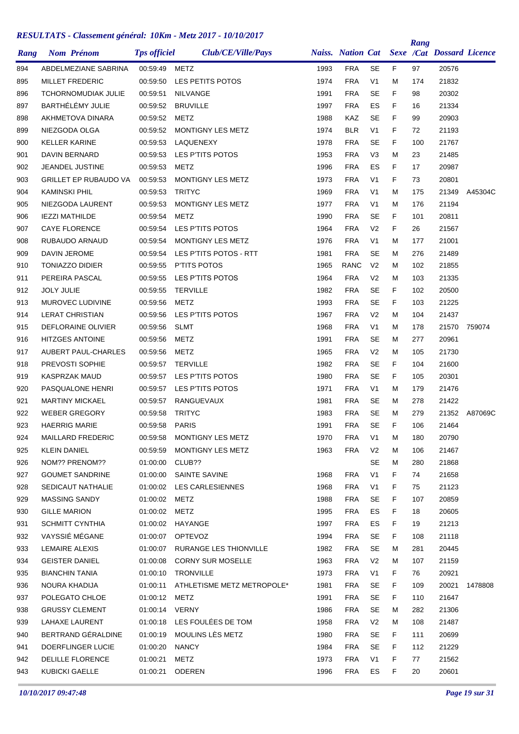| Rang | <b>Nom Prénom</b>            | <b>Tps officiel</b> | Club/CE/Ville/Pays                                 |      | <b>Naiss.</b> Nation Cat |                 |    | Rang | <b>Sexe /Cat Dossard Licence</b> |         |
|------|------------------------------|---------------------|----------------------------------------------------|------|--------------------------|-----------------|----|------|----------------------------------|---------|
| 894  | ABDELMEZIANE SABRINA         | 00:59:49            | METZ                                               | 1993 | <b>FRA</b>               | <b>SE</b>       | F. | 97   | 20576                            |         |
| 895  | <b>MILLET FREDERIC</b>       | 00:59:50            | LES PETITS POTOS                                   | 1974 | <b>FRA</b>               | V <sub>1</sub>  | М  | 174  | 21832                            |         |
| 896  | <b>TCHORNOMUDIAK JULIE</b>   | 00:59:51            | NILVANGE                                           | 1991 | <b>FRA</b>               | <b>SE</b>       | F  | 98   | 20302                            |         |
| 897  | <b>BARTHÉLÉMY JULIE</b>      | 00:59:52            | <b>BRUVILLE</b>                                    | 1997 | <b>FRA</b>               | ES              | F  | 16   | 21334                            |         |
| 898  | AKHMETOVA DINARA             | 00:59:52            | METZ                                               | 1988 | <b>KAZ</b>               | <b>SE</b>       | F  | 99   | 20903                            |         |
| 899  | NIEZGODA OLGA                | 00:59:52            | <b>MONTIGNY LES METZ</b>                           | 1974 | <b>BLR</b>               | V <sub>1</sub>  | F  | 72   | 21193                            |         |
| 900  | <b>KELLER KARINE</b>         | 00:59:53            | LAQUENEXY                                          | 1978 | <b>FRA</b>               | <b>SE</b>       | F  | 100  | 21767                            |         |
| 901  | <b>DAVIN BERNARD</b>         | 00:59:53            | LES P'TITS POTOS                                   | 1953 | <b>FRA</b>               | V <sub>3</sub>  | М  | 23   | 21485                            |         |
| 902  | JEANDEL JUSTINE              | 00:59:53            | METZ                                               | 1996 | <b>FRA</b>               | ES              | F  | 17   | 20987                            |         |
| 903  | <b>GRILLET EP RUBAUDO VA</b> | 00:59:53            | <b>MONTIGNY LES METZ</b>                           | 1973 | <b>FRA</b>               | V <sub>1</sub>  | F  | 73   | 20801                            |         |
| 904  | KAMINSKI PHIL                | 00:59:53            | <b>TRITYC</b>                                      | 1969 | <b>FRA</b>               | V <sub>1</sub>  | м  | 175  | 21349                            | A45304C |
| 905  | NIEZGODA LAURENT             | 00:59:53            | MONTIGNY LES METZ                                  | 1977 | <b>FRA</b>               | V <sub>1</sub>  | М  | 176  | 21194                            |         |
| 906  | <b>IEZZI MATHILDE</b>        | 00:59:54            | METZ                                               | 1990 | <b>FRA</b>               | SE              | F  | 101  | 20811                            |         |
| 907  | <b>CAYE FLORENCE</b>         | 00:59:54            | LES P'TITS POTOS                                   | 1964 | <b>FRA</b>               | V <sub>2</sub>  | F  | 26   | 21567                            |         |
| 908  | RUBAUDO ARNAUD               | 00:59:54            | <b>MONTIGNY LES METZ</b>                           | 1976 | <b>FRA</b>               | V <sub>1</sub>  | М  | 177  | 21001                            |         |
| 909  | <b>DAVIN JEROME</b>          | 00:59:54            | LES P'TITS POTOS - RTT                             | 1981 | <b>FRA</b>               | <b>SE</b>       | м  | 276  | 21489                            |         |
| 910  | <b>TONIAZZO DIDIER</b>       | 00:59:55            | P'TITS POTOS                                       | 1965 | <b>RANC</b>              | V <sub>2</sub>  | М  | 102  | 21855                            |         |
| 911  | PEREIRA PASCAL               | 00:59:55            | LES P'TITS POTOS                                   | 1964 | <b>FRA</b>               | V <sub>2</sub>  | м  | 103  | 21335                            |         |
| 912  | <b>JOLY JULIE</b>            | 00:59:55            | <b>TERVILLE</b>                                    | 1982 | <b>FRA</b>               | <b>SE</b>       | F. | 102  | 20500                            |         |
| 913  | MUROVEC LUDIVINE             | 00:59:56            | METZ                                               | 1993 | <b>FRA</b>               | <b>SE</b>       | F  | 103  | 21225                            |         |
| 914  | <b>LERAT CHRISTIAN</b>       | 00:59:56            | LES P'TITS POTOS                                   | 1967 | <b>FRA</b>               | V <sub>2</sub>  | М  | 104  | 21437                            |         |
| 915  | DEFLORAINE OLIVIER           | 00:59:56            | <b>SLMT</b>                                        | 1968 | <b>FRA</b>               | V <sub>1</sub>  | М  | 178  | 21570                            | 759074  |
| 916  | HITZGES ANTOINE              | 00:59:56            | METZ                                               | 1991 | <b>FRA</b>               | <b>SE</b>       | М  | 277  | 20961                            |         |
| 917  | <b>AUBERT PAUL-CHARLES</b>   | 00:59:56            | METZ                                               | 1965 | <b>FRA</b>               | V <sub>2</sub>  | М  | 105  | 21730                            |         |
| 918  | PREVOSTI SOPHIE              | 00:59:57            | <b>TERVILLE</b>                                    | 1982 | <b>FRA</b>               | SE              | F  | 104  | 21600                            |         |
| 919  | <b>KASPRZAK MAUD</b>         | 00:59:57            | LES P'TITS POTOS                                   | 1980 | <b>FRA</b>               | <b>SE</b>       | F  | 105  | 20301                            |         |
| 920  | PASQUALONE HENRI             | 00:59:57            | LES P'TITS POTOS                                   | 1971 | <b>FRA</b>               | V <sub>1</sub>  | М  | 179  | 21476                            |         |
| 921  | <b>MARTINY MICKAEL</b>       | 00:59:57            | RANGUEVAUX                                         | 1981 | <b>FRA</b>               | SE              | м  | 278  | 21422                            |         |
| 922  | <b>WEBER GREGORY</b>         | 00:59:58            | <b>TRITYC</b>                                      | 1983 | <b>FRA</b>               | <b>SE</b>       | м  | 279  | 21352                            | A87069C |
| 923  | <b>HAERRIG MARIE</b>         | 00:59:58            | <b>PARIS</b>                                       | 1991 | <b>FRA</b>               | <b>SE</b>       | F  | 106  | 21464                            |         |
| 924  | MAILLARD FREDERIC            | 00:59:58            | MONTIGNY LES METZ                                  | 1970 | <b>FRA</b>               | V <sub>1</sub>  | Μ  | 180  | 20790                            |         |
| 925  | KLEIN DANIEL                 | 00:59:59            | MONTIGNY LES METZ                                  | 1963 | <b>FRA</b>               | V <sub>2</sub>  | м  | 106  | 21467                            |         |
| 926  | NOM?? PRENOM??               | 01:00:00 CLUB??     |                                                    |      |                          | SE              | M  | 280  | 21868                            |         |
| 927  | <b>GOUMET SANDRINE</b>       | 01:00:00            | SAINTE SAVINE                                      | 1968 | FRA                      | V <sub>1</sub>  | F. | 74   | 21658                            |         |
| 928  | SEDICAUT NATHALIE            | 01:00:02            | LES CARLESIENNES                                   | 1968 | <b>FRA</b>               | V <sub>1</sub>  | F. | 75   | 21123                            |         |
|      | <b>MASSING SANDY</b>         | 01:00:02            | <b>METZ</b>                                        | 1988 | <b>FRA</b>               |                 | F  | 107  | 20859                            |         |
| 929  | <b>GILLE MARION</b>          | 01:00:02            | METZ                                               | 1995 | <b>FRA</b>               | <b>SE</b><br>ES | F. |      | 20605                            |         |
| 930  | <b>SCHMITT CYNTHIA</b>       |                     | 01:00:02 HAYANGE                                   | 1997 | <b>FRA</b>               | ES              |    | 18   | 21213                            |         |
| 931  |                              |                     |                                                    |      |                          |                 | F. | 19   |                                  |         |
| 932  | VAYSSIÉ MÉGANE               |                     | 01:00:07 OPTEVOZ                                   | 1994 | <b>FRA</b>               | SE              | F. | 108  | 21118                            |         |
| 933  | <b>LEMAIRE ALEXIS</b>        | 01:00:07            | RURANGE LES THIONVILLE<br><b>CORNY SUR MOSELLE</b> | 1982 | <b>FRA</b>               | SE              | М  | 281  | 20445                            |         |
| 934  | <b>GEISTER DANIEL</b>        | 01:00:08            |                                                    | 1963 | <b>FRA</b>               | V <sub>2</sub>  | М  | 107  | 21159                            |         |
| 935  | <b>BIANCHIN TANIA</b>        | 01:00:10            | <b>TRONVILLE</b>                                   | 1973 | <b>FRA</b>               | V <sub>1</sub>  | F. | 76   | 20921                            |         |
| 936  | NOURA KHADIJA                | 01:00:11            | ATHLETISME METZ METROPOLE*                         | 1981 | <b>FRA</b>               | SE              | F. | 109  | 20021                            | 1478808 |
| 937  | POLEGATO CHLOE               | 01:00:12 METZ       |                                                    | 1991 | <b>FRA</b>               | SE              | F. | 110  | 21647                            |         |
| 938  | <b>GRUSSY CLEMENT</b>        | 01:00:14 VERNY      |                                                    | 1986 | <b>FRA</b>               | <b>SE</b>       | М  | 282  | 21306                            |         |
| 939  | LAHAXE LAURENT               | 01:00:18            | LES FOULÉES DE TOM                                 | 1958 | <b>FRA</b>               | V <sub>2</sub>  | M  | 108  | 21487                            |         |
| 940  | BERTRAND GÉRALDINE           | 01:00:19            | MOULINS LÈS METZ                                   | 1980 | <b>FRA</b>               | <b>SE</b>       | F. | 111  | 20699                            |         |
| 941  | DOERFLINGER LUCIE            | 01:00:20            | <b>NANCY</b>                                       | 1984 | <b>FRA</b>               | <b>SE</b>       | F. | 112  | 21229                            |         |
| 942  | DELILLE FLORENCE             | 01:00:21            | METZ                                               | 1973 | <b>FRA</b>               | V <sub>1</sub>  | F. | 77   | 21562                            |         |
| 943  | <b>KUBICKI GAELLE</b>        | 01:00:21            | ODEREN                                             | 1996 | <b>FRA</b>               | ES              | F. | 20   | 20601                            |         |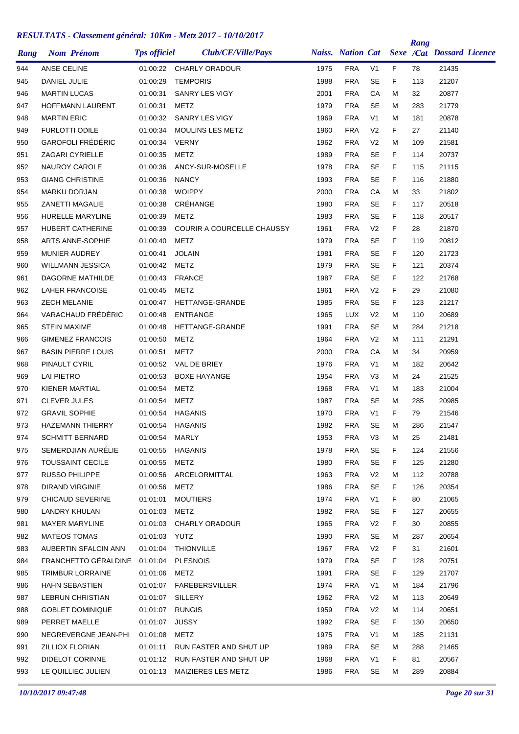| Rang       | <b>Nom Prénom</b>       |                                        | <b>Tps officiel</b> | Club/CE/Ville/Pays              |      | <b>Naiss.</b> Nation Cat |                |    | Rang | <b>Sexe /Cat Dossard Licence</b> |  |
|------------|-------------------------|----------------------------------------|---------------------|---------------------------------|------|--------------------------|----------------|----|------|----------------------------------|--|
| 944        | ANSE CELINE             |                                        |                     | 01:00:22 CHARLY ORADOUR         | 1975 | <b>FRA</b>               | V <sub>1</sub> | F  | 78   | 21435                            |  |
| 945        | DANIEL JULIE            |                                        | 01:00:29            | <b>TEMPORIS</b>                 | 1988 | <b>FRA</b>               | SE             | F  | 113  | 21207                            |  |
| 946        | <b>MARTIN LUCAS</b>     |                                        | 01:00:31            | SANRY LES VIGY                  | 2001 | <b>FRA</b>               | СA             | M  | 32   | 20877                            |  |
| 947        |                         | <b>HOFFMANN LAURENT</b>                | 01:00:31            | METZ                            | 1979 | <b>FRA</b>               | SE             | м  | 283  | 21779                            |  |
| 948        | <b>MARTIN ERIC</b>      |                                        | 01:00:32            | SANRY LES VIGY                  | 1969 | <b>FRA</b>               | V <sub>1</sub> | м  | 181  | 20878                            |  |
| 949        | <b>FURLOTTI ODILE</b>   |                                        | 01:00:34            | MOULINS LES METZ                | 1960 | <b>FRA</b>               | V <sub>2</sub> | F. | 27   | 21140                            |  |
| 950        |                         | <b>GAROFOLI FRÉDÉRIC</b>               | 01:00:34            | <b>VERNY</b>                    | 1962 | <b>FRA</b>               | V <sub>2</sub> | М  | 109  | 21581                            |  |
| 951        | <b>ZAGARI CYRIELLE</b>  |                                        | 01:00:35            | METZ                            | 1989 | <b>FRA</b>               | <b>SE</b>      | F  | 114  | 20737                            |  |
| 952        | NAUROY CAROLE           |                                        | 01:00:36            | ANCY-SUR-MOSELLE                | 1978 | <b>FRA</b>               | SE             | F. | 115  | 21115                            |  |
| 953        | <b>GIANG CHRISTINE</b>  |                                        | 01:00:36            | <b>NANCY</b>                    | 1993 | <b>FRA</b>               | <b>SE</b>      | F  | 116  | 21880                            |  |
| 954        | <b>MARKU DORJAN</b>     |                                        | 01:00:38            | <b>WOIPPY</b>                   | 2000 | <b>FRA</b>               | CA             | M  | 33   | 21802                            |  |
| 955        | <b>ZANETTI MAGALIE</b>  |                                        | 01:00:38            | CRÉHANGE                        | 1980 | <b>FRA</b>               | SE             | F. | 117  | 20518                            |  |
| 956        |                         | HURELLE MARYLINE                       | 01:00:39            | METZ                            | 1983 | <b>FRA</b>               | SE             | F  | 118  | 20517                            |  |
| 957        |                         | HUBERT CATHERINE                       | 01:00:39            | COURIR A COURCELLE CHAUSSY      | 1961 | <b>FRA</b>               | V <sub>2</sub> | F  | 28   | 21870                            |  |
| 958        |                         | ARTS ANNE-SOPHIE                       | 01:00:40            | <b>METZ</b>                     | 1979 | <b>FRA</b>               | <b>SE</b>      | F  | 119  | 20812                            |  |
| 959        | <b>MUNIER AUDREY</b>    |                                        | 01:00:41            | <b>JOLAIN</b>                   | 1981 | <b>FRA</b>               | SE             | F  | 120  | 21723                            |  |
| 960        |                         | WILLMANN JESSICA                       | 01:00:42            | <b>METZ</b>                     | 1979 | <b>FRA</b>               | <b>SE</b>      | F  | 121  | 20374                            |  |
| 961        |                         | DAGORNE MATHILDE                       | 01:00:43            | <b>FRANCE</b>                   | 1987 | <b>FRA</b>               | <b>SE</b>      | F  | 122  | 21768                            |  |
| 962        | <b>LAHER FRANCOISE</b>  |                                        | 01:00:45            | METZ                            | 1961 | <b>FRA</b>               | V <sub>2</sub> | F  | 29   | 21080                            |  |
| 963        | <b>ZECH MELANIE</b>     |                                        | 01:00:47            | HETTANGE-GRANDE                 | 1985 | <b>FRA</b>               | <b>SE</b>      | F  | 123  | 21217                            |  |
| 964        |                         | VARACHAUD FRÉDÉRIC                     | 01:00:48            | ENTRANGE                        | 1965 | <b>LUX</b>               | V <sub>2</sub> | м  | 110  | 20689                            |  |
| 965        | <b>STEIN MAXIME</b>     |                                        | 01:00:48            | HETTANGE-GRANDE                 | 1991 | <b>FRA</b>               | <b>SE</b>      | м  | 284  | 21218                            |  |
| 966        |                         | <b>GIMENEZ FRANCOIS</b>                | 01:00:50            | METZ                            | 1964 | <b>FRA</b>               | V <sub>2</sub> | М  | 111  | 21291                            |  |
| 967        |                         | <b>BASIN PIERRE LOUIS</b>              | 01:00:51            | METZ                            | 2000 | <b>FRA</b>               | CA             | м  | 34   | 20959                            |  |
| 968        | PINAULT CYRIL           |                                        | 01:00:52            | VAL DE BRIEY                    | 1976 | <b>FRA</b>               | V <sub>1</sub> | М  | 182  | 20642                            |  |
| 969        | <b>LAI PIETRO</b>       |                                        | 01:00:53            | <b>BOXE HAYANGE</b>             | 1954 | <b>FRA</b>               | V3             | м  | 24   | 21525                            |  |
| 970        | KIENER MARTIAL          |                                        | 01:00:54            | METZ                            | 1968 | <b>FRA</b>               | V <sub>1</sub> | м  | 183  | 21004                            |  |
| 971        | <b>CLEVER JULES</b>     |                                        | 01:00:54            | <b>METZ</b>                     | 1987 | <b>FRA</b>               | SE             | м  | 285  | 20985                            |  |
| 972        | <b>GRAVIL SOPHIE</b>    |                                        | 01:00:54            | <b>HAGANIS</b>                  | 1970 | <b>FRA</b>               | V <sub>1</sub> | F  | 79   | 21546                            |  |
| 973        |                         | <b>HAZEMANN THIERRY</b>                | 01:00:54            | <b>HAGANIS</b>                  | 1982 | <b>FRA</b>               | <b>SE</b>      | М  | 286  | 21547                            |  |
| 974        | <b>SCHMITT BERNARD</b>  |                                        | 01:00:54            | MARLY                           | 1953 | <b>FRA</b>               | V <sub>3</sub> | Μ  | 25   | 21481                            |  |
| 975        |                         | SEMERDJIAN AURÉLIE                     | 01:00:55            | <b>HAGANIS</b>                  | 1978 | <b>FRA</b>               | <b>SE</b>      | F. | 124  | 21556                            |  |
| 976        | <b>TOUSSAINT CECILE</b> |                                        | 01:00:55            | METZ                            | 1980 | <b>FRA</b>               | SE             | F. | 125  | 21280                            |  |
| 977        | <b>RUSSO PHILIPPE</b>   |                                        | 01:00:56            | ARCELORMITTAL                   | 1963 | <b>FRA</b>               | V <sub>2</sub> | M  | 112  | 20788                            |  |
| 978        | <b>DIRAND VIRGINIE</b>  |                                        | 01:00:56            | <b>METZ</b>                     | 1986 | <b>FRA</b>               | <b>SE</b>      | F. | 126  | 20354                            |  |
| 979        |                         | <b>CHICAUD SEVERINE</b>                | 01:01:01            | <b>MOUTIERS</b>                 | 1974 | <b>FRA</b>               | V <sub>1</sub> | F. | 80   | 21065                            |  |
| 980        | LANDRY KHULAN           |                                        | 01:01:03            | <b>METZ</b>                     | 1982 | <b>FRA</b>               | <b>SE</b>      | F  | 127  | 20655                            |  |
| 981        | <b>MAYER MARYLINE</b>   |                                        |                     | 01:01:03 CHARLY ORADOUR         | 1965 | <b>FRA</b>               | V <sub>2</sub> | F  | 30   | 20855                            |  |
| 982        | <b>MATEOS TOMAS</b>     |                                        | 01:01:03 YUTZ       |                                 | 1990 | <b>FRA</b>               | <b>SE</b>      | M  | 287  | 20654                            |  |
| 983        |                         | AUBERTIN SFALCIN ANN                   | 01:01:04            | <b>THIONVILLE</b>               | 1967 | <b>FRA</b>               | V <sub>2</sub> | F. | 31   | 21601                            |  |
| 984        |                         | FRANCHETTO GÉRALDINE 01:01:04 PLESNOIS |                     |                                 | 1979 | <b>FRA</b>               | SE             | F  | 128  | 20751                            |  |
| 985        |                         | TRIMBUR LORRAINE                       | 01:01:06            | <b>METZ</b>                     | 1991 | <b>FRA</b>               | SE             | F. | 129  | 21707                            |  |
| 986        | HAHN SEBASTIEN          |                                        | 01:01:07            | FAREBERSVILLER                  | 1974 | <b>FRA</b>               | V1             | М  | 184  | 21796                            |  |
| 987        |                         | LEBRUN CHRISTIAN                       | 01:01:07 SILLERY    |                                 | 1962 | <b>FRA</b>               | V <sub>2</sub> | м  | 113  | 20649                            |  |
| 988        |                         | <b>GOBLET DOMINIQUE</b>                | 01:01:07            | <b>RUNGIS</b>                   | 1959 | <b>FRA</b>               | V <sub>2</sub> | м  | 114  | 20651                            |  |
| 989        | PERRET MAELLE           |                                        | 01:01:07            | <b>JUSSY</b>                    | 1992 | <b>FRA</b>               | <b>SE</b>      | F. | 130  | 20650                            |  |
| 990        |                         | NEGREVERGNE JEAN-PHI                   | 01:01:08            | METZ                            | 1975 | <b>FRA</b>               | V <sub>1</sub> | м  | 185  | 21131                            |  |
|            | ZILLIOX FLORIAN         |                                        | 01:01:11            | RUN FASTER AND SHUT UP          | 1989 | <b>FRA</b>               | SE             | м  | 288  | 21465                            |  |
| 991<br>992 | DIDELOT CORINNE         |                                        |                     | 01:01:12 RUN FASTER AND SHUT UP | 1968 | <b>FRA</b>               | V <sub>1</sub> | F. | 81   | 20567                            |  |
|            |                         | LE QUILLIEC JULIEN                     |                     |                                 |      | <b>FRA</b>               |                |    |      |                                  |  |
| 993        |                         |                                        | 01:01:13            | MAIZIERES LES METZ              | 1986 |                          | SE             | М  | 289  | 20884                            |  |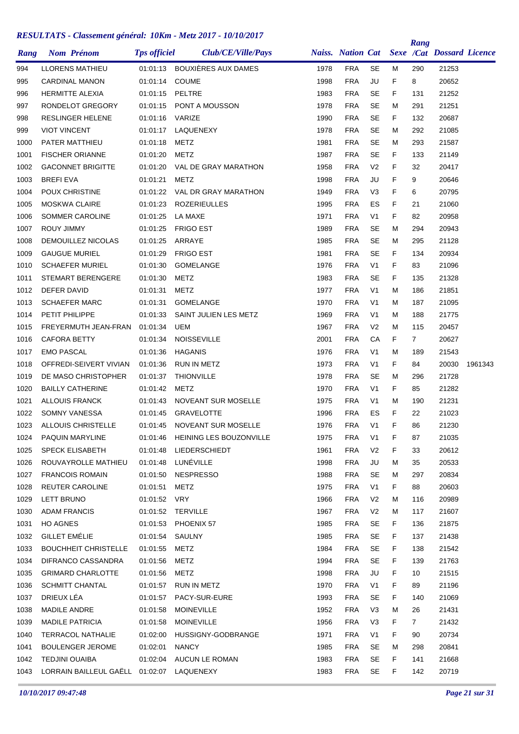| Naiss. Nation Cat Sexe /Cat Dossard Licence<br><b>Nom Prénom</b><br>LLORENS MATHIEU<br>01:01:13 BOUXIÈRES AUX DAMES<br>1978<br><b>FRA</b><br>SE<br>21253<br>994<br>м<br>290<br>1998<br><b>FRA</b><br>JU<br>F<br>995<br><b>CARDINAL MANON</b><br>01:01:14<br><b>COUME</b><br>8<br>20652<br>PELTRE<br>1983<br><b>FRA</b><br><b>SE</b><br>F<br>21252<br>996<br><b>HERMITTE ALEXIA</b><br>01:01:15<br>131<br><b>FRA</b><br><b>SE</b><br>997<br>RONDELOT GREGORY<br>1978<br>21251<br>01:01:15<br>PONT A MOUSSON<br>м<br>291<br>1990<br><b>FRA</b><br><b>SE</b><br>20687<br>998<br><b>RESLINGER HELENE</b><br>01:01:16<br>VARIZE<br>F<br>132<br>1978<br><b>FRA</b><br><b>SE</b><br>21085<br>999<br><b>VIOT VINCENT</b><br>01:01:17<br>LAQUENEXY<br>292<br>м<br><b>FRA</b><br><b>SE</b><br>1000<br>PATER MATTHIEU<br>METZ<br>1981<br>293<br>21587<br>01:01:18<br>м<br>1987<br><b>FRA</b><br><b>SE</b><br>21149<br>1001<br><b>FISCHER ORIANNE</b><br>01:01:20<br>METZ<br>F<br>133<br>1958<br><b>FRA</b><br>V <sub>2</sub><br>1002<br><b>GACONNET BRIGITTE</b><br>01:01:20<br>VAL DE GRAY MARATHON<br>F<br>32<br>20417<br><b>BREFIEVA</b><br><b>METZ</b><br><b>FRA</b><br>JU<br>F<br>1003<br>01:01:21<br>1998<br>9<br>20646<br><b>FRA</b><br>V <sub>3</sub><br>F<br>1004<br>POUX CHRISTINE<br>01:01:22<br>VAL DR GRAY MARATHON<br>1949<br>6<br>20795<br><b>FRA</b><br>ES<br>1005<br><b>MOSKWA CLAIRE</b><br>01:01:23<br><b>ROZERIEULLES</b><br>1995<br>F<br>21<br>21060<br><b>FRA</b><br>V <sub>1</sub><br>F<br>1006<br>SOMMER CAROLINE<br>01:01:25<br>LA MAXE<br>1971<br>82<br>20958<br><b>FRA</b><br>1007<br>ROUY JIMMY<br><b>FRIGO EST</b><br>1989<br>SE<br>20943<br>01:01:25<br>м<br>294<br><b>FRA</b><br><b>SE</b><br>21128<br>1008<br>DEMOUILLEZ NICOLAS<br>01:01:25<br>ARRAYE<br>1985<br>295<br>м<br><b>FRA</b><br><b>SE</b><br><b>GAUGUE MURIEL</b><br>1009<br>01:01:29<br><b>FRIGO EST</b><br>1981<br>F<br>20934<br>134<br><b>FRA</b><br>V <sub>1</sub><br>21096<br><b>SCHAEFER MURIEL</b><br>01:01:30<br><b>GOMELANGE</b><br>1976<br>F<br>83<br><b>FRA</b><br><b>SE</b><br>F<br><b>STEMART BERENGERE</b><br>METZ<br>1983<br>21328<br>1011<br>01:01:30<br>135<br><b>FRA</b><br><b>DEFER DAVID</b><br>METZ<br>1977<br>V <sub>1</sub><br>M<br>21851<br>01:01:31<br>186<br><b>SCHAEFER MARC</b><br><b>FRA</b><br>1013<br>01:01:31<br><b>GOMELANGE</b><br>1970<br>V <sub>1</sub><br>187<br>21095<br>м<br><b>FRA</b><br>PETIT PHILIPPE<br>SAINT JULIEN LES METZ<br>1969<br>V <sub>1</sub><br>21775<br>01:01:33<br>м<br>188<br><b>FRA</b><br>1015<br>FREYERMUTH JEAN-FRAN 01:01:34<br>UEM<br>1967<br>V <sub>2</sub><br>20457<br>м<br>115<br><b>NOISSEVILLE</b><br>2001<br><b>FRA</b><br>CA<br>F<br>20627<br><b>CAFORA BETTY</b><br>01:01:34<br>$\overline{7}$<br><b>FRA</b><br><b>EMO PASCAL</b><br>01:01:36<br><b>HAGANIS</b><br>1976<br>V <sub>1</sub><br>189<br>21543<br>м<br><b>FRA</b><br>1018<br>OFFREDI-SEIVERT VIVIAN<br>01:01:36<br>RUN IN METZ<br>1973<br>V <sub>1</sub><br>F<br>84<br>20030<br>1961343<br>1978<br><b>FRA</b><br><b>SE</b><br>DE MASO CHRISTOPHER<br><b>THIONVILLE</b><br>21728<br>1019<br>01:01:37<br>м<br>296<br><b>FRA</b><br>V <sub>1</sub><br>1020<br><b>BAILLY CATHERINE</b><br>01:01:42<br>METZ<br>1970<br>F<br>85<br>21282<br>1021<br><b>ALLOUIS FRANCK</b><br><b>NOVEANT SUR MOSELLE</b><br>1975<br><b>FRA</b><br>V <sub>1</sub><br>21231<br>01:01:43<br>м<br>190<br>1996<br><b>FRA</b><br>ES<br>1022<br>SOMNY VANESSA<br>01:01:45<br><b>GRAVELOTTE</b><br>F<br>22<br>21023<br><b>FRA</b><br>V <sub>1</sub><br>F<br>1023<br>ALLOUIS CHRISTELLE<br>01:01:45<br><b>NOVEANT SUR MOSELLE</b><br>1976<br>86<br>21230<br>PAQUIN MARYLINE<br>1975<br><b>FRA</b><br>21035<br>1024<br>01:01:46<br>HEINING LES BOUZONVILLE<br>V1<br>F<br>87<br>01:01:48<br>LIEDERSCHIEDT<br>1961<br><b>FRA</b><br>V <sub>2</sub><br>F<br>20612<br>1025<br>SPECK ELISABETH<br>33<br>LUNÉVILLE<br><b>FRA</b><br>ROUVAYROLLE MATHIEU<br>1998<br>JU<br>20533<br>1026<br>01:01:48<br>M<br>35<br><b>FRANCOIS ROMAIN</b><br>01:01:50<br><b>NESPRESSO</b><br>1988<br><b>FRA</b><br><b>SE</b><br>297<br>20834<br>1027<br>м<br>REUTER CAROLINE<br>1975<br><b>FRA</b><br>V <sub>1</sub><br>F<br>88<br>20603<br>1028<br>01:01:51<br>METZ<br><b>FRA</b><br><b>LETT BRUNO</b><br>01:01:52 VRY<br>1966<br>V <sub>2</sub><br>20989<br>1029<br>м<br>116<br><b>ADAM FRANCIS</b><br>01:01:52<br><b>TERVILLE</b><br>1967<br><b>FRA</b><br>V <sub>2</sub><br>21607<br>1030<br>м<br>117<br><b>SE</b><br>1031<br>HO AGNES<br>01:01:53<br>PHOENIX 57<br>1985<br><b>FRA</b><br>F.<br>136<br>21875<br><b>GILLET EMÉLIE</b><br>1032<br>01:01:54<br>SAULNY<br>1985<br><b>FRA</b><br><b>SE</b><br>F<br>21438<br>137<br>1984<br><b>FRA</b><br><b>SE</b><br><b>BOUCHHEIT CHRISTELLE</b><br>01:01:55<br><b>METZ</b><br>F<br>138<br>21542<br>1994<br><b>FRA</b><br><b>SE</b><br>21763<br>1034<br>DIFRANCO CASSANDRA<br>01:01:56<br>METZ<br>F.<br>139<br>1035<br><b>GRIMARD CHARLOTTE</b><br>01:01:56<br><b>METZ</b><br>1998<br><b>FRA</b><br>JU<br>F<br>21515<br>10<br><b>SCHMITT CHANTAL</b><br>1970<br><b>FRA</b><br>V <sub>1</sub><br>F<br>21196<br>1036<br>01:01:57<br>RUN IN METZ<br>89<br>DRIEUX LÉA<br>1993<br><b>FRA</b><br><b>SE</b><br>F<br>21069<br>1037<br>01:01:57<br>PACY-SUR-EURE<br>140<br>MADILE ANDRE<br>01:01:58<br><b>MOINEVILLE</b><br>1952<br><b>FRA</b><br>V <sub>3</sub><br>21431<br>1038<br>м<br>26<br><b>MADILE PATRICIA</b><br>1956<br><b>FRA</b><br>V <sub>3</sub><br>F<br>$\overline{7}$<br>21432<br>1039<br>01:01:58<br><b>MOINEVILLE</b><br><b>TERRACOL NATHALIE</b><br>HUSSIGNY-GODBRANGE<br>1971<br><b>FRA</b><br>V <sub>1</sub><br>F<br>20734<br>1040<br>01:02:00<br>90<br><b>BOULENGER JEROME</b><br><b>FRA</b><br>20841<br>1041<br>01:02:01<br><b>NANCY</b><br>1985<br>SE<br>м<br>298<br><b>TEDJINI OUAIBA</b><br>01:02:04 AUCUN LE ROMAN<br>1983<br><b>FRA</b><br><b>SE</b><br>F.<br>21668<br>1042<br>141<br>LORRAIN BAILLEUL GAËLL 01:02:07 LAQUENEXY<br><b>FRA</b><br>SE<br>1983<br>F.<br>142<br>20719<br>1043 |      |  | <b>Tps officiel</b> | REDUCEDITIO CROSSOMONI SONO RII DINII DIVIS 2017 TO/10/2017<br>Club/CE/Ville/Pays |  |  | Rang |  |
|-------------------------------------------------------------------------------------------------------------------------------------------------------------------------------------------------------------------------------------------------------------------------------------------------------------------------------------------------------------------------------------------------------------------------------------------------------------------------------------------------------------------------------------------------------------------------------------------------------------------------------------------------------------------------------------------------------------------------------------------------------------------------------------------------------------------------------------------------------------------------------------------------------------------------------------------------------------------------------------------------------------------------------------------------------------------------------------------------------------------------------------------------------------------------------------------------------------------------------------------------------------------------------------------------------------------------------------------------------------------------------------------------------------------------------------------------------------------------------------------------------------------------------------------------------------------------------------------------------------------------------------------------------------------------------------------------------------------------------------------------------------------------------------------------------------------------------------------------------------------------------------------------------------------------------------------------------------------------------------------------------------------------------------------------------------------------------------------------------------------------------------------------------------------------------------------------------------------------------------------------------------------------------------------------------------------------------------------------------------------------------------------------------------------------------------------------------------------------------------------------------------------------------------------------------------------------------------------------------------------------------------------------------------------------------------------------------------------------------------------------------------------------------------------------------------------------------------------------------------------------------------------------------------------------------------------------------------------------------------------------------------------------------------------------------------------------------------------------------------------------------------------------------------------------------------------------------------------------------------------------------------------------------------------------------------------------------------------------------------------------------------------------------------------------------------------------------------------------------------------------------------------------------------------------------------------------------------------------------------------------------------------------------------------------------------------------------------------------------------------------------------------------------------------------------------------------------------------------------------------------------------------------------------------------------------------------------------------------------------------------------------------------------------------------------------------------------------------------------------------------------------------------------------------------------------------------------------------------------------------------------------------------------------------------------------------------------------------------------------------------------------------------------------------------------------------------------------------------------------------------------------------------------------------------------------------------------------------------------------------------------------------------------------------------------------------------------------------------------------------------------------------------------------------------------------------------------------------------------------------------------------------------------------------------------------------------------------------------------------------------------------------------------------------------------------------------------------------------------------------------------------------------------------------------------------------------------------------------------------------------------------------------------------------------------------------------------------------------------------------------------------------------------------------------------------------------------------------------------------------------------------------------------------------------------------------------------------------------------------------------------------------------------------------------------------------------------------------------------------------------------------------------------------------------------------------------------------------------------------------------------------------------------------------------------------------------------------------------------------------------------------------------|------|--|---------------------|-----------------------------------------------------------------------------------|--|--|------|--|
|                                                                                                                                                                                                                                                                                                                                                                                                                                                                                                                                                                                                                                                                                                                                                                                                                                                                                                                                                                                                                                                                                                                                                                                                                                                                                                                                                                                                                                                                                                                                                                                                                                                                                                                                                                                                                                                                                                                                                                                                                                                                                                                                                                                                                                                                                                                                                                                                                                                                                                                                                                                                                                                                                                                                                                                                                                                                                                                                                                                                                                                                                                                                                                                                                                                                                                                                                                                                                                                                                                                                                                                                                                                                                                                                                                                                                                                                                                                                                                                                                                                                                                                                                                                                                                                                                                                                                                                                                                                                                                                                                                                                                                                                                                                                                                                                                                                                                                                                                                                                                                                                                                                                                                                                                                                                                                                                                                                                                                                                                                                                                                                                                                                                                                                                                                                                                                                                                                                                                                                                                         | Rang |  |                     |                                                                                   |  |  |      |  |
|                                                                                                                                                                                                                                                                                                                                                                                                                                                                                                                                                                                                                                                                                                                                                                                                                                                                                                                                                                                                                                                                                                                                                                                                                                                                                                                                                                                                                                                                                                                                                                                                                                                                                                                                                                                                                                                                                                                                                                                                                                                                                                                                                                                                                                                                                                                                                                                                                                                                                                                                                                                                                                                                                                                                                                                                                                                                                                                                                                                                                                                                                                                                                                                                                                                                                                                                                                                                                                                                                                                                                                                                                                                                                                                                                                                                                                                                                                                                                                                                                                                                                                                                                                                                                                                                                                                                                                                                                                                                                                                                                                                                                                                                                                                                                                                                                                                                                                                                                                                                                                                                                                                                                                                                                                                                                                                                                                                                                                                                                                                                                                                                                                                                                                                                                                                                                                                                                                                                                                                                                         |      |  |                     |                                                                                   |  |  |      |  |
|                                                                                                                                                                                                                                                                                                                                                                                                                                                                                                                                                                                                                                                                                                                                                                                                                                                                                                                                                                                                                                                                                                                                                                                                                                                                                                                                                                                                                                                                                                                                                                                                                                                                                                                                                                                                                                                                                                                                                                                                                                                                                                                                                                                                                                                                                                                                                                                                                                                                                                                                                                                                                                                                                                                                                                                                                                                                                                                                                                                                                                                                                                                                                                                                                                                                                                                                                                                                                                                                                                                                                                                                                                                                                                                                                                                                                                                                                                                                                                                                                                                                                                                                                                                                                                                                                                                                                                                                                                                                                                                                                                                                                                                                                                                                                                                                                                                                                                                                                                                                                                                                                                                                                                                                                                                                                                                                                                                                                                                                                                                                                                                                                                                                                                                                                                                                                                                                                                                                                                                                                         |      |  |                     |                                                                                   |  |  |      |  |
|                                                                                                                                                                                                                                                                                                                                                                                                                                                                                                                                                                                                                                                                                                                                                                                                                                                                                                                                                                                                                                                                                                                                                                                                                                                                                                                                                                                                                                                                                                                                                                                                                                                                                                                                                                                                                                                                                                                                                                                                                                                                                                                                                                                                                                                                                                                                                                                                                                                                                                                                                                                                                                                                                                                                                                                                                                                                                                                                                                                                                                                                                                                                                                                                                                                                                                                                                                                                                                                                                                                                                                                                                                                                                                                                                                                                                                                                                                                                                                                                                                                                                                                                                                                                                                                                                                                                                                                                                                                                                                                                                                                                                                                                                                                                                                                                                                                                                                                                                                                                                                                                                                                                                                                                                                                                                                                                                                                                                                                                                                                                                                                                                                                                                                                                                                                                                                                                                                                                                                                                                         |      |  |                     |                                                                                   |  |  |      |  |
|                                                                                                                                                                                                                                                                                                                                                                                                                                                                                                                                                                                                                                                                                                                                                                                                                                                                                                                                                                                                                                                                                                                                                                                                                                                                                                                                                                                                                                                                                                                                                                                                                                                                                                                                                                                                                                                                                                                                                                                                                                                                                                                                                                                                                                                                                                                                                                                                                                                                                                                                                                                                                                                                                                                                                                                                                                                                                                                                                                                                                                                                                                                                                                                                                                                                                                                                                                                                                                                                                                                                                                                                                                                                                                                                                                                                                                                                                                                                                                                                                                                                                                                                                                                                                                                                                                                                                                                                                                                                                                                                                                                                                                                                                                                                                                                                                                                                                                                                                                                                                                                                                                                                                                                                                                                                                                                                                                                                                                                                                                                                                                                                                                                                                                                                                                                                                                                                                                                                                                                                                         |      |  |                     |                                                                                   |  |  |      |  |
|                                                                                                                                                                                                                                                                                                                                                                                                                                                                                                                                                                                                                                                                                                                                                                                                                                                                                                                                                                                                                                                                                                                                                                                                                                                                                                                                                                                                                                                                                                                                                                                                                                                                                                                                                                                                                                                                                                                                                                                                                                                                                                                                                                                                                                                                                                                                                                                                                                                                                                                                                                                                                                                                                                                                                                                                                                                                                                                                                                                                                                                                                                                                                                                                                                                                                                                                                                                                                                                                                                                                                                                                                                                                                                                                                                                                                                                                                                                                                                                                                                                                                                                                                                                                                                                                                                                                                                                                                                                                                                                                                                                                                                                                                                                                                                                                                                                                                                                                                                                                                                                                                                                                                                                                                                                                                                                                                                                                                                                                                                                                                                                                                                                                                                                                                                                                                                                                                                                                                                                                                         |      |  |                     |                                                                                   |  |  |      |  |
|                                                                                                                                                                                                                                                                                                                                                                                                                                                                                                                                                                                                                                                                                                                                                                                                                                                                                                                                                                                                                                                                                                                                                                                                                                                                                                                                                                                                                                                                                                                                                                                                                                                                                                                                                                                                                                                                                                                                                                                                                                                                                                                                                                                                                                                                                                                                                                                                                                                                                                                                                                                                                                                                                                                                                                                                                                                                                                                                                                                                                                                                                                                                                                                                                                                                                                                                                                                                                                                                                                                                                                                                                                                                                                                                                                                                                                                                                                                                                                                                                                                                                                                                                                                                                                                                                                                                                                                                                                                                                                                                                                                                                                                                                                                                                                                                                                                                                                                                                                                                                                                                                                                                                                                                                                                                                                                                                                                                                                                                                                                                                                                                                                                                                                                                                                                                                                                                                                                                                                                                                         |      |  |                     |                                                                                   |  |  |      |  |
|                                                                                                                                                                                                                                                                                                                                                                                                                                                                                                                                                                                                                                                                                                                                                                                                                                                                                                                                                                                                                                                                                                                                                                                                                                                                                                                                                                                                                                                                                                                                                                                                                                                                                                                                                                                                                                                                                                                                                                                                                                                                                                                                                                                                                                                                                                                                                                                                                                                                                                                                                                                                                                                                                                                                                                                                                                                                                                                                                                                                                                                                                                                                                                                                                                                                                                                                                                                                                                                                                                                                                                                                                                                                                                                                                                                                                                                                                                                                                                                                                                                                                                                                                                                                                                                                                                                                                                                                                                                                                                                                                                                                                                                                                                                                                                                                                                                                                                                                                                                                                                                                                                                                                                                                                                                                                                                                                                                                                                                                                                                                                                                                                                                                                                                                                                                                                                                                                                                                                                                                                         |      |  |                     |                                                                                   |  |  |      |  |
|                                                                                                                                                                                                                                                                                                                                                                                                                                                                                                                                                                                                                                                                                                                                                                                                                                                                                                                                                                                                                                                                                                                                                                                                                                                                                                                                                                                                                                                                                                                                                                                                                                                                                                                                                                                                                                                                                                                                                                                                                                                                                                                                                                                                                                                                                                                                                                                                                                                                                                                                                                                                                                                                                                                                                                                                                                                                                                                                                                                                                                                                                                                                                                                                                                                                                                                                                                                                                                                                                                                                                                                                                                                                                                                                                                                                                                                                                                                                                                                                                                                                                                                                                                                                                                                                                                                                                                                                                                                                                                                                                                                                                                                                                                                                                                                                                                                                                                                                                                                                                                                                                                                                                                                                                                                                                                                                                                                                                                                                                                                                                                                                                                                                                                                                                                                                                                                                                                                                                                                                                         |      |  |                     |                                                                                   |  |  |      |  |
|                                                                                                                                                                                                                                                                                                                                                                                                                                                                                                                                                                                                                                                                                                                                                                                                                                                                                                                                                                                                                                                                                                                                                                                                                                                                                                                                                                                                                                                                                                                                                                                                                                                                                                                                                                                                                                                                                                                                                                                                                                                                                                                                                                                                                                                                                                                                                                                                                                                                                                                                                                                                                                                                                                                                                                                                                                                                                                                                                                                                                                                                                                                                                                                                                                                                                                                                                                                                                                                                                                                                                                                                                                                                                                                                                                                                                                                                                                                                                                                                                                                                                                                                                                                                                                                                                                                                                                                                                                                                                                                                                                                                                                                                                                                                                                                                                                                                                                                                                                                                                                                                                                                                                                                                                                                                                                                                                                                                                                                                                                                                                                                                                                                                                                                                                                                                                                                                                                                                                                                                                         |      |  |                     |                                                                                   |  |  |      |  |
|                                                                                                                                                                                                                                                                                                                                                                                                                                                                                                                                                                                                                                                                                                                                                                                                                                                                                                                                                                                                                                                                                                                                                                                                                                                                                                                                                                                                                                                                                                                                                                                                                                                                                                                                                                                                                                                                                                                                                                                                                                                                                                                                                                                                                                                                                                                                                                                                                                                                                                                                                                                                                                                                                                                                                                                                                                                                                                                                                                                                                                                                                                                                                                                                                                                                                                                                                                                                                                                                                                                                                                                                                                                                                                                                                                                                                                                                                                                                                                                                                                                                                                                                                                                                                                                                                                                                                                                                                                                                                                                                                                                                                                                                                                                                                                                                                                                                                                                                                                                                                                                                                                                                                                                                                                                                                                                                                                                                                                                                                                                                                                                                                                                                                                                                                                                                                                                                                                                                                                                                                         |      |  |                     |                                                                                   |  |  |      |  |
|                                                                                                                                                                                                                                                                                                                                                                                                                                                                                                                                                                                                                                                                                                                                                                                                                                                                                                                                                                                                                                                                                                                                                                                                                                                                                                                                                                                                                                                                                                                                                                                                                                                                                                                                                                                                                                                                                                                                                                                                                                                                                                                                                                                                                                                                                                                                                                                                                                                                                                                                                                                                                                                                                                                                                                                                                                                                                                                                                                                                                                                                                                                                                                                                                                                                                                                                                                                                                                                                                                                                                                                                                                                                                                                                                                                                                                                                                                                                                                                                                                                                                                                                                                                                                                                                                                                                                                                                                                                                                                                                                                                                                                                                                                                                                                                                                                                                                                                                                                                                                                                                                                                                                                                                                                                                                                                                                                                                                                                                                                                                                                                                                                                                                                                                                                                                                                                                                                                                                                                                                         |      |  |                     |                                                                                   |  |  |      |  |
|                                                                                                                                                                                                                                                                                                                                                                                                                                                                                                                                                                                                                                                                                                                                                                                                                                                                                                                                                                                                                                                                                                                                                                                                                                                                                                                                                                                                                                                                                                                                                                                                                                                                                                                                                                                                                                                                                                                                                                                                                                                                                                                                                                                                                                                                                                                                                                                                                                                                                                                                                                                                                                                                                                                                                                                                                                                                                                                                                                                                                                                                                                                                                                                                                                                                                                                                                                                                                                                                                                                                                                                                                                                                                                                                                                                                                                                                                                                                                                                                                                                                                                                                                                                                                                                                                                                                                                                                                                                                                                                                                                                                                                                                                                                                                                                                                                                                                                                                                                                                                                                                                                                                                                                                                                                                                                                                                                                                                                                                                                                                                                                                                                                                                                                                                                                                                                                                                                                                                                                                                         |      |  |                     |                                                                                   |  |  |      |  |
|                                                                                                                                                                                                                                                                                                                                                                                                                                                                                                                                                                                                                                                                                                                                                                                                                                                                                                                                                                                                                                                                                                                                                                                                                                                                                                                                                                                                                                                                                                                                                                                                                                                                                                                                                                                                                                                                                                                                                                                                                                                                                                                                                                                                                                                                                                                                                                                                                                                                                                                                                                                                                                                                                                                                                                                                                                                                                                                                                                                                                                                                                                                                                                                                                                                                                                                                                                                                                                                                                                                                                                                                                                                                                                                                                                                                                                                                                                                                                                                                                                                                                                                                                                                                                                                                                                                                                                                                                                                                                                                                                                                                                                                                                                                                                                                                                                                                                                                                                                                                                                                                                                                                                                                                                                                                                                                                                                                                                                                                                                                                                                                                                                                                                                                                                                                                                                                                                                                                                                                                                         |      |  |                     |                                                                                   |  |  |      |  |
|                                                                                                                                                                                                                                                                                                                                                                                                                                                                                                                                                                                                                                                                                                                                                                                                                                                                                                                                                                                                                                                                                                                                                                                                                                                                                                                                                                                                                                                                                                                                                                                                                                                                                                                                                                                                                                                                                                                                                                                                                                                                                                                                                                                                                                                                                                                                                                                                                                                                                                                                                                                                                                                                                                                                                                                                                                                                                                                                                                                                                                                                                                                                                                                                                                                                                                                                                                                                                                                                                                                                                                                                                                                                                                                                                                                                                                                                                                                                                                                                                                                                                                                                                                                                                                                                                                                                                                                                                                                                                                                                                                                                                                                                                                                                                                                                                                                                                                                                                                                                                                                                                                                                                                                                                                                                                                                                                                                                                                                                                                                                                                                                                                                                                                                                                                                                                                                                                                                                                                                                                         |      |  |                     |                                                                                   |  |  |      |  |
|                                                                                                                                                                                                                                                                                                                                                                                                                                                                                                                                                                                                                                                                                                                                                                                                                                                                                                                                                                                                                                                                                                                                                                                                                                                                                                                                                                                                                                                                                                                                                                                                                                                                                                                                                                                                                                                                                                                                                                                                                                                                                                                                                                                                                                                                                                                                                                                                                                                                                                                                                                                                                                                                                                                                                                                                                                                                                                                                                                                                                                                                                                                                                                                                                                                                                                                                                                                                                                                                                                                                                                                                                                                                                                                                                                                                                                                                                                                                                                                                                                                                                                                                                                                                                                                                                                                                                                                                                                                                                                                                                                                                                                                                                                                                                                                                                                                                                                                                                                                                                                                                                                                                                                                                                                                                                                                                                                                                                                                                                                                                                                                                                                                                                                                                                                                                                                                                                                                                                                                                                         |      |  |                     |                                                                                   |  |  |      |  |
|                                                                                                                                                                                                                                                                                                                                                                                                                                                                                                                                                                                                                                                                                                                                                                                                                                                                                                                                                                                                                                                                                                                                                                                                                                                                                                                                                                                                                                                                                                                                                                                                                                                                                                                                                                                                                                                                                                                                                                                                                                                                                                                                                                                                                                                                                                                                                                                                                                                                                                                                                                                                                                                                                                                                                                                                                                                                                                                                                                                                                                                                                                                                                                                                                                                                                                                                                                                                                                                                                                                                                                                                                                                                                                                                                                                                                                                                                                                                                                                                                                                                                                                                                                                                                                                                                                                                                                                                                                                                                                                                                                                                                                                                                                                                                                                                                                                                                                                                                                                                                                                                                                                                                                                                                                                                                                                                                                                                                                                                                                                                                                                                                                                                                                                                                                                                                                                                                                                                                                                                                         |      |  |                     |                                                                                   |  |  |      |  |
|                                                                                                                                                                                                                                                                                                                                                                                                                                                                                                                                                                                                                                                                                                                                                                                                                                                                                                                                                                                                                                                                                                                                                                                                                                                                                                                                                                                                                                                                                                                                                                                                                                                                                                                                                                                                                                                                                                                                                                                                                                                                                                                                                                                                                                                                                                                                                                                                                                                                                                                                                                                                                                                                                                                                                                                                                                                                                                                                                                                                                                                                                                                                                                                                                                                                                                                                                                                                                                                                                                                                                                                                                                                                                                                                                                                                                                                                                                                                                                                                                                                                                                                                                                                                                                                                                                                                                                                                                                                                                                                                                                                                                                                                                                                                                                                                                                                                                                                                                                                                                                                                                                                                                                                                                                                                                                                                                                                                                                                                                                                                                                                                                                                                                                                                                                                                                                                                                                                                                                                                                         | 1010 |  |                     |                                                                                   |  |  |      |  |
|                                                                                                                                                                                                                                                                                                                                                                                                                                                                                                                                                                                                                                                                                                                                                                                                                                                                                                                                                                                                                                                                                                                                                                                                                                                                                                                                                                                                                                                                                                                                                                                                                                                                                                                                                                                                                                                                                                                                                                                                                                                                                                                                                                                                                                                                                                                                                                                                                                                                                                                                                                                                                                                                                                                                                                                                                                                                                                                                                                                                                                                                                                                                                                                                                                                                                                                                                                                                                                                                                                                                                                                                                                                                                                                                                                                                                                                                                                                                                                                                                                                                                                                                                                                                                                                                                                                                                                                                                                                                                                                                                                                                                                                                                                                                                                                                                                                                                                                                                                                                                                                                                                                                                                                                                                                                                                                                                                                                                                                                                                                                                                                                                                                                                                                                                                                                                                                                                                                                                                                                                         |      |  |                     |                                                                                   |  |  |      |  |
|                                                                                                                                                                                                                                                                                                                                                                                                                                                                                                                                                                                                                                                                                                                                                                                                                                                                                                                                                                                                                                                                                                                                                                                                                                                                                                                                                                                                                                                                                                                                                                                                                                                                                                                                                                                                                                                                                                                                                                                                                                                                                                                                                                                                                                                                                                                                                                                                                                                                                                                                                                                                                                                                                                                                                                                                                                                                                                                                                                                                                                                                                                                                                                                                                                                                                                                                                                                                                                                                                                                                                                                                                                                                                                                                                                                                                                                                                                                                                                                                                                                                                                                                                                                                                                                                                                                                                                                                                                                                                                                                                                                                                                                                                                                                                                                                                                                                                                                                                                                                                                                                                                                                                                                                                                                                                                                                                                                                                                                                                                                                                                                                                                                                                                                                                                                                                                                                                                                                                                                                                         | 1012 |  |                     |                                                                                   |  |  |      |  |
|                                                                                                                                                                                                                                                                                                                                                                                                                                                                                                                                                                                                                                                                                                                                                                                                                                                                                                                                                                                                                                                                                                                                                                                                                                                                                                                                                                                                                                                                                                                                                                                                                                                                                                                                                                                                                                                                                                                                                                                                                                                                                                                                                                                                                                                                                                                                                                                                                                                                                                                                                                                                                                                                                                                                                                                                                                                                                                                                                                                                                                                                                                                                                                                                                                                                                                                                                                                                                                                                                                                                                                                                                                                                                                                                                                                                                                                                                                                                                                                                                                                                                                                                                                                                                                                                                                                                                                                                                                                                                                                                                                                                                                                                                                                                                                                                                                                                                                                                                                                                                                                                                                                                                                                                                                                                                                                                                                                                                                                                                                                                                                                                                                                                                                                                                                                                                                                                                                                                                                                                                         |      |  |                     |                                                                                   |  |  |      |  |
|                                                                                                                                                                                                                                                                                                                                                                                                                                                                                                                                                                                                                                                                                                                                                                                                                                                                                                                                                                                                                                                                                                                                                                                                                                                                                                                                                                                                                                                                                                                                                                                                                                                                                                                                                                                                                                                                                                                                                                                                                                                                                                                                                                                                                                                                                                                                                                                                                                                                                                                                                                                                                                                                                                                                                                                                                                                                                                                                                                                                                                                                                                                                                                                                                                                                                                                                                                                                                                                                                                                                                                                                                                                                                                                                                                                                                                                                                                                                                                                                                                                                                                                                                                                                                                                                                                                                                                                                                                                                                                                                                                                                                                                                                                                                                                                                                                                                                                                                                                                                                                                                                                                                                                                                                                                                                                                                                                                                                                                                                                                                                                                                                                                                                                                                                                                                                                                                                                                                                                                                                         | 1014 |  |                     |                                                                                   |  |  |      |  |
|                                                                                                                                                                                                                                                                                                                                                                                                                                                                                                                                                                                                                                                                                                                                                                                                                                                                                                                                                                                                                                                                                                                                                                                                                                                                                                                                                                                                                                                                                                                                                                                                                                                                                                                                                                                                                                                                                                                                                                                                                                                                                                                                                                                                                                                                                                                                                                                                                                                                                                                                                                                                                                                                                                                                                                                                                                                                                                                                                                                                                                                                                                                                                                                                                                                                                                                                                                                                                                                                                                                                                                                                                                                                                                                                                                                                                                                                                                                                                                                                                                                                                                                                                                                                                                                                                                                                                                                                                                                                                                                                                                                                                                                                                                                                                                                                                                                                                                                                                                                                                                                                                                                                                                                                                                                                                                                                                                                                                                                                                                                                                                                                                                                                                                                                                                                                                                                                                                                                                                                                                         |      |  |                     |                                                                                   |  |  |      |  |
|                                                                                                                                                                                                                                                                                                                                                                                                                                                                                                                                                                                                                                                                                                                                                                                                                                                                                                                                                                                                                                                                                                                                                                                                                                                                                                                                                                                                                                                                                                                                                                                                                                                                                                                                                                                                                                                                                                                                                                                                                                                                                                                                                                                                                                                                                                                                                                                                                                                                                                                                                                                                                                                                                                                                                                                                                                                                                                                                                                                                                                                                                                                                                                                                                                                                                                                                                                                                                                                                                                                                                                                                                                                                                                                                                                                                                                                                                                                                                                                                                                                                                                                                                                                                                                                                                                                                                                                                                                                                                                                                                                                                                                                                                                                                                                                                                                                                                                                                                                                                                                                                                                                                                                                                                                                                                                                                                                                                                                                                                                                                                                                                                                                                                                                                                                                                                                                                                                                                                                                                                         | 1016 |  |                     |                                                                                   |  |  |      |  |
|                                                                                                                                                                                                                                                                                                                                                                                                                                                                                                                                                                                                                                                                                                                                                                                                                                                                                                                                                                                                                                                                                                                                                                                                                                                                                                                                                                                                                                                                                                                                                                                                                                                                                                                                                                                                                                                                                                                                                                                                                                                                                                                                                                                                                                                                                                                                                                                                                                                                                                                                                                                                                                                                                                                                                                                                                                                                                                                                                                                                                                                                                                                                                                                                                                                                                                                                                                                                                                                                                                                                                                                                                                                                                                                                                                                                                                                                                                                                                                                                                                                                                                                                                                                                                                                                                                                                                                                                                                                                                                                                                                                                                                                                                                                                                                                                                                                                                                                                                                                                                                                                                                                                                                                                                                                                                                                                                                                                                                                                                                                                                                                                                                                                                                                                                                                                                                                                                                                                                                                                                         | 1017 |  |                     |                                                                                   |  |  |      |  |
|                                                                                                                                                                                                                                                                                                                                                                                                                                                                                                                                                                                                                                                                                                                                                                                                                                                                                                                                                                                                                                                                                                                                                                                                                                                                                                                                                                                                                                                                                                                                                                                                                                                                                                                                                                                                                                                                                                                                                                                                                                                                                                                                                                                                                                                                                                                                                                                                                                                                                                                                                                                                                                                                                                                                                                                                                                                                                                                                                                                                                                                                                                                                                                                                                                                                                                                                                                                                                                                                                                                                                                                                                                                                                                                                                                                                                                                                                                                                                                                                                                                                                                                                                                                                                                                                                                                                                                                                                                                                                                                                                                                                                                                                                                                                                                                                                                                                                                                                                                                                                                                                                                                                                                                                                                                                                                                                                                                                                                                                                                                                                                                                                                                                                                                                                                                                                                                                                                                                                                                                                         |      |  |                     |                                                                                   |  |  |      |  |
|                                                                                                                                                                                                                                                                                                                                                                                                                                                                                                                                                                                                                                                                                                                                                                                                                                                                                                                                                                                                                                                                                                                                                                                                                                                                                                                                                                                                                                                                                                                                                                                                                                                                                                                                                                                                                                                                                                                                                                                                                                                                                                                                                                                                                                                                                                                                                                                                                                                                                                                                                                                                                                                                                                                                                                                                                                                                                                                                                                                                                                                                                                                                                                                                                                                                                                                                                                                                                                                                                                                                                                                                                                                                                                                                                                                                                                                                                                                                                                                                                                                                                                                                                                                                                                                                                                                                                                                                                                                                                                                                                                                                                                                                                                                                                                                                                                                                                                                                                                                                                                                                                                                                                                                                                                                                                                                                                                                                                                                                                                                                                                                                                                                                                                                                                                                                                                                                                                                                                                                                                         |      |  |                     |                                                                                   |  |  |      |  |
|                                                                                                                                                                                                                                                                                                                                                                                                                                                                                                                                                                                                                                                                                                                                                                                                                                                                                                                                                                                                                                                                                                                                                                                                                                                                                                                                                                                                                                                                                                                                                                                                                                                                                                                                                                                                                                                                                                                                                                                                                                                                                                                                                                                                                                                                                                                                                                                                                                                                                                                                                                                                                                                                                                                                                                                                                                                                                                                                                                                                                                                                                                                                                                                                                                                                                                                                                                                                                                                                                                                                                                                                                                                                                                                                                                                                                                                                                                                                                                                                                                                                                                                                                                                                                                                                                                                                                                                                                                                                                                                                                                                                                                                                                                                                                                                                                                                                                                                                                                                                                                                                                                                                                                                                                                                                                                                                                                                                                                                                                                                                                                                                                                                                                                                                                                                                                                                                                                                                                                                                                         |      |  |                     |                                                                                   |  |  |      |  |
|                                                                                                                                                                                                                                                                                                                                                                                                                                                                                                                                                                                                                                                                                                                                                                                                                                                                                                                                                                                                                                                                                                                                                                                                                                                                                                                                                                                                                                                                                                                                                                                                                                                                                                                                                                                                                                                                                                                                                                                                                                                                                                                                                                                                                                                                                                                                                                                                                                                                                                                                                                                                                                                                                                                                                                                                                                                                                                                                                                                                                                                                                                                                                                                                                                                                                                                                                                                                                                                                                                                                                                                                                                                                                                                                                                                                                                                                                                                                                                                                                                                                                                                                                                                                                                                                                                                                                                                                                                                                                                                                                                                                                                                                                                                                                                                                                                                                                                                                                                                                                                                                                                                                                                                                                                                                                                                                                                                                                                                                                                                                                                                                                                                                                                                                                                                                                                                                                                                                                                                                                         |      |  |                     |                                                                                   |  |  |      |  |
|                                                                                                                                                                                                                                                                                                                                                                                                                                                                                                                                                                                                                                                                                                                                                                                                                                                                                                                                                                                                                                                                                                                                                                                                                                                                                                                                                                                                                                                                                                                                                                                                                                                                                                                                                                                                                                                                                                                                                                                                                                                                                                                                                                                                                                                                                                                                                                                                                                                                                                                                                                                                                                                                                                                                                                                                                                                                                                                                                                                                                                                                                                                                                                                                                                                                                                                                                                                                                                                                                                                                                                                                                                                                                                                                                                                                                                                                                                                                                                                                                                                                                                                                                                                                                                                                                                                                                                                                                                                                                                                                                                                                                                                                                                                                                                                                                                                                                                                                                                                                                                                                                                                                                                                                                                                                                                                                                                                                                                                                                                                                                                                                                                                                                                                                                                                                                                                                                                                                                                                                                         |      |  |                     |                                                                                   |  |  |      |  |
|                                                                                                                                                                                                                                                                                                                                                                                                                                                                                                                                                                                                                                                                                                                                                                                                                                                                                                                                                                                                                                                                                                                                                                                                                                                                                                                                                                                                                                                                                                                                                                                                                                                                                                                                                                                                                                                                                                                                                                                                                                                                                                                                                                                                                                                                                                                                                                                                                                                                                                                                                                                                                                                                                                                                                                                                                                                                                                                                                                                                                                                                                                                                                                                                                                                                                                                                                                                                                                                                                                                                                                                                                                                                                                                                                                                                                                                                                                                                                                                                                                                                                                                                                                                                                                                                                                                                                                                                                                                                                                                                                                                                                                                                                                                                                                                                                                                                                                                                                                                                                                                                                                                                                                                                                                                                                                                                                                                                                                                                                                                                                                                                                                                                                                                                                                                                                                                                                                                                                                                                                         |      |  |                     |                                                                                   |  |  |      |  |
|                                                                                                                                                                                                                                                                                                                                                                                                                                                                                                                                                                                                                                                                                                                                                                                                                                                                                                                                                                                                                                                                                                                                                                                                                                                                                                                                                                                                                                                                                                                                                                                                                                                                                                                                                                                                                                                                                                                                                                                                                                                                                                                                                                                                                                                                                                                                                                                                                                                                                                                                                                                                                                                                                                                                                                                                                                                                                                                                                                                                                                                                                                                                                                                                                                                                                                                                                                                                                                                                                                                                                                                                                                                                                                                                                                                                                                                                                                                                                                                                                                                                                                                                                                                                                                                                                                                                                                                                                                                                                                                                                                                                                                                                                                                                                                                                                                                                                                                                                                                                                                                                                                                                                                                                                                                                                                                                                                                                                                                                                                                                                                                                                                                                                                                                                                                                                                                                                                                                                                                                                         |      |  |                     |                                                                                   |  |  |      |  |
|                                                                                                                                                                                                                                                                                                                                                                                                                                                                                                                                                                                                                                                                                                                                                                                                                                                                                                                                                                                                                                                                                                                                                                                                                                                                                                                                                                                                                                                                                                                                                                                                                                                                                                                                                                                                                                                                                                                                                                                                                                                                                                                                                                                                                                                                                                                                                                                                                                                                                                                                                                                                                                                                                                                                                                                                                                                                                                                                                                                                                                                                                                                                                                                                                                                                                                                                                                                                                                                                                                                                                                                                                                                                                                                                                                                                                                                                                                                                                                                                                                                                                                                                                                                                                                                                                                                                                                                                                                                                                                                                                                                                                                                                                                                                                                                                                                                                                                                                                                                                                                                                                                                                                                                                                                                                                                                                                                                                                                                                                                                                                                                                                                                                                                                                                                                                                                                                                                                                                                                                                         |      |  |                     |                                                                                   |  |  |      |  |
|                                                                                                                                                                                                                                                                                                                                                                                                                                                                                                                                                                                                                                                                                                                                                                                                                                                                                                                                                                                                                                                                                                                                                                                                                                                                                                                                                                                                                                                                                                                                                                                                                                                                                                                                                                                                                                                                                                                                                                                                                                                                                                                                                                                                                                                                                                                                                                                                                                                                                                                                                                                                                                                                                                                                                                                                                                                                                                                                                                                                                                                                                                                                                                                                                                                                                                                                                                                                                                                                                                                                                                                                                                                                                                                                                                                                                                                                                                                                                                                                                                                                                                                                                                                                                                                                                                                                                                                                                                                                                                                                                                                                                                                                                                                                                                                                                                                                                                                                                                                                                                                                                                                                                                                                                                                                                                                                                                                                                                                                                                                                                                                                                                                                                                                                                                                                                                                                                                                                                                                                                         |      |  |                     |                                                                                   |  |  |      |  |
|                                                                                                                                                                                                                                                                                                                                                                                                                                                                                                                                                                                                                                                                                                                                                                                                                                                                                                                                                                                                                                                                                                                                                                                                                                                                                                                                                                                                                                                                                                                                                                                                                                                                                                                                                                                                                                                                                                                                                                                                                                                                                                                                                                                                                                                                                                                                                                                                                                                                                                                                                                                                                                                                                                                                                                                                                                                                                                                                                                                                                                                                                                                                                                                                                                                                                                                                                                                                                                                                                                                                                                                                                                                                                                                                                                                                                                                                                                                                                                                                                                                                                                                                                                                                                                                                                                                                                                                                                                                                                                                                                                                                                                                                                                                                                                                                                                                                                                                                                                                                                                                                                                                                                                                                                                                                                                                                                                                                                                                                                                                                                                                                                                                                                                                                                                                                                                                                                                                                                                                                                         |      |  |                     |                                                                                   |  |  |      |  |
|                                                                                                                                                                                                                                                                                                                                                                                                                                                                                                                                                                                                                                                                                                                                                                                                                                                                                                                                                                                                                                                                                                                                                                                                                                                                                                                                                                                                                                                                                                                                                                                                                                                                                                                                                                                                                                                                                                                                                                                                                                                                                                                                                                                                                                                                                                                                                                                                                                                                                                                                                                                                                                                                                                                                                                                                                                                                                                                                                                                                                                                                                                                                                                                                                                                                                                                                                                                                                                                                                                                                                                                                                                                                                                                                                                                                                                                                                                                                                                                                                                                                                                                                                                                                                                                                                                                                                                                                                                                                                                                                                                                                                                                                                                                                                                                                                                                                                                                                                                                                                                                                                                                                                                                                                                                                                                                                                                                                                                                                                                                                                                                                                                                                                                                                                                                                                                                                                                                                                                                                                         |      |  |                     |                                                                                   |  |  |      |  |
|                                                                                                                                                                                                                                                                                                                                                                                                                                                                                                                                                                                                                                                                                                                                                                                                                                                                                                                                                                                                                                                                                                                                                                                                                                                                                                                                                                                                                                                                                                                                                                                                                                                                                                                                                                                                                                                                                                                                                                                                                                                                                                                                                                                                                                                                                                                                                                                                                                                                                                                                                                                                                                                                                                                                                                                                                                                                                                                                                                                                                                                                                                                                                                                                                                                                                                                                                                                                                                                                                                                                                                                                                                                                                                                                                                                                                                                                                                                                                                                                                                                                                                                                                                                                                                                                                                                                                                                                                                                                                                                                                                                                                                                                                                                                                                                                                                                                                                                                                                                                                                                                                                                                                                                                                                                                                                                                                                                                                                                                                                                                                                                                                                                                                                                                                                                                                                                                                                                                                                                                                         |      |  |                     |                                                                                   |  |  |      |  |
|                                                                                                                                                                                                                                                                                                                                                                                                                                                                                                                                                                                                                                                                                                                                                                                                                                                                                                                                                                                                                                                                                                                                                                                                                                                                                                                                                                                                                                                                                                                                                                                                                                                                                                                                                                                                                                                                                                                                                                                                                                                                                                                                                                                                                                                                                                                                                                                                                                                                                                                                                                                                                                                                                                                                                                                                                                                                                                                                                                                                                                                                                                                                                                                                                                                                                                                                                                                                                                                                                                                                                                                                                                                                                                                                                                                                                                                                                                                                                                                                                                                                                                                                                                                                                                                                                                                                                                                                                                                                                                                                                                                                                                                                                                                                                                                                                                                                                                                                                                                                                                                                                                                                                                                                                                                                                                                                                                                                                                                                                                                                                                                                                                                                                                                                                                                                                                                                                                                                                                                                                         |      |  |                     |                                                                                   |  |  |      |  |
|                                                                                                                                                                                                                                                                                                                                                                                                                                                                                                                                                                                                                                                                                                                                                                                                                                                                                                                                                                                                                                                                                                                                                                                                                                                                                                                                                                                                                                                                                                                                                                                                                                                                                                                                                                                                                                                                                                                                                                                                                                                                                                                                                                                                                                                                                                                                                                                                                                                                                                                                                                                                                                                                                                                                                                                                                                                                                                                                                                                                                                                                                                                                                                                                                                                                                                                                                                                                                                                                                                                                                                                                                                                                                                                                                                                                                                                                                                                                                                                                                                                                                                                                                                                                                                                                                                                                                                                                                                                                                                                                                                                                                                                                                                                                                                                                                                                                                                                                                                                                                                                                                                                                                                                                                                                                                                                                                                                                                                                                                                                                                                                                                                                                                                                                                                                                                                                                                                                                                                                                                         |      |  |                     |                                                                                   |  |  |      |  |
|                                                                                                                                                                                                                                                                                                                                                                                                                                                                                                                                                                                                                                                                                                                                                                                                                                                                                                                                                                                                                                                                                                                                                                                                                                                                                                                                                                                                                                                                                                                                                                                                                                                                                                                                                                                                                                                                                                                                                                                                                                                                                                                                                                                                                                                                                                                                                                                                                                                                                                                                                                                                                                                                                                                                                                                                                                                                                                                                                                                                                                                                                                                                                                                                                                                                                                                                                                                                                                                                                                                                                                                                                                                                                                                                                                                                                                                                                                                                                                                                                                                                                                                                                                                                                                                                                                                                                                                                                                                                                                                                                                                                                                                                                                                                                                                                                                                                                                                                                                                                                                                                                                                                                                                                                                                                                                                                                                                                                                                                                                                                                                                                                                                                                                                                                                                                                                                                                                                                                                                                                         |      |  |                     |                                                                                   |  |  |      |  |
|                                                                                                                                                                                                                                                                                                                                                                                                                                                                                                                                                                                                                                                                                                                                                                                                                                                                                                                                                                                                                                                                                                                                                                                                                                                                                                                                                                                                                                                                                                                                                                                                                                                                                                                                                                                                                                                                                                                                                                                                                                                                                                                                                                                                                                                                                                                                                                                                                                                                                                                                                                                                                                                                                                                                                                                                                                                                                                                                                                                                                                                                                                                                                                                                                                                                                                                                                                                                                                                                                                                                                                                                                                                                                                                                                                                                                                                                                                                                                                                                                                                                                                                                                                                                                                                                                                                                                                                                                                                                                                                                                                                                                                                                                                                                                                                                                                                                                                                                                                                                                                                                                                                                                                                                                                                                                                                                                                                                                                                                                                                                                                                                                                                                                                                                                                                                                                                                                                                                                                                                                         | 1033 |  |                     |                                                                                   |  |  |      |  |
|                                                                                                                                                                                                                                                                                                                                                                                                                                                                                                                                                                                                                                                                                                                                                                                                                                                                                                                                                                                                                                                                                                                                                                                                                                                                                                                                                                                                                                                                                                                                                                                                                                                                                                                                                                                                                                                                                                                                                                                                                                                                                                                                                                                                                                                                                                                                                                                                                                                                                                                                                                                                                                                                                                                                                                                                                                                                                                                                                                                                                                                                                                                                                                                                                                                                                                                                                                                                                                                                                                                                                                                                                                                                                                                                                                                                                                                                                                                                                                                                                                                                                                                                                                                                                                                                                                                                                                                                                                                                                                                                                                                                                                                                                                                                                                                                                                                                                                                                                                                                                                                                                                                                                                                                                                                                                                                                                                                                                                                                                                                                                                                                                                                                                                                                                                                                                                                                                                                                                                                                                         |      |  |                     |                                                                                   |  |  |      |  |
|                                                                                                                                                                                                                                                                                                                                                                                                                                                                                                                                                                                                                                                                                                                                                                                                                                                                                                                                                                                                                                                                                                                                                                                                                                                                                                                                                                                                                                                                                                                                                                                                                                                                                                                                                                                                                                                                                                                                                                                                                                                                                                                                                                                                                                                                                                                                                                                                                                                                                                                                                                                                                                                                                                                                                                                                                                                                                                                                                                                                                                                                                                                                                                                                                                                                                                                                                                                                                                                                                                                                                                                                                                                                                                                                                                                                                                                                                                                                                                                                                                                                                                                                                                                                                                                                                                                                                                                                                                                                                                                                                                                                                                                                                                                                                                                                                                                                                                                                                                                                                                                                                                                                                                                                                                                                                                                                                                                                                                                                                                                                                                                                                                                                                                                                                                                                                                                                                                                                                                                                                         |      |  |                     |                                                                                   |  |  |      |  |
|                                                                                                                                                                                                                                                                                                                                                                                                                                                                                                                                                                                                                                                                                                                                                                                                                                                                                                                                                                                                                                                                                                                                                                                                                                                                                                                                                                                                                                                                                                                                                                                                                                                                                                                                                                                                                                                                                                                                                                                                                                                                                                                                                                                                                                                                                                                                                                                                                                                                                                                                                                                                                                                                                                                                                                                                                                                                                                                                                                                                                                                                                                                                                                                                                                                                                                                                                                                                                                                                                                                                                                                                                                                                                                                                                                                                                                                                                                                                                                                                                                                                                                                                                                                                                                                                                                                                                                                                                                                                                                                                                                                                                                                                                                                                                                                                                                                                                                                                                                                                                                                                                                                                                                                                                                                                                                                                                                                                                                                                                                                                                                                                                                                                                                                                                                                                                                                                                                                                                                                                                         |      |  |                     |                                                                                   |  |  |      |  |
|                                                                                                                                                                                                                                                                                                                                                                                                                                                                                                                                                                                                                                                                                                                                                                                                                                                                                                                                                                                                                                                                                                                                                                                                                                                                                                                                                                                                                                                                                                                                                                                                                                                                                                                                                                                                                                                                                                                                                                                                                                                                                                                                                                                                                                                                                                                                                                                                                                                                                                                                                                                                                                                                                                                                                                                                                                                                                                                                                                                                                                                                                                                                                                                                                                                                                                                                                                                                                                                                                                                                                                                                                                                                                                                                                                                                                                                                                                                                                                                                                                                                                                                                                                                                                                                                                                                                                                                                                                                                                                                                                                                                                                                                                                                                                                                                                                                                                                                                                                                                                                                                                                                                                                                                                                                                                                                                                                                                                                                                                                                                                                                                                                                                                                                                                                                                                                                                                                                                                                                                                         |      |  |                     |                                                                                   |  |  |      |  |
|                                                                                                                                                                                                                                                                                                                                                                                                                                                                                                                                                                                                                                                                                                                                                                                                                                                                                                                                                                                                                                                                                                                                                                                                                                                                                                                                                                                                                                                                                                                                                                                                                                                                                                                                                                                                                                                                                                                                                                                                                                                                                                                                                                                                                                                                                                                                                                                                                                                                                                                                                                                                                                                                                                                                                                                                                                                                                                                                                                                                                                                                                                                                                                                                                                                                                                                                                                                                                                                                                                                                                                                                                                                                                                                                                                                                                                                                                                                                                                                                                                                                                                                                                                                                                                                                                                                                                                                                                                                                                                                                                                                                                                                                                                                                                                                                                                                                                                                                                                                                                                                                                                                                                                                                                                                                                                                                                                                                                                                                                                                                                                                                                                                                                                                                                                                                                                                                                                                                                                                                                         |      |  |                     |                                                                                   |  |  |      |  |
|                                                                                                                                                                                                                                                                                                                                                                                                                                                                                                                                                                                                                                                                                                                                                                                                                                                                                                                                                                                                                                                                                                                                                                                                                                                                                                                                                                                                                                                                                                                                                                                                                                                                                                                                                                                                                                                                                                                                                                                                                                                                                                                                                                                                                                                                                                                                                                                                                                                                                                                                                                                                                                                                                                                                                                                                                                                                                                                                                                                                                                                                                                                                                                                                                                                                                                                                                                                                                                                                                                                                                                                                                                                                                                                                                                                                                                                                                                                                                                                                                                                                                                                                                                                                                                                                                                                                                                                                                                                                                                                                                                                                                                                                                                                                                                                                                                                                                                                                                                                                                                                                                                                                                                                                                                                                                                                                                                                                                                                                                                                                                                                                                                                                                                                                                                                                                                                                                                                                                                                                                         |      |  |                     |                                                                                   |  |  |      |  |
|                                                                                                                                                                                                                                                                                                                                                                                                                                                                                                                                                                                                                                                                                                                                                                                                                                                                                                                                                                                                                                                                                                                                                                                                                                                                                                                                                                                                                                                                                                                                                                                                                                                                                                                                                                                                                                                                                                                                                                                                                                                                                                                                                                                                                                                                                                                                                                                                                                                                                                                                                                                                                                                                                                                                                                                                                                                                                                                                                                                                                                                                                                                                                                                                                                                                                                                                                                                                                                                                                                                                                                                                                                                                                                                                                                                                                                                                                                                                                                                                                                                                                                                                                                                                                                                                                                                                                                                                                                                                                                                                                                                                                                                                                                                                                                                                                                                                                                                                                                                                                                                                                                                                                                                                                                                                                                                                                                                                                                                                                                                                                                                                                                                                                                                                                                                                                                                                                                                                                                                                                         |      |  |                     |                                                                                   |  |  |      |  |
|                                                                                                                                                                                                                                                                                                                                                                                                                                                                                                                                                                                                                                                                                                                                                                                                                                                                                                                                                                                                                                                                                                                                                                                                                                                                                                                                                                                                                                                                                                                                                                                                                                                                                                                                                                                                                                                                                                                                                                                                                                                                                                                                                                                                                                                                                                                                                                                                                                                                                                                                                                                                                                                                                                                                                                                                                                                                                                                                                                                                                                                                                                                                                                                                                                                                                                                                                                                                                                                                                                                                                                                                                                                                                                                                                                                                                                                                                                                                                                                                                                                                                                                                                                                                                                                                                                                                                                                                                                                                                                                                                                                                                                                                                                                                                                                                                                                                                                                                                                                                                                                                                                                                                                                                                                                                                                                                                                                                                                                                                                                                                                                                                                                                                                                                                                                                                                                                                                                                                                                                                         |      |  |                     |                                                                                   |  |  |      |  |
|                                                                                                                                                                                                                                                                                                                                                                                                                                                                                                                                                                                                                                                                                                                                                                                                                                                                                                                                                                                                                                                                                                                                                                                                                                                                                                                                                                                                                                                                                                                                                                                                                                                                                                                                                                                                                                                                                                                                                                                                                                                                                                                                                                                                                                                                                                                                                                                                                                                                                                                                                                                                                                                                                                                                                                                                                                                                                                                                                                                                                                                                                                                                                                                                                                                                                                                                                                                                                                                                                                                                                                                                                                                                                                                                                                                                                                                                                                                                                                                                                                                                                                                                                                                                                                                                                                                                                                                                                                                                                                                                                                                                                                                                                                                                                                                                                                                                                                                                                                                                                                                                                                                                                                                                                                                                                                                                                                                                                                                                                                                                                                                                                                                                                                                                                                                                                                                                                                                                                                                                                         |      |  |                     |                                                                                   |  |  |      |  |
|                                                                                                                                                                                                                                                                                                                                                                                                                                                                                                                                                                                                                                                                                                                                                                                                                                                                                                                                                                                                                                                                                                                                                                                                                                                                                                                                                                                                                                                                                                                                                                                                                                                                                                                                                                                                                                                                                                                                                                                                                                                                                                                                                                                                                                                                                                                                                                                                                                                                                                                                                                                                                                                                                                                                                                                                                                                                                                                                                                                                                                                                                                                                                                                                                                                                                                                                                                                                                                                                                                                                                                                                                                                                                                                                                                                                                                                                                                                                                                                                                                                                                                                                                                                                                                                                                                                                                                                                                                                                                                                                                                                                                                                                                                                                                                                                                                                                                                                                                                                                                                                                                                                                                                                                                                                                                                                                                                                                                                                                                                                                                                                                                                                                                                                                                                                                                                                                                                                                                                                                                         |      |  |                     |                                                                                   |  |  |      |  |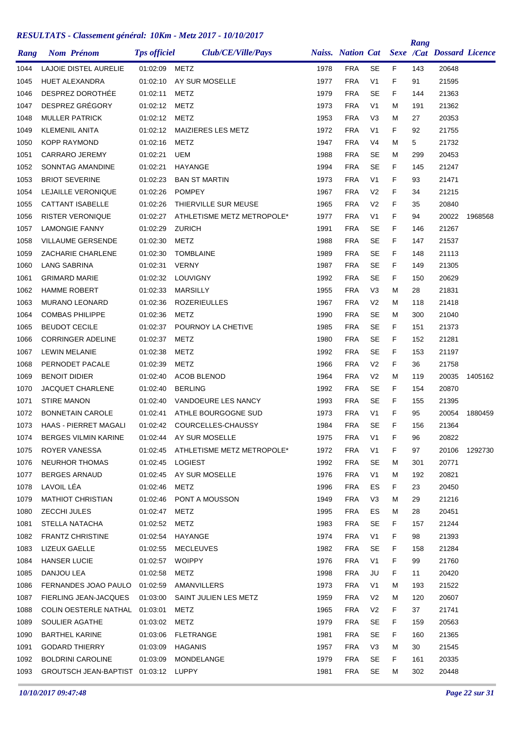|      |                                                        |                     |                                     |      |                          |                |    | Rang |                                  |         |
|------|--------------------------------------------------------|---------------------|-------------------------------------|------|--------------------------|----------------|----|------|----------------------------------|---------|
| Rang | <b>Nom Prénom</b>                                      | <b>Tps officiel</b> | Club/CE/Ville/Pays                  |      | <b>Naiss.</b> Nation Cat |                |    |      | <b>Sexe /Cat Dossard Licence</b> |         |
| 1044 | LAJOIE DISTEL AURELIE                                  | 01:02:09            | METZ                                | 1978 | <b>FRA</b>               | <b>SE</b>      | F  | 143  | 20648                            |         |
| 1045 | <b>HUET ALEXANDRA</b>                                  | 01:02:10            | AY SUR MOSELLE                      | 1977 | <b>FRA</b>               | V <sub>1</sub> | F  | 91   | 21595                            |         |
| 1046 | DESPREZ DOROTHÉE                                       | 01:02:11            | METZ                                | 1979 | <b>FRA</b>               | <b>SE</b>      | F  | 144  | 21363                            |         |
| 1047 | DESPREZ GRÉGORY                                        | 01:02:12            | METZ                                | 1973 | <b>FRA</b>               | V <sub>1</sub> | м  | 191  | 21362                            |         |
| 1048 | <b>MULLER PATRICK</b>                                  | 01:02:12            | <b>METZ</b>                         | 1953 | <b>FRA</b>               | V3             | м  | 27   | 20353                            |         |
| 1049 | <b>KLEMENIL ANITA</b>                                  | 01:02:12            | MAIZIERES LES METZ                  | 1972 | <b>FRA</b>               | V <sub>1</sub> | F  | 92   | 21755                            |         |
| 1050 | <b>KOPP RAYMOND</b>                                    | 01:02:16            | METZ                                | 1947 | <b>FRA</b>               | V4             | м  | 5    | 21732                            |         |
| 1051 | <b>CARRARO JEREMY</b>                                  | 01:02:21            | UEM                                 | 1988 | <b>FRA</b>               | <b>SE</b>      | м  | 299  | 20453                            |         |
| 1052 | SONNTAG AMANDINE                                       | 01:02:21            | HAYANGE                             | 1994 | <b>FRA</b>               | <b>SE</b>      | F  | 145  | 21247                            |         |
| 1053 | <b>BRIOT SEVERINE</b>                                  | 01:02:23            | <b>BAN ST MARTIN</b>                | 1973 | <b>FRA</b>               | V <sub>1</sub> | F  | 93   | 21471                            |         |
| 1054 | LEJAILLE VERONIQUE                                     | 01:02:26            | <b>POMPEY</b>                       | 1967 | <b>FRA</b>               | V <sub>2</sub> | F  | 34   | 21215                            |         |
| 1055 | <b>CATTANT ISABELLE</b>                                | 01:02:26            | THIERVILLE SUR MEUSE                | 1965 | <b>FRA</b>               | V <sub>2</sub> | F  | 35   | 20840                            |         |
| 1056 | RISTER VERONIQUE                                       | 01:02:27            | ATHLETISME METZ METROPOLE*          | 1977 | <b>FRA</b>               | V <sub>1</sub> | F  | 94   | 20022                            | 1968568 |
| 1057 | <b>LAMONGIE FANNY</b>                                  | 01:02:29            | <b>ZURICH</b>                       | 1991 | <b>FRA</b>               | <b>SE</b>      | F  | 146  | 21267                            |         |
| 1058 | <b>VILLAUME GERSENDE</b>                               | 01:02:30            | <b>METZ</b>                         | 1988 | <b>FRA</b>               | <b>SE</b>      | F  | 147  | 21537                            |         |
| 1059 | ZACHARIE CHARLENE                                      | 01:02:30            | <b>TOMBLAINE</b>                    | 1989 | <b>FRA</b>               | <b>SE</b>      | F  | 148  | 21113                            |         |
| 1060 | <b>LANG SABRINA</b>                                    | 01:02:31            | <b>VERNY</b>                        | 1987 | <b>FRA</b>               | <b>SE</b>      | F  | 149  | 21305                            |         |
| 1061 | <b>GRIMARD MARIE</b>                                   | 01:02:32            | LOUVIGNY                            | 1992 | <b>FRA</b>               | <b>SE</b>      | F  | 150  | 20629                            |         |
| 1062 | <b>HAMME ROBERT</b>                                    | 01:02:33            | <b>MARSILLY</b>                     | 1955 | <b>FRA</b>               | V3             | м  | 28   | 21831                            |         |
| 1063 | <b>MURANO LEONARD</b>                                  | 01:02:36            | <b>ROZERIEULLES</b>                 | 1967 | <b>FRA</b>               | V <sub>2</sub> | М  | 118  | 21418                            |         |
| 1064 | <b>COMBAS PHILIPPE</b>                                 | 01:02:36            | <b>METZ</b>                         | 1990 | <b>FRA</b>               | <b>SE</b>      | М  | 300  | 21040                            |         |
| 1065 | <b>BEUDOT CECILE</b>                                   | 01:02:37            | POURNOY LA CHETIVE                  | 1985 | <b>FRA</b>               | <b>SE</b>      | F  | 151  | 21373                            |         |
| 1066 | <b>CORRINGER ADELINE</b>                               | 01:02:37            | METZ                                | 1980 | <b>FRA</b>               | <b>SE</b>      | F  | 152  | 21281                            |         |
| 1067 | <b>LEWIN MELANIE</b>                                   | 01:02:38            | METZ                                | 1992 | <b>FRA</b>               | <b>SE</b>      | F  | 153  | 21197                            |         |
| 1068 | PERNODET PACALE                                        | 01:02:39            | METZ                                | 1966 | <b>FRA</b>               | V <sub>2</sub> | F  | 36   | 21758                            |         |
| 1069 | <b>BENOIT DIDIER</b>                                   | 01:02:40            | <b>ACOB BLENOD</b>                  | 1964 | <b>FRA</b>               | V <sub>2</sub> | М  | 119  | 20035                            | 1405162 |
| 1070 | <b>JACQUET CHARLENE</b>                                | 01:02:40            | <b>BERLING</b>                      | 1992 | <b>FRA</b>               | <b>SE</b>      | F  | 154  | 20870                            |         |
| 1071 | <b>STIRE MANON</b>                                     | 01:02:40            | VANDOEURE LES NANCY                 | 1993 | <b>FRA</b>               | <b>SE</b>      | F  | 155  | 21395                            |         |
| 1072 | <b>BONNETAIN CAROLE</b>                                | 01:02:41            | ATHLE BOURGOGNE SUD                 | 1973 | <b>FRA</b>               | V <sub>1</sub> | F  | 95   | 20054                            | 1880459 |
| 1073 | HAAS - PIERRET MAGALI                                  | 01:02:42            | COURCELLES-CHAUSSY                  | 1984 | <b>FRA</b>               | <b>SE</b>      | F  | 156  | 21364                            |         |
| 1074 | <b>BERGES VILMIN KARINE</b>                            |                     | 01:02:44 AY SUR MOSELLE             | 1975 | <b>FRA</b>               | V <sub>1</sub> | F  | 96   | 20822                            |         |
| 1075 | ROYER VANESSA                                          |                     | 01:02:45 ATHLETISME METZ METROPOLE* | 1972 | <b>FRA</b>               | V <sub>1</sub> | F. | 97   | 20106                            | 1292730 |
| 1076 | NEURHOR THOMAS                                         |                     | 01:02:45 LOGIEST                    | 1992 | <b>FRA</b>               | SE             | M  | 301  | 20771                            |         |
| 1077 | <b>BERGES ARNAUD</b>                                   |                     | 01:02:45 AY SUR MOSELLE             | 1976 | <b>FRA</b>               | V <sub>1</sub> | м  | 192  | 20821                            |         |
| 1078 | LAVOIL LÉA                                             | 01:02:46            | <b>METZ</b>                         | 1996 | <b>FRA</b>               | ES             | F. | 23   | 20450                            |         |
| 1079 | <b>MATHIOT CHRISTIAN</b>                               |                     | 01:02:46 PONT A MOUSSON             | 1949 | <b>FRA</b>               | V <sub>3</sub> | М  | 29   | 21216                            |         |
| 1080 | ZECCHI JULES                                           | 01:02:47            | METZ                                | 1995 | <b>FRA</b>               | ES             | м  | 28   | 20451                            |         |
| 1081 | STELLA NATACHA                                         | 01:02:52            | METZ                                | 1983 | <b>FRA</b>               | <b>SE</b>      | F. | 157  | 21244                            |         |
| 1082 | <b>FRANTZ CHRISTINE</b>                                | 01:02:54            | HAYANGE                             | 1974 | <b>FRA</b>               | V <sub>1</sub> | F. | 98   | 21393                            |         |
| 1083 | LIZEUX GAELLE                                          | 01:02:55            | MECLEUVES                           | 1982 | <b>FRA</b>               | <b>SE</b>      | F. | 158  | 21284                            |         |
| 1084 | <b>HANSER LUCIE</b>                                    | 01:02:57            | <b>WOIPPY</b>                       | 1976 | FRA                      | V <sub>1</sub> | F. | 99   | 21760                            |         |
| 1085 | DANJOU LEA                                             | 01:02:58            | METZ                                | 1998 | <b>FRA</b>               | JU             | F. | 11   | 20420                            |         |
| 1086 | FERNANDES JOAO PAULO 01:02:59                          |                     | AMANVILLERS                         | 1973 | <b>FRA</b>               | V1             | м  | 193  | 21522                            |         |
| 1087 | FIERLING JEAN-JACQUES  01:03:00  SAINT JULIEN LES METZ |                     |                                     | 1959 | <b>FRA</b>               | V <sub>2</sub> | M  | 120  | 20607                            |         |
| 1088 | COLIN OESTERLE NATHAL 01:03:01                         |                     | METZ                                | 1965 | <b>FRA</b>               | V <sub>2</sub> | F. | 37   | 21741                            |         |
| 1089 | SOULIER AGATHE                                         | 01:03:02            | METZ                                | 1979 | <b>FRA</b>               | <b>SE</b>      | F. | 159  | 20563                            |         |
| 1090 | <b>BARTHEL KARINE</b>                                  |                     | 01:03:06 FLETRANGE                  | 1981 | <b>FRA</b>               | SE             | F. | 160  | 21365                            |         |
| 1091 | <b>GODARD THIERRY</b>                                  | 01:03:09            | HAGANIS                             | 1957 | <b>FRA</b>               | V <sub>3</sub> | М  | 30   | 21545                            |         |
| 1092 | <b>BOLDRINI CAROLINE</b>                               | 01:03:09            | MONDELANGE                          | 1979 | <b>FRA</b>               | <b>SE</b>      | F. | 161  | 20335                            |         |
| 1093 | GROUTSCH JEAN-BAPTIST 01:03:12 LUPPY                   |                     |                                     | 1981 | <b>FRA</b>               | <b>SE</b>      | м  | 302  | 20448                            |         |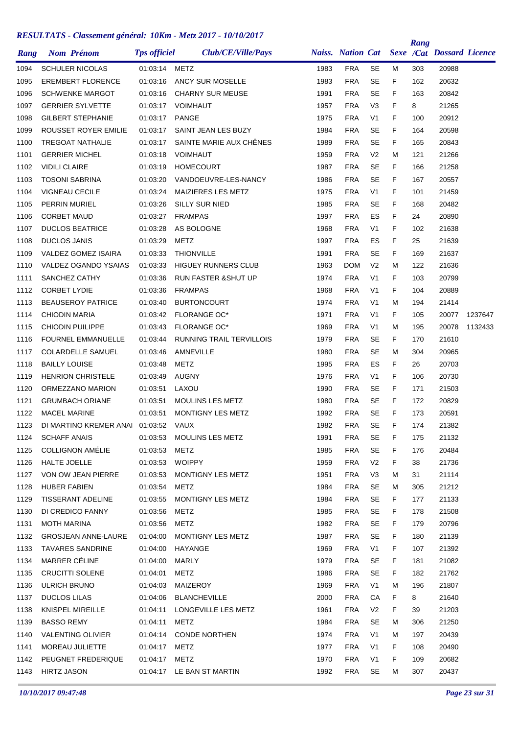| Rang | <b>Nom Prénom</b>          | <b>Tps officiel</b> | Club/CE/Ville/Pays              |      | <b>Naiss.</b> Nation Cat |                |    | Rang | <b>Sexe /Cat Dossard Licence</b> |         |
|------|----------------------------|---------------------|---------------------------------|------|--------------------------|----------------|----|------|----------------------------------|---------|
|      |                            |                     |                                 |      |                          |                |    |      |                                  |         |
| 1094 | <b>SCHULER NICOLAS</b>     | 01:03:14            | METZ                            | 1983 | <b>FRA</b>               | SE             | м  | 303  | 20988                            |         |
| 1095 | <b>EREMBERT FLORENCE</b>   | 01:03:16            | ANCY SUR MOSELLE                | 1983 | <b>FRA</b>               | <b>SE</b>      | F  | 162  | 20632                            |         |
| 1096 | <b>SCHWENKE MARGOT</b>     | 01:03:16            | <b>CHARNY SUR MEUSE</b>         | 1991 | <b>FRA</b>               | <b>SE</b>      | F  | 163  | 20842                            |         |
| 1097 | <b>GERRIER SYLVETTE</b>    | 01:03:17            | <b>VOIMHAUT</b>                 | 1957 | <b>FRA</b>               | V <sub>3</sub> | F  | 8    | 21265                            |         |
| 1098 | <b>GILBERT STEPHANIE</b>   | 01:03:17            | <b>PANGE</b>                    | 1975 | <b>FRA</b>               | V <sub>1</sub> | F  | 100  | 20912                            |         |
| 1099 | ROUSSET ROYER EMILIE       | 01:03:17            | SAINT JEAN LES BUZY             | 1984 | <b>FRA</b>               | <b>SE</b>      | F  | 164  | 20598                            |         |
| 1100 | <b>TREGOAT NATHALIE</b>    | 01:03:17            | SAINTE MARIE AUX CHÊNES         | 1989 | <b>FRA</b>               | <b>SE</b>      | F  | 165  | 20843                            |         |
| 1101 | <b>GERRIER MICHEL</b>      | 01:03:18            | <b>VOIMHAUT</b>                 | 1959 | <b>FRA</b>               | V <sub>2</sub> | м  | 121  | 21266                            |         |
| 1102 | <b>VIDILI CLAIRE</b>       | 01:03:19            | <b>HOMECOURT</b>                | 1987 | <b>FRA</b>               | <b>SE</b>      | F  | 166  | 21258                            |         |
| 1103 | <b>TOSONI SABRINA</b>      | 01:03:20            | VANDOEUVRE-LES-NANCY            | 1986 | <b>FRA</b>               | <b>SE</b>      | F  | 167  | 20557                            |         |
| 1104 | <b>VIGNEAU CECILE</b>      | 01:03:24            | MAIZIERES LES METZ              | 1975 | <b>FRA</b>               | V <sub>1</sub> | F  | 101  | 21459                            |         |
| 1105 | PERRIN MURIEL              | 01:03:26            | <b>SILLY SUR NIED</b>           | 1985 | <b>FRA</b>               | <b>SE</b>      | F  | 168  | 20482                            |         |
| 1106 | <b>CORBET MAUD</b>         | 01:03:27            | <b>FRAMPAS</b>                  | 1997 | <b>FRA</b>               | ES             | F  | 24   | 20890                            |         |
| 1107 | <b>DUCLOS BEATRICE</b>     | 01:03:28            | AS BOLOGNE                      | 1968 | <b>FRA</b>               | V <sub>1</sub> | F  | 102  | 21638                            |         |
| 1108 | <b>DUCLOS JANIS</b>        | 01:03:29            | METZ                            | 1997 | <b>FRA</b>               | ES             | F  | 25   | 21639                            |         |
| 1109 | VALDEZ GOMEZ ISAIRA        | 01:03:33            | <b>THIONVILLE</b>               | 1991 | <b>FRA</b>               | <b>SE</b>      | F  | 169  | 21637                            |         |
| 1110 | VALDEZ OGANDO YSAIAS       | 01:03:33            | <b>HIGUEY RUNNERS CLUB</b>      | 1963 | <b>DOM</b>               | V <sub>2</sub> | м  | 122  | 21636                            |         |
| 1111 | SANCHEZ CATHY              | 01:03:36            | <b>RUN FASTER &amp; SHUT UP</b> | 1974 | <b>FRA</b>               | V <sub>1</sub> | F  | 103  | 20799                            |         |
| 1112 | <b>CORBET LYDIE</b>        | 01:03:36            | <b>FRAMPAS</b>                  | 1968 | <b>FRA</b>               | V <sub>1</sub> | F  | 104  | 20889                            |         |
| 1113 | <b>BEAUSEROY PATRICE</b>   | 01:03:40            | <b>BURTONCOURT</b>              | 1974 | <b>FRA</b>               | V <sub>1</sub> | М  | 194  | 21414                            |         |
| 1114 | <b>CHIODIN MARIA</b>       | 01:03:42            | <b>FLORANGE OC*</b>             | 1971 | <b>FRA</b>               | V <sub>1</sub> | F  | 105  | 20077                            | 1237647 |
| 1115 | <b>CHIODIN PUILIPPE</b>    | 01:03:43            | <b>FLORANGE OC*</b>             | 1969 | <b>FRA</b>               | V <sub>1</sub> | м  | 195  | 20078                            | 1132433 |
| 1116 | <b>FOURNEL EMMANUELLE</b>  | 01:03:44            | <b>RUNNING TRAIL TERVILLOIS</b> | 1979 | <b>FRA</b>               | <b>SE</b>      | F  | 170  | 21610                            |         |
| 1117 | <b>COLARDELLE SAMUEL</b>   | 01:03:46            | AMNEVILLE                       | 1980 | <b>FRA</b>               | <b>SE</b>      | м  | 304  | 20965                            |         |
| 1118 | <b>BAILLY LOUISE</b>       | 01:03:48            | METZ                            | 1995 | <b>FRA</b>               | ES             | F  | 26   | 20703                            |         |
| 1119 | <b>HENRION CHRISTELE</b>   | 01:03:49            | <b>AUGNY</b>                    | 1976 | <b>FRA</b>               | V <sub>1</sub> | F  | 106  | 20730                            |         |
| 1120 | ORMEZZANO MARION           | 01:03:51            | LAXOU                           | 1990 | <b>FRA</b>               | <b>SE</b>      | F  | 171  | 21503                            |         |
| 1121 | <b>GRUMBACH ORIANE</b>     | 01:03:51            | <b>MOULINS LES METZ</b>         | 1980 | <b>FRA</b>               | <b>SE</b>      | F  | 172  | 20829                            |         |
| 1122 | <b>MACEL MARINE</b>        | 01:03:51            | <b>MONTIGNY LES METZ</b>        | 1992 | <b>FRA</b>               | <b>SE</b>      | F  | 173  | 20591                            |         |
| 1123 | DI MARTINO KREMER ANAI     | 01:03:52            | VAUX                            | 1982 | <b>FRA</b>               | <b>SE</b>      | F  | 174  | 21382                            |         |
| 1124 | <b>SCHAFF ANAIS</b>        | 01:03:53            | MOULINS LES METZ                | 1991 | <b>FRA</b>               | <b>SE</b>      | F. | 175  | 21132                            |         |
| 1125 | <b>COLLIGNON AMÉLIE</b>    | 01:03:53            | METZ                            | 1985 | <b>FRA</b>               | SE             | F. | 176  | 20484                            |         |
| 1126 | HALTE JOELLE               | 01:03:53 WOIPPY     |                                 | 1959 | <b>FRA</b>               | V <sub>2</sub> | F  | 38   | 21736                            |         |
| 1127 | VON OW JEAN PIERRE         | 01:03:53            | MONTIGNY LES METZ               | 1951 | <b>FRA</b>               | V <sub>3</sub> | М  | 31   | 21114                            |         |
| 1128 | <b>HUBER FABIEN</b>        | 01:03:54            | METZ                            | 1984 | <b>FRA</b>               | <b>SE</b>      | м  | 305  | 21212                            |         |
| 1129 | <b>TISSERANT ADELINE</b>   | 01:03:55            | MONTIGNY LES METZ               | 1984 | <b>FRA</b>               | SE             | F. | 177  | 21133                            |         |
| 1130 | DI CREDICO FANNY           | 01:03:56            | METZ                            | 1985 | <b>FRA</b>               | SE             | F. | 178  | 21508                            |         |
| 1131 | <b>MOTH MARINA</b>         | 01:03:56            | METZ                            | 1982 | <b>FRA</b>               | <b>SE</b>      | F. | 179  | 20796                            |         |
| 1132 | <b>GROSJEAN ANNE-LAURE</b> | 01:04:00            | MONTIGNY LES METZ               | 1987 | <b>FRA</b>               | SE             | F. | 180  | 21139                            |         |
| 1133 | <b>TAVARES SANDRINE</b>    | 01:04:00            | HAYANGE                         | 1969 | <b>FRA</b>               | V <sub>1</sub> | F. | 107  | 21392                            |         |
| 1134 | MARRER CÉLINE              | 01:04:00            | MARLY                           | 1979 | <b>FRA</b>               | <b>SE</b>      | F. | 181  | 21082                            |         |
| 1135 | <b>CRUCITTI SOLENE</b>     | 01:04:01            | METZ                            | 1986 | <b>FRA</b>               | <b>SE</b>      | F. | 182  | 21762                            |         |
| 1136 | ULRICH BRUNO               | 01:04:03            | MAIZEROY                        | 1969 | <b>FRA</b>               | V <sub>1</sub> | М  | 196  | 21807                            |         |
| 1137 | <b>DUCLOS LILAS</b>        | 01:04:06            | BLANCHEVILLE                    | 2000 | <b>FRA</b>               | СA             | F. | 8    | 21640                            |         |
| 1138 | KNISPEL MIREILLE           | 01:04:11            | LONGEVILLE LES METZ             | 1961 | <b>FRA</b>               | V <sub>2</sub> | F  | 39   | 21203                            |         |
| 1139 | <b>BASSO REMY</b>          | 01:04:11            | METZ                            | 1984 | <b>FRA</b>               | <b>SE</b>      | м  | 306  | 21250                            |         |
| 1140 | <b>VALENTING OLIVIER</b>   |                     | 01:04:14 CONDE NORTHEN          | 1974 | <b>FRA</b>               | V <sub>1</sub> | М  | 197  | 20439                            |         |
| 1141 | MOREAU JULIETTE            | 01:04:17            | <b>METZ</b>                     | 1977 | <b>FRA</b>               | V <sub>1</sub> | F. | 108  | 20490                            |         |
| 1142 | PEUGNET FREDERIQUE         | 01:04:17 METZ       |                                 | 1970 | <b>FRA</b>               | V <sub>1</sub> | F. | 109  | 20682                            |         |
| 1143 | <b>HIRTZ JASON</b>         |                     | 01:04:17 LE BAN ST MARTIN       | 1992 | <b>FRA</b>               | SE             | М  | 307  | 20437                            |         |
|      |                            |                     |                                 |      |                          |                |    |      |                                  |         |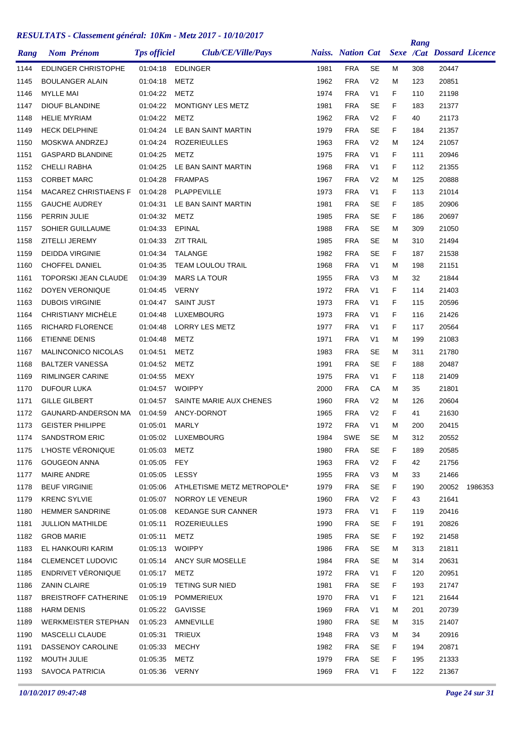| Rang         | <b>Nom Prénom</b>                          | <b>Tps officiel</b>  | Club/CE/Ville/Pays          |              |                          |                                  |        | Rang       | Naiss. Nation Cat Sexe /Cat Dossard Licence |         |
|--------------|--------------------------------------------|----------------------|-----------------------------|--------------|--------------------------|----------------------------------|--------|------------|---------------------------------------------|---------|
| 1144         | <b>EDLINGER CHRISTOPHE</b>                 | 01:04:18             | EDLINGER                    | 1981         | <b>FRA</b>               | <b>SE</b>                        | M      | 308        | 20447                                       |         |
|              |                                            |                      |                             |              |                          |                                  |        |            |                                             |         |
| 1145<br>1146 | <b>BOULANGER ALAIN</b><br><b>MYLLE MAI</b> | 01:04:18<br>01:04:22 | <b>METZ</b><br><b>METZ</b>  | 1962<br>1974 | <b>FRA</b><br><b>FRA</b> | V <sub>2</sub><br>V <sub>1</sub> | M<br>F | 123<br>110 | 20851<br>21198                              |         |
| 1147         | <b>DIOUF BLANDINE</b>                      | 01:04:22             | MONTIGNY LES METZ           | 1981         | <b>FRA</b>               | <b>SE</b>                        | F      | 183        | 21377                                       |         |
| 1148         | <b>HELIE MYRIAM</b>                        | 01:04:22             | <b>METZ</b>                 | 1962         | <b>FRA</b>               | V <sub>2</sub>                   | F      | 40         | 21173                                       |         |
| 1149         | <b>HECK DELPHINE</b>                       | 01:04:24             | LE BAN SAINT MARTIN         | 1979         | <b>FRA</b>               | SE                               | F      | 184        | 21357                                       |         |
| 1150         | MOSKWA ANDRZEJ                             |                      | <b>ROZERIEULLES</b>         | 1963         | <b>FRA</b>               | V <sub>2</sub>                   | M      |            | 21057                                       |         |
|              | <b>GASPARD BLANDINE</b>                    | 01:04:24             |                             |              | <b>FRA</b>               | V <sub>1</sub>                   | F      | 124        |                                             |         |
| 1151<br>1152 | <b>CHELLI RABHA</b>                        | 01:04:25<br>01:04:25 | METZ<br>LE BAN SAINT MARTIN | 1975<br>1968 | <b>FRA</b>               | V <sub>1</sub>                   | F      | 111<br>112 | 20946<br>21355                              |         |
|              |                                            |                      |                             |              | <b>FRA</b>               |                                  |        |            |                                             |         |
| 1153         | <b>CORBET MARC</b>                         | 01:04:28             | <b>FRAMPAS</b>              | 1967         |                          | V <sub>2</sub><br>V <sub>1</sub> | M      | 125        | 20888<br>21014                              |         |
| 1154         | <b>MACAREZ CHRISTIAENS F</b>               | 01:04:28             | PLAPPEVILLE                 | 1973<br>1981 | <b>FRA</b><br><b>FRA</b> | <b>SE</b>                        | F      | 113        |                                             |         |
| 1155         | <b>GAUCHE AUDREY</b>                       | 01:04:31             | LE BAN SAINT MARTIN         |              |                          |                                  | F      | 185        | 20906                                       |         |
| 1156         | PERRIN JULIE                               | 01:04:32             | METZ                        | 1985         | <b>FRA</b>               | <b>SE</b><br><b>SE</b>           | F      | 186        | 20697                                       |         |
| 1157         | SOHIER GUILLAUME                           | 01:04:33             | EPINAL                      | 1988         | <b>FRA</b>               |                                  | М      | 309        | 21050                                       |         |
| 1158         | ZITELLI JEREMY                             | 01:04:33             | <b>ZIT TRAIL</b>            | 1985         | <b>FRA</b>               | <b>SE</b>                        | М      | 310        | 21494                                       |         |
| 1159         | <b>DEIDDA VIRGINIE</b>                     | 01:04:34             | <b>TALANGE</b>              | 1982         | <b>FRA</b>               | <b>SE</b>                        | F      | 187        | 21538                                       |         |
| 1160         | CHOFFEL DANIEL                             | 01:04:35             | TEAM LOULOU TRAIL           | 1968         | <b>FRA</b>               | V <sub>1</sub>                   | М      | 198        | 21151                                       |         |
| 1161         | <b>TOPORSKI JEAN CLAUDE</b>                | 01:04:39             | <b>MARS LA TOUR</b>         | 1955         | <b>FRA</b>               | V <sub>3</sub>                   | М      | 32         | 21844                                       |         |
| 1162         | DOYEN VERONIQUE                            | 01:04:45             | <b>VERNY</b>                | 1972         | <b>FRA</b>               | V <sub>1</sub>                   | F      | 114        | 21403                                       |         |
| 1163         | <b>DUBOIS VIRGINIE</b>                     | 01:04:47             | <b>SAINT JUST</b>           | 1973         | <b>FRA</b>               | V <sub>1</sub>                   | F      | 115        | 20596                                       |         |
| 1164         | CHRISTIANY MICHELE                         | 01:04:48             | LUXEMBOURG                  | 1973         | <b>FRA</b>               | V <sub>1</sub>                   | F      | 116        | 21426                                       |         |
| 1165         | RICHARD FLORENCE                           | 01:04:48             | LORRY LES METZ              | 1977         | <b>FRA</b>               | V <sub>1</sub>                   | F      | 117        | 20564                                       |         |
| 1166         | <b>ETIENNE DENIS</b>                       | 01:04:48             | METZ                        | 1971         | <b>FRA</b>               | V <sub>1</sub>                   | М      | 199        | 21083                                       |         |
| 1167         | MALINCONICO NICOLAS                        | 01:04:51             | <b>METZ</b>                 | 1983         | <b>FRA</b>               | <b>SE</b>                        | M      | 311        | 21780                                       |         |
| 1168         | <b>BALTZER VANESSA</b>                     | 01:04:52             | METZ                        | 1991         | <b>FRA</b>               | <b>SE</b>                        | F.     | 188        | 20487                                       |         |
| 1169         | RIMLINGER CARINE                           | 01:04:55             | <b>MEXY</b>                 | 1975         | <b>FRA</b>               | V <sub>1</sub>                   | F      | 118        | 21409                                       |         |
| 1170         | <b>DUFOUR LUKA</b>                         | 01:04:57             | <b>WOIPPY</b>               | 2000         | <b>FRA</b>               | CA                               | M      | 35         | 21801                                       |         |
| 1171         | <b>GILLE GILBERT</b>                       | 01:04:57             | SAINTE MARIE AUX CHENES     | 1960         | <b>FRA</b>               | V <sub>2</sub>                   | М      | 126        | 20604                                       |         |
| 1172         | GAUNARD-ANDERSON MA                        | 01:04:59             | ANCY-DORNOT                 | 1965         | <b>FRA</b>               | V <sub>2</sub>                   | F      | 41         | 21630                                       |         |
| 1173         | <b>GEISTER PHILIPPE</b>                    | 01:05:01             | <b>MARLY</b>                | 1972         | <b>FRA</b>               | V <sub>1</sub>                   | М      | 200        | 20415                                       |         |
| 1174         | <b>SANDSTROM ERIC</b>                      |                      | 01:05:02 LUXEMBOURG         | 1984         | <b>SWE</b>               | SE                               | м      | 312        | 20552                                       |         |
| 1175         | L'HOSTE VÉRONIQUE                          | 01:05:03             | <b>METZ</b>                 | 1980         | <b>FRA</b>               | <b>SE</b>                        | F.     | 189        | 20585                                       |         |
| 1176         | <b>GOUGEON ANNA</b>                        | 01:05:05             | FEY                         | 1963         | <b>FRA</b>               | V <sub>2</sub>                   | F.     | 42         | 21756                                       |         |
| 1177         | MAIRE ANDRE                                | 01:05:05 LESSY       |                             | 1955         | <b>FRA</b>               | V <sub>3</sub>                   | M      | 33         | 21466                                       |         |
| 1178         | <b>BEUF VIRGINIE</b>                       | 01:05:06             | ATHLETISME METZ METROPOLE*  | 1979         | <b>FRA</b>               | SE                               | F.     | 190        | 20052                                       | 1986353 |
| 1179         | <b>KRENC SYLVIE</b>                        | 01:05:07             | NORROY LE VENEUR            | 1960         | <b>FRA</b>               | V <sub>2</sub>                   | F.     | 43         | 21641                                       |         |
| 1180         | <b>HEMMER SANDRINE</b>                     | 01:05:08             | <b>KEDANGE SUR CANNER</b>   | 1973         | <b>FRA</b>               | V <sub>1</sub>                   | F      | 119        | 20416                                       |         |
| 1181         | <b>JULLION MATHILDE</b>                    | 01:05:11             | <b>ROZERIEULLES</b>         | 1990         | <b>FRA</b>               | <b>SE</b>                        | F.     | 191        | 20826                                       |         |
| 1182         | <b>GROB MARIE</b>                          | 01:05:11             | METZ                        | 1985         | <b>FRA</b>               | SE                               | F.     | 192        | 21458                                       |         |
| 1183         | EL HANKOURI KARIM                          | 01:05:13             | WOIPPY                      | 1986         | <b>FRA</b>               | <b>SE</b>                        | Μ      | 313        | 21811                                       |         |
| 1184         | CLEMENCET LUDOVIC                          |                      | 01:05:14 ANCY SUR MOSELLE   | 1984         | <b>FRA</b>               | SE                               | м      | 314        | 20631                                       |         |
| 1185         | ENDRIVET VÉRONIQUE                         | 01:05:17             | METZ                        | 1972         | <b>FRA</b>               | V <sub>1</sub>                   | F.     | 120        | 20951                                       |         |
| 1186         | <b>ZANIN CLAIRE</b>                        | 01:05:19             | TETING SUR NIED             | 1981         | <b>FRA</b>               | SE                               | F.     | 193        | 21747                                       |         |
| 1187         | <b>BREISTROFF CATHERINE</b>                |                      | 01:05:19 POMMERIEUX         | 1970         | <b>FRA</b>               | V <sub>1</sub>                   | F.     | 121        | 21644                                       |         |
| 1188         | <b>HARM DENIS</b>                          |                      | 01:05:22 GAVISSE            | 1969         | <b>FRA</b>               | V <sub>1</sub>                   | M      | 201        | 20739                                       |         |
| 1189         | <b>WERKMEISTER STEPHAN</b>                 | 01:05:23             | AMNEVILLE                   | 1980         | <b>FRA</b>               | <b>SE</b>                        | M      | 315        | 21407                                       |         |
| 1190         | MASCELLI CLAUDE                            | 01:05:31             | TRIEUX                      | 1948         | <b>FRA</b>               | V <sub>3</sub>                   | M      | 34         | 20916                                       |         |
| 1191         | DASSENOY CAROLINE                          | 01:05:33             | <b>MECHY</b>                | 1982         | <b>FRA</b>               | SE                               | F.     | 194        | 20871                                       |         |
| 1192         | MOUTH JULIE                                | 01:05:35             | METZ                        | 1979         | <b>FRA</b>               | SE                               | F.     | 195        | 21333                                       |         |
| 1193         | <b>SAVOCA PATRICIA</b>                     | 01:05:36 VERNY       |                             | 1969         | <b>FRA</b>               | V <sub>1</sub>                   | F.     | 122        | 21367                                       |         |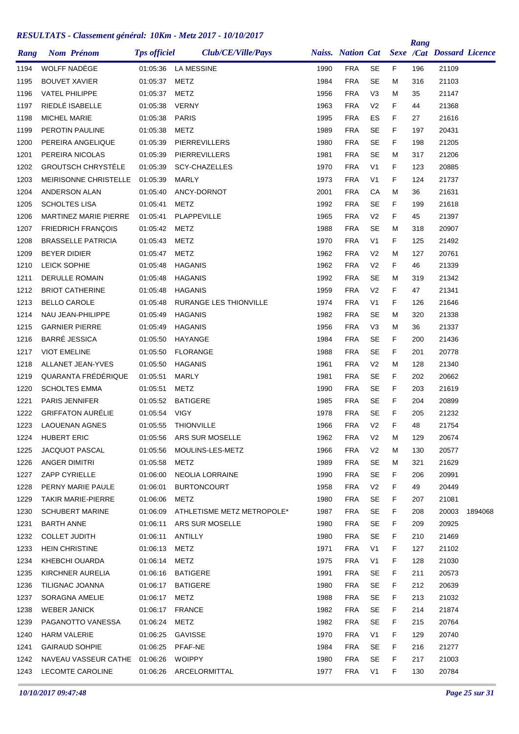|      |                       |                               |                     |                            |      |                          |                |    | Rang |                           |         |
|------|-----------------------|-------------------------------|---------------------|----------------------------|------|--------------------------|----------------|----|------|---------------------------|---------|
| Rang |                       | <b>Nom Prénom</b>             | <b>Tps officiel</b> | Club/CE/Ville/Pays         |      | <b>Naiss. Nation Cat</b> |                |    |      | Sexe /Cat Dossard Licence |         |
| 1194 | WOLFF NADÈGE          |                               |                     | 01:05:36 LA MESSINE        | 1990 | <b>FRA</b>               | <b>SE</b>      | F  | 196  | 21109                     |         |
| 1195 | <b>BOUVET XAVIER</b>  |                               | 01:05:37            | METZ                       | 1984 | <b>FRA</b>               | <b>SE</b>      | M  | 316  | 21103                     |         |
| 1196 | <b>VATEL PHILIPPE</b> |                               | 01:05:37            | <b>METZ</b>                | 1956 | <b>FRA</b>               | V <sub>3</sub> | м  | 35   | 21147                     |         |
| 1197 |                       | RIEDLÉ ISABELLE               | 01:05:38            | <b>VERNY</b>               | 1963 | <b>FRA</b>               | V <sub>2</sub> | F  | 44   | 21368                     |         |
| 1198 | <b>MICHEL MARIE</b>   |                               | 01:05:38            | <b>PARIS</b>               | 1995 | <b>FRA</b>               | ES             | F  | 27   | 21616                     |         |
| 1199 |                       | PEROTIN PAULINE               | 01:05:38            | <b>METZ</b>                | 1989 | <b>FRA</b>               | <b>SE</b>      | F  | 197  | 20431                     |         |
| 1200 |                       | PEREIRA ANGELIQUE             | 01:05:39            | PIERREVILLERS              | 1980 | <b>FRA</b>               | <b>SE</b>      | F  | 198  | 21205                     |         |
| 1201 |                       | PEREIRA NICOLAS               | 01:05:39            | PIERREVILLERS              | 1981 | <b>FRA</b>               | <b>SE</b>      | м  | 317  | 21206                     |         |
| 1202 |                       | <b>GROUTSCH CHRYSTÈLE</b>     | 01:05:39            | <b>SCY-CHAZELLES</b>       | 1970 | <b>FRA</b>               | V <sub>1</sub> | F  | 123  | 20885                     |         |
| 1203 |                       | MEIRISONNE CHRISTELLE         | 01:05:39            | <b>MARLY</b>               | 1973 | <b>FRA</b>               | V <sub>1</sub> | F  | 124  | 21737                     |         |
| 1204 |                       | ANDERSON ALAN                 | 01:05:40            | ANCY-DORNOT                | 2001 | <b>FRA</b>               | CA             | м  | 36   | 21631                     |         |
| 1205 | <b>SCHOLTES LISA</b>  |                               | 01:05:41            | METZ                       | 1992 | <b>FRA</b>               | <b>SE</b>      | F  | 199  | 21618                     |         |
| 1206 |                       | <b>MARTINEZ MARIE PIERRE</b>  | 01:05:41            | PLAPPEVILLE                | 1965 | <b>FRA</b>               | V <sub>2</sub> | F  | 45   | 21397                     |         |
| 1207 |                       | <b>FRIEDRICH FRANÇOIS</b>     | 01:05:42            | METZ                       | 1988 | <b>FRA</b>               | <b>SE</b>      | м  | 318  | 20907                     |         |
| 1208 |                       | <b>BRASSELLE PATRICIA</b>     | 01:05:43            | <b>METZ</b>                | 1970 | <b>FRA</b>               | V <sub>1</sub> | F  | 125  | 21492                     |         |
| 1209 | <b>BEYER DIDIER</b>   |                               | 01:05:47            | <b>METZ</b>                | 1962 | <b>FRA</b>               | V <sub>2</sub> | м  | 127  | 20761                     |         |
| 1210 | LEICK SOPHIE          |                               | 01:05:48            | <b>HAGANIS</b>             | 1962 | <b>FRA</b>               | V <sub>2</sub> | F  | 46   | 21339                     |         |
| 1211 |                       | <b>DERULLE ROMAIN</b>         | 01:05:48            | <b>HAGANIS</b>             | 1992 | <b>FRA</b>               | <b>SE</b>      | м  | 319  | 21342                     |         |
| 1212 |                       | <b>BRIOT CATHERINE</b>        | 01:05:48            | <b>HAGANIS</b>             | 1959 | <b>FRA</b>               | V <sub>2</sub> | F  | 47   | 21341                     |         |
| 1213 | <b>BELLO CAROLE</b>   |                               | 01:05:48            | RURANGE LES THIONVILLE     | 1974 | <b>FRA</b>               | V <sub>1</sub> | F  | 126  | 21646                     |         |
| 1214 |                       | NAU JEAN-PHILIPPE             | 01:05:49            | <b>HAGANIS</b>             | 1982 | <b>FRA</b>               | <b>SE</b>      | м  | 320  | 21338                     |         |
| 1215 | <b>GARNIER PIERRE</b> |                               | 01:05:49            | <b>HAGANIS</b>             | 1956 | <b>FRA</b>               | V <sub>3</sub> | М  | 36   | 21337                     |         |
| 1216 | <b>BARRÉ JESSICA</b>  |                               | 01:05:50            | HAYANGE                    | 1984 | <b>FRA</b>               | <b>SE</b>      | F  | 200  | 21436                     |         |
| 1217 | <b>VIOT EMELINE</b>   |                               | 01:05:50            | <b>FLORANGE</b>            | 1988 | <b>FRA</b>               | <b>SE</b>      | F  | 201  | 20778                     |         |
| 1218 |                       | ALLANET JEAN-YVES             | 01:05:50            | <b>HAGANIS</b>             | 1961 | <b>FRA</b>               | V <sub>2</sub> | M  | 128  | 21340                     |         |
| 1219 |                       | QUARANTA FRÉDÉRIQUE           | 01:05:51            | <b>MARLY</b>               | 1981 | <b>FRA</b>               | <b>SE</b>      | F  | 202  | 20662                     |         |
| 1220 |                       | <b>SCHOLTES EMMA</b>          | 01:05:51            | METZ                       | 1990 | <b>FRA</b>               | <b>SE</b>      | F  | 203  | 21619                     |         |
| 1221 | <b>PARIS JENNIFER</b> |                               | 01:05:52            | <b>BATIGERE</b>            | 1985 | <b>FRA</b>               | <b>SE</b>      | F  | 204  | 20899                     |         |
| 1222 |                       | <b>GRIFFATON AURÉLIE</b>      | 01:05:54            | <b>VIGY</b>                | 1978 | <b>FRA</b>               | <b>SE</b>      | F  | 205  | 21232                     |         |
| 1223 |                       | <b>LAOUENAN AGNES</b>         | 01:05:55            | THIONVILLE                 | 1966 | <b>FRA</b>               | V <sub>2</sub> | F  | 48   | 21754                     |         |
| 1224 | <b>HUBERT ERIC</b>    |                               | 01:05:56            | ARS SUR MOSELLE            | 1962 | <b>FRA</b>               | V <sub>2</sub> | м  | 129  | 20674                     |         |
| 1225 |                       | JACQUOT PASCAL                | 01:05:56            | MOULINS-LES-METZ           | 1966 | <b>FRA</b>               | V <sub>2</sub> | M  | 130  | 20577                     |         |
| 1226 | ANGER DIMITRI         |                               | 01:05:58            | METZ                       | 1989 | <b>FRA</b>               | <b>SE</b>      | M  | 321  | 21629                     |         |
| 1227 | ZAPP CYRIELLE         |                               | 01:06:00            | NEOLIA LORRAINE            | 1990 | <b>FRA</b>               | SE             | F  | 206  | 20991                     |         |
| 1228 |                       | PERNY MARIE PAULE             | 01:06:01            | <b>BURTONCOURT</b>         | 1958 | <b>FRA</b>               | V <sub>2</sub> | F  | 49   | 20449                     |         |
| 1229 |                       | TAKIR MARIE-PIERRE            | 01:06:06            | METZ                       | 1980 | <b>FRA</b>               | <b>SE</b>      | F. | 207  | 21081                     |         |
| 1230 |                       | <b>SCHUBERT MARINE</b>        | 01:06:09            | ATHLETISME METZ METROPOLE* | 1987 | <b>FRA</b>               | SE             | F  | 208  | 20003                     | 1894068 |
| 1231 | <b>BARTH ANNE</b>     |                               | 01:06:11            | ARS SUR MOSELLE            | 1980 | <b>FRA</b>               | <b>SE</b>      | F  | 209  | 20925                     |         |
| 1232 | <b>COLLET JUDITH</b>  |                               | 01:06:11            | ANTILLY                    | 1980 | <b>FRA</b>               | <b>SE</b>      | F  | 210  | 21469                     |         |
| 1233 | <b>HEIN CHRISTINE</b> |                               | 01:06:13            | <b>METZ</b>                | 1971 | <b>FRA</b>               | V <sub>1</sub> | F  | 127  | 21102                     |         |
| 1234 |                       | KHEBCHI OUARDA                | 01:06:14            | METZ                       | 1975 | <b>FRA</b>               | V <sub>1</sub> | F  | 128  | 21030                     |         |
| 1235 |                       | KIRCHNER AURELIA              | 01:06:16            | <b>BATIGERE</b>            | 1991 | <b>FRA</b>               | <b>SE</b>      | F  | 211  | 20573                     |         |
| 1236 |                       | TILIGNAC JOANNA               | 01:06:17            | <b>BATIGERE</b>            | 1980 | <b>FRA</b>               | <b>SE</b>      | F  | 212  | 20639                     |         |
| 1237 |                       | SORAGNA AMELIE                | 01:06:17            | METZ                       | 1988 | <b>FRA</b>               | SE             | F  | 213  | 21032                     |         |
| 1238 | <b>WEBER JANICK</b>   |                               | 01:06:17            | <b>FRANCE</b>              | 1982 | <b>FRA</b>               | <b>SE</b>      | F  | 214  | 21874                     |         |
| 1239 |                       | PAGANOTTO VANESSA             | 01:06:24            | <b>METZ</b>                | 1982 | <b>FRA</b>               | <b>SE</b>      | F. | 215  | 20764                     |         |
| 1240 | <b>HARM VALERIE</b>   |                               | 01:06:25            | GAVISSE                    | 1970 | <b>FRA</b>               | V <sub>1</sub> | F  | 129  | 20740                     |         |
| 1241 |                       | <b>GAIRAUD SOHPIE</b>         | 01:06:25            | PFAF-NE                    | 1984 | <b>FRA</b>               | <b>SE</b>      | F  | 216  | 21277                     |         |
| 1242 |                       | NAVEAU VASSEUR CATHE 01:06:26 |                     | WOIPPY                     | 1980 | <b>FRA</b>               | <b>SE</b>      | F  | 217  | 21003                     |         |
| 1243 |                       | LECOMTE CAROLINE              |                     | 01:06:26 ARCELORMITTAL     | 1977 | <b>FRA</b>               | V <sub>1</sub> | F  | 130  | 20784                     |         |
|      |                       |                               |                     |                            |      |                          |                |    |      |                           |         |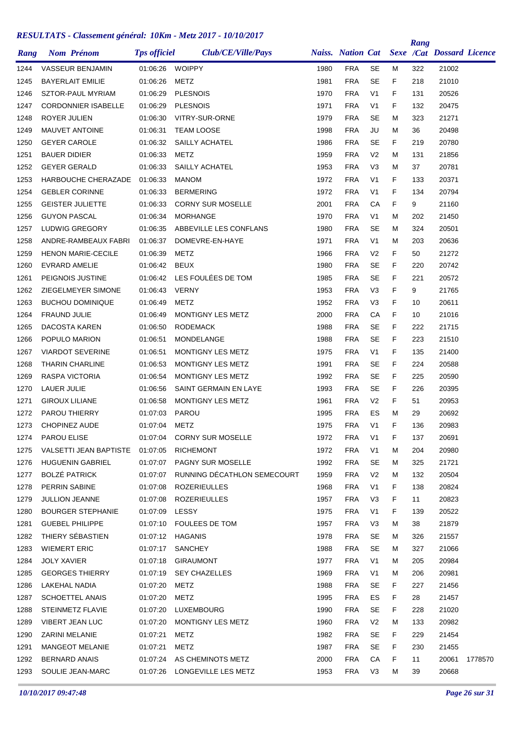|      |                       |                            |                     |                             |      |            |                |    | Rang |                                             |         |
|------|-----------------------|----------------------------|---------------------|-----------------------------|------|------------|----------------|----|------|---------------------------------------------|---------|
| Rang |                       | <b>Nom Prénom</b>          | <b>Tps officiel</b> | Club/CE/Ville/Pays          |      |            |                |    |      | Naiss. Nation Cat Sexe /Cat Dossard Licence |         |
| 1244 |                       | VASSEUR BENJAMIN           | 01:06:26            | <b>WOIPPY</b>               | 1980 | <b>FRA</b> | <b>SE</b>      | м  | 322  | 21002                                       |         |
| 1245 |                       | <b>BAYERLAIT EMILIE</b>    | 01:06:26            | METZ                        | 1981 | <b>FRA</b> | <b>SE</b>      | F. | 218  | 21010                                       |         |
| 1246 |                       | <b>SZTOR-PAUL MYRIAM</b>   | 01:06:29            | <b>PLESNOIS</b>             | 1970 | <b>FRA</b> | V <sub>1</sub> | F  | 131  | 20526                                       |         |
| 1247 |                       | <b>CORDONNIER ISABELLE</b> | 01:06:29            | <b>PLESNOIS</b>             | 1971 | <b>FRA</b> | V <sub>1</sub> | F  | 132  | 20475                                       |         |
| 1248 | ROYER JULIEN          |                            | 01:06:30            | VITRY-SUR-ORNE              | 1979 | <b>FRA</b> | <b>SE</b>      | М  | 323  | 21271                                       |         |
| 1249 |                       | <b>MAUVET ANTOINE</b>      | 01:06:31            | <b>TEAM LOOSE</b>           | 1998 | <b>FRA</b> | JU             | М  | 36   | 20498                                       |         |
| 1250 | <b>GEYER CAROLE</b>   |                            | 01:06:32            | SAILLY ACHATEL              | 1986 | <b>FRA</b> | <b>SE</b>      | F. | 219  | 20780                                       |         |
| 1251 | <b>BAUER DIDIER</b>   |                            | 01:06:33            | METZ                        | 1959 | <b>FRA</b> | V <sub>2</sub> | М  | 131  | 21856                                       |         |
| 1252 | <b>GEYER GERALD</b>   |                            | 01:06:33            | SAILLY ACHATEL              | 1953 | <b>FRA</b> | V3             | М  | 37   | 20781                                       |         |
| 1253 |                       | HARBOUCHE CHERAZADE        | 01:06:33            | <b>MANOM</b>                | 1972 | <b>FRA</b> | V <sub>1</sub> | F  | 133  | 20371                                       |         |
| 1254 |                       | <b>GEBLER CORINNE</b>      | 01:06:33            | <b>BERMERING</b>            | 1972 | <b>FRA</b> | V <sub>1</sub> | F  | 134  | 20794                                       |         |
| 1255 |                       | <b>GEISTER JULIETTE</b>    | 01:06:33            | <b>CORNY SUR MOSELLE</b>    | 2001 | <b>FRA</b> | СA             | F  | 9    | 21160                                       |         |
| 1256 | <b>GUYON PASCAL</b>   |                            | 01:06:34            | <b>MORHANGE</b>             | 1970 | <b>FRA</b> | V <sub>1</sub> | М  | 202  | 21450                                       |         |
| 1257 |                       | LUDWIG GREGORY             | 01:06:35            | ABBEVILLE LES CONFLANS      | 1980 | <b>FRA</b> | <b>SE</b>      | М  | 324  | 20501                                       |         |
| 1258 |                       | ANDRE-RAMBEAUX FABRI       | 01:06:37            | DOMEVRE-EN-HAYE             | 1971 | <b>FRA</b> | V <sub>1</sub> | М  | 203  | 20636                                       |         |
| 1259 |                       | <b>HENON MARIE-CECILE</b>  | 01:06:39            | <b>METZ</b>                 | 1966 | <b>FRA</b> | V <sub>2</sub> | F  | 50   | 21272                                       |         |
| 1260 | <b>EVRARD AMELIE</b>  |                            | 01:06:42            | <b>BEUX</b>                 | 1980 | <b>FRA</b> | <b>SE</b>      | F  | 220  | 20742                                       |         |
| 1261 |                       | PEIGNOIS JUSTINE           | 01:06:42            | LES FOULÉES DE TOM          | 1985 | <b>FRA</b> | <b>SE</b>      | F  | 221  | 20572                                       |         |
| 1262 |                       | ZIEGELMEYER SIMONE         | 01:06:43            | <b>VERNY</b>                | 1953 | <b>FRA</b> | V3             | F  | 9    | 21765                                       |         |
| 1263 |                       | <b>BUCHOU DOMINIQUE</b>    | 01:06:49            | METZ                        | 1952 | <b>FRA</b> | V <sub>3</sub> | F  | 10   | 20611                                       |         |
| 1264 | <b>FRAUND JULIE</b>   |                            | 01:06:49            | MONTIGNY LES METZ           | 2000 | <b>FRA</b> | CA             | F  | 10   | 21016                                       |         |
| 1265 |                       | DACOSTA KAREN              | 01:06:50            | <b>RODEMACK</b>             | 1988 | <b>FRA</b> | SE             | F  | 222  | 21715                                       |         |
| 1266 |                       | POPULO MARION              | 01:06:51            | MONDELANGE                  | 1988 | <b>FRA</b> | <b>SE</b>      | F  | 223  | 21510                                       |         |
| 1267 |                       | <b>VIARDOT SEVERINE</b>    | 01:06:51            | MONTIGNY LES METZ           | 1975 | <b>FRA</b> | V <sub>1</sub> | F  | 135  | 21400                                       |         |
| 1268 |                       | <b>THARIN CHARLINE</b>     | 01:06:53            | MONTIGNY LES METZ           | 1991 | <b>FRA</b> | SE             | F  | 224  | 20588                                       |         |
| 1269 |                       | <b>RASPA VICTORIA</b>      | 01:06:54            | MONTIGNY LES METZ           | 1992 | <b>FRA</b> | <b>SE</b>      | F  | 225  | 20590                                       |         |
| 1270 | LAUER JULIE           |                            | 01:06:56            | SAINT GERMAIN EN LAYE       | 1993 | <b>FRA</b> | <b>SE</b>      | F  | 226  | 20395                                       |         |
| 1271 | <b>GIROUX LILIANE</b> |                            | 01:06:58            | MONTIGNY LES METZ           | 1961 | <b>FRA</b> | V <sub>2</sub> | F  | 51   | 20953                                       |         |
| 1272 |                       | <b>PAROU THIERRY</b>       | 01:07:03            | <b>PAROU</b>                | 1995 | <b>FRA</b> | ES             | М  | 29   | 20692                                       |         |
| 1273 |                       | CHOPINEZ AUDE              | 01:07:04            | METZ                        | 1975 | <b>FRA</b> | V <sub>1</sub> | F  | 136  | 20983                                       |         |
| 1274 | <b>PAROU ELISE</b>    |                            | 01:07:04            | <b>CORNY SUR MOSELLE</b>    | 1972 | <b>FRA</b> | V <sub>1</sub> | F  | 137  | 20691                                       |         |
| 1275 |                       | VALSETTI JEAN BAPTISTE     | 01:07:05            | <b>RICHEMONT</b>            | 1972 | <b>FRA</b> | V <sub>1</sub> | Μ  | 204  | 20980                                       |         |
| 1276 |                       | <b>HUGUENIN GABRIEL</b>    | 01:07:07            | PAGNY SUR MOSELLE           | 1992 | <b>FRA</b> | <b>SE</b>      | м  | 325  | 21721                                       |         |
| 1277 | <b>BOLZÉ PATRICK</b>  |                            | 01:07:07            | RUNNING DÉCATHLON SEMECOURT | 1959 | <b>FRA</b> | V <sub>2</sub> | M  | 132  | 20504                                       |         |
| 1278 | PERRIN SABINE         |                            | 01:07:08            | <b>ROZERIEULLES</b>         | 1968 | <b>FRA</b> | V <sub>1</sub> | F. | 138  | 20824                                       |         |
| 1279 |                       | <b>JULLION JEANNE</b>      | 01:07:08            | <b>ROZERIEULLES</b>         | 1957 | <b>FRA</b> | V <sub>3</sub> | F. | 11   | 20823                                       |         |
| 1280 |                       | <b>BOURGER STEPHANIE</b>   | 01:07:09            | LESSY                       | 1975 | <b>FRA</b> | V <sub>1</sub> | F  | 139  | 20522                                       |         |
| 1281 |                       | <b>GUEBEL PHILIPPE</b>     | 01:07:10            | FOULEES DE TOM              | 1957 | <b>FRA</b> | V <sub>3</sub> | Μ  | 38   | 21879                                       |         |
| 1282 |                       | THIERY SÉBASTIEN           | 01:07:12            | HAGANIS                     | 1978 | <b>FRA</b> | <b>SE</b>      | Μ  | 326  | 21557                                       |         |
| 1283 | <b>WIEMERT ERIC</b>   |                            | 01:07:17            | <b>SANCHEY</b>              | 1988 | <b>FRA</b> | <b>SE</b>      | Μ  | 327  | 21066                                       |         |
| 1284 | <b>JOLY XAVIER</b>    |                            | 01:07:18            | GIRAUMONT                   | 1977 | <b>FRA</b> | V <sub>1</sub> | M  | 205  | 20984                                       |         |
| 1285 |                       | <b>GEORGES THIERRY</b>     | 01:07:19            | <b>SEY CHAZELLES</b>        | 1969 | <b>FRA</b> | V <sub>1</sub> | Μ  | 206  | 20981                                       |         |
| 1286 | <b>LAKEHAL NADIA</b>  |                            | 01:07:20            | METZ                        | 1988 | <b>FRA</b> | SE             | F  | 227  | 21456                                       |         |
| 1287 |                       | <b>SCHOETTEL ANAIS</b>     | 01:07:20            | METZ                        | 1995 | <b>FRA</b> | ES             | F  | 28   | 21457                                       |         |
| 1288 |                       | STEINMETZ FLAVIE           | 01:07:20            | LUXEMBOURG                  | 1990 | <b>FRA</b> | SE             | F. | 228  | 21020                                       |         |
| 1289 |                       | <b>VIBERT JEAN LUC</b>     | 01:07:20            | MONTIGNY LES METZ           | 1960 | <b>FRA</b> | V <sub>2</sub> | Μ  | 133  | 20982                                       |         |
| 1290 | <b>ZARINI MELANIE</b> |                            | 01:07:21            | METZ                        | 1982 | <b>FRA</b> | <b>SE</b>      | F. | 229  | 21454                                       |         |
| 1291 |                       | <b>MANGEOT MELANIE</b>     | 01:07:21            | METZ                        | 1987 | <b>FRA</b> | SE             | F  | 230  | 21455                                       |         |
| 1292 | <b>BERNARD ANAIS</b>  |                            | 01:07:24            | AS CHEMINOTS METZ           | 2000 | <b>FRA</b> | CA             | F  | 11   | 20061                                       | 1778570 |
| 1293 |                       | SOULIE JEAN-MARC           | 01:07:26            | LONGEVILLE LES METZ         | 1953 | <b>FRA</b> | V <sub>3</sub> | м  | 39   | 20668                                       |         |
|      |                       |                            |                     |                             |      |            |                |    |      |                                             |         |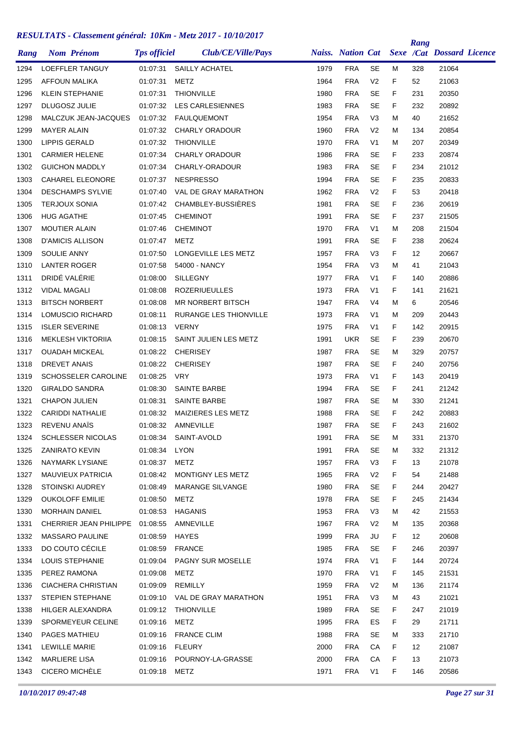| Rang | <b>Nom Prénom</b>       |                                 | <b>Tps officiel</b> | Club/CE/Ville/Pays            |      | <b>Naiss. Nation Cat</b> |                |        | Rang | <b>Sexe /Cat Dossard Licence</b> |  |
|------|-------------------------|---------------------------------|---------------------|-------------------------------|------|--------------------------|----------------|--------|------|----------------------------------|--|
| 1294 |                         | LOEFFLER TANGUY                 | 01:07:31            | SAILLY ACHATEL                | 1979 | <b>FRA</b>               | <b>SE</b>      | м      | 328  | 21064                            |  |
| 1295 | AFFOUN MALIKA           |                                 | 01:07:31            | METZ                          | 1964 | <b>FRA</b>               | V <sub>2</sub> | F      | 52   | 21063                            |  |
| 1296 | <b>KLEIN STEPHANIE</b>  |                                 | 01:07:31            | <b>THIONVILLE</b>             | 1980 | <b>FRA</b>               | <b>SE</b>      | F      | 231  | 20350                            |  |
| 1297 | DLUGOSZ JULIE           |                                 | 01:07:32            | <b>LES CARLESIENNES</b>       | 1983 | <b>FRA</b>               | <b>SE</b>      | F      | 232  | 20892                            |  |
| 1298 |                         | MALCZUK JEAN-JACQUES            | 01:07:32            | <b>FAULQUEMONT</b>            | 1954 | <b>FRA</b>               | V <sub>3</sub> | м      | 40   | 21652                            |  |
| 1299 | <b>MAYER ALAIN</b>      |                                 | 01:07:32            | <b>CHARLY ORADOUR</b>         | 1960 | <b>FRA</b>               | V <sub>2</sub> | м      | 134  | 20854                            |  |
| 1300 | <b>LIPPIS GERALD</b>    |                                 | 01:07:32            | <b>THIONVILLE</b>             | 1970 | <b>FRA</b>               | V <sub>1</sub> | м      | 207  | 20349                            |  |
| 1301 | <b>CARMIER HELENE</b>   |                                 | 01:07:34            | <b>CHARLY ORADOUR</b>         | 1986 | <b>FRA</b>               | SE             | F      | 233  | 20874                            |  |
| 1302 | <b>GUICHON MADDLY</b>   |                                 | 01:07:34            | CHARLY-ORADOUR                | 1983 | <b>FRA</b>               | <b>SE</b>      | F      | 234  | 21012                            |  |
| 1303 |                         | <b>CAHAREL ELEONORE</b>         | 01:07:37            | <b>NESPRESSO</b>              | 1994 | <b>FRA</b>               | <b>SE</b>      | F      | 235  | 20833                            |  |
|      |                         | <b>DESCHAMPS SYLVIE</b>         | 01:07:40            | VAL DE GRAY MARATHON          | 1962 | <b>FRA</b>               | V <sub>2</sub> | F      | 53   | 20418                            |  |
| 1304 | <b>TERJOUX SONIA</b>    |                                 | 01:07:42            | <b>CHAMBLEY-BUSSIERES</b>     | 1981 | <b>FRA</b>               | SE             | F      |      | 20619                            |  |
| 1305 |                         |                                 |                     |                               |      | <b>FRA</b>               | <b>SE</b>      |        | 236  |                                  |  |
| 1306 | <b>HUG AGATHE</b>       |                                 | 01:07:45            | <b>CHEMINOT</b>               | 1991 | <b>FRA</b>               |                | F<br>M | 237  | 21505                            |  |
| 1307 | MOUTIER ALAIN           |                                 | 01:07:46            | <b>CHEMINOT</b>               | 1970 |                          | V <sub>1</sub> |        | 208  | 21504                            |  |
| 1308 | <b>D'AMICIS ALLISON</b> |                                 | 01:07:47            | METZ                          | 1991 | <b>FRA</b>               | SE             | F      | 238  | 20624                            |  |
| 1309 | <b>SOULIE ANNY</b>      |                                 | 01:07:50            | LONGEVILLE LES METZ           | 1957 | <b>FRA</b>               | V <sub>3</sub> | F      | 12   | 20667                            |  |
| 1310 | <b>LANTER ROGER</b>     |                                 | 01:07:58            | 54000 - NANCY                 | 1954 | <b>FRA</b>               | V <sub>3</sub> | м      | 41   | 21043                            |  |
| 1311 | DRIDÉ VALÉRIE           |                                 | 01:08:00            | <b>SILLEGNY</b>               | 1977 | <b>FRA</b>               | V <sub>1</sub> | F      | 140  | 20886                            |  |
| 1312 | <b>VIDAL MAGALI</b>     |                                 | 01:08:08            | <b>ROZERIUEULLES</b>          | 1973 | <b>FRA</b>               | V <sub>1</sub> | F      | 141  | 21621                            |  |
| 1313 | <b>BITSCH NORBERT</b>   |                                 | 01:08:08            | MR NORBERT BITSCH             | 1947 | <b>FRA</b>               | V <sub>4</sub> | м      | 6    | 20546                            |  |
| 1314 |                         | LOMUSCIO RICHARD                | 01:08:11            | RURANGE LES THIONVILLE        | 1973 | <b>FRA</b>               | V <sub>1</sub> | м      | 209  | 20443                            |  |
| 1315 | <b>ISLER SEVERINE</b>   |                                 | 01:08:13            | <b>VERNY</b>                  | 1975 | <b>FRA</b>               | V <sub>1</sub> | F      | 142  | 20915                            |  |
| 1316 |                         | <b>MEKLESH VIKTORIIA</b>        | 01:08:15            | SAINT JULIEN LES METZ         | 1991 | <b>UKR</b>               | SE             | F      | 239  | 20670                            |  |
| 1317 | <b>OUADAH MICKEAL</b>   |                                 | 01:08:22            | <b>CHERISEY</b>               | 1987 | <b>FRA</b>               | <b>SE</b>      | M      | 329  | 20757                            |  |
| 1318 | <b>DREVET ANAIS</b>     |                                 | 01:08:22            | <b>CHERISEY</b>               | 1987 | <b>FRA</b>               | SE             | F      | 240  | 20756                            |  |
| 1319 |                         | SCHOSSELER CAROLINE             | 01:08:25            | <b>VRY</b>                    | 1973 | <b>FRA</b>               | V <sub>1</sub> | F      | 143  | 20419                            |  |
| 1320 | <b>GIRALDO SANDRA</b>   |                                 | 01:08:30            | <b>SAINTE BARBE</b>           | 1994 | <b>FRA</b>               | SE             | F      | 241  | 21242                            |  |
| 1321 | <b>CHAPON JULIEN</b>    |                                 | 01:08:31            | SAINTE BARBE                  | 1987 | <b>FRA</b>               | <b>SE</b>      | м      | 330  | 21241                            |  |
| 1322 | <b>CARIDDI NATHALIE</b> |                                 | 01:08:32            | MAIZIERES LES METZ            | 1988 | <b>FRA</b>               | SE             | F      | 242  | 20883                            |  |
| 1323 | <b>REVENU ANAÏS</b>     |                                 | 01:08:32            | AMNEVILLE                     | 1987 | <b>FRA</b>               | <b>SE</b>      | F      | 243  | 21602                            |  |
| 1324 |                         | <b>SCHLESSER NICOLAS</b>        | 01:08:34            | SAINT-AVOLD                   | 1991 | <b>FRA</b>               | SE             | м      | 331  | 21370                            |  |
| 1325 | <b>ZANIRATO KEVIN</b>   |                                 | 01:08:34            | LYON                          | 1991 | <b>FRA</b>               | <b>SE</b>      | M      | 332  | 21312                            |  |
| 1326 |                         | NAYMARK LYSIANE                 | 01:08:37            | METZ                          | 1957 | <b>FRA</b>               | V <sub>3</sub> | F.     | 13   | 21078                            |  |
| 1327 |                         | MAUVIEUX PATRICIA               | 01:08:42            | MONTIGNY LES METZ             | 1965 | <b>FRA</b>               | V <sub>2</sub> | F.     | 54   | 21488                            |  |
| 1328 | STOINSKI AUDREY         |                                 | 01:08:49            | MARANGE SILVANGE              | 1980 | <b>FRA</b>               | <b>SE</b>      | F.     | 244  | 20427                            |  |
| 1329 | <b>OUKOLOFF EMILIE</b>  |                                 | 01:08:50            | METZ                          | 1978 | <b>FRA</b>               | <b>SE</b>      | F.     | 245  | 21434                            |  |
| 1330 | <b>MORHAIN DANIEL</b>   |                                 | 01:08:53            | <b>HAGANIS</b>                | 1953 | <b>FRA</b>               | V <sub>3</sub> | м      | 42   | 21553                            |  |
| 1331 |                         | CHERRIER JEAN PHILIPPE 01:08:55 |                     | AMNEVILLE                     | 1967 | <b>FRA</b>               | V <sub>2</sub> | М      | 135  | 20368                            |  |
| 1332 |                         | <b>MASSARO PAULINE</b>          | 01:08:59            | <b>HAYES</b>                  | 1999 | <b>FRA</b>               | JU             | F.     | 12   | 20608                            |  |
| 1333 |                         | DO COUTO CÉCILE                 | 01:08:59            | <b>FRANCE</b>                 | 1985 | <b>FRA</b>               | <b>SE</b>      | F.     | 246  | 20397                            |  |
| 1334 | LOUIS STEPHANIE         |                                 | 01:09:04            | PAGNY SUR MOSELLE             | 1974 | <b>FRA</b>               | V <sub>1</sub> | F.     | 144  | 20724                            |  |
| 1335 | PEREZ RAMONA            |                                 | 01:09:08            | METZ                          | 1970 | <b>FRA</b>               | V <sub>1</sub> | F.     | 145  | 21531                            |  |
| 1336 |                         | CIACHERA CHRISTIAN              | 01:09:09            | REMILLY                       | 1959 | <b>FRA</b>               | V <sub>2</sub> | м      | 136  | 21174                            |  |
| 1337 |                         | STEPIEN STEPHANE                |                     | 01:09:10 VAL DE GRAY MARATHON | 1951 | <b>FRA</b>               | V3             | м      | 43   | 21021                            |  |
| 1338 |                         | HILGER ALEXANDRA                |                     | 01:09:12 THIONVILLE           | 1989 | <b>FRA</b>               | SE             | F.     | 247  | 21019                            |  |
| 1339 |                         | SPORMEYEUR CELINE               | 01:09:16            | METZ                          | 1995 | <b>FRA</b>               | ES             | F.     | 29   | 21711                            |  |
| 1340 | PAGES MATHIEU           |                                 |                     | 01:09:16 FRANCE CLIM          | 1988 | <b>FRA</b>               | <b>SE</b>      | м      | 333  | 21710                            |  |
| 1341 | LEWILLE MARIE           |                                 | 01:09:16 FLEURY     |                               | 2000 | <b>FRA</b>               | CA             | F.     | 12   | 21087                            |  |
| 1342 | MARLIERE LISA           |                                 | 01:09:16            | POURNOY-LA-GRASSE             | 2000 | FRA                      | СA             | F.     | 13   | 21073                            |  |
| 1343 | CICERO MICHÈLE          |                                 | 01:09:18 METZ       |                               | 1971 | <b>FRA</b>               | V <sub>1</sub> | F      | 146  | 20586                            |  |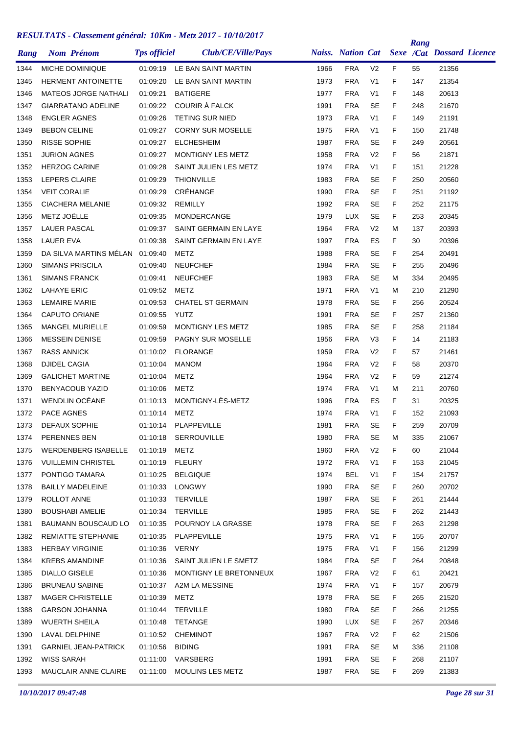| Rang | <b>Nom Prénom</b>               | <b>Tps officiel</b> | Club/CE/Ville/Pays         |      | <b>Naiss.</b> Nation Cat |                |    | Rang | Sexe /Cat Dossard Licence |  |
|------|---------------------------------|---------------------|----------------------------|------|--------------------------|----------------|----|------|---------------------------|--|
| 1344 | MICHE DOMINIQUE                 | 01:09:19            | LE BAN SAINT MARTIN        | 1966 | <b>FRA</b>               | V <sub>2</sub> | F  | 55   | 21356                     |  |
| 1345 | <b>HERMENT ANTOINETTE</b>       | 01:09:20            | LE BAN SAINT MARTIN        | 1973 | <b>FRA</b>               | V <sub>1</sub> | F  | 147  | 21354                     |  |
| 1346 | <b>MATEOS JORGE NATHALI</b>     | 01:09:21            | <b>BATIGERE</b>            | 1977 | <b>FRA</b>               | V <sub>1</sub> | F  | 148  | 20613                     |  |
| 1347 | <b>GIARRATANO ADELINE</b>       | 01:09:22            | COURIR À FALCK             | 1991 | <b>FRA</b>               | <b>SE</b>      | F  | 248  | 21670                     |  |
| 1348 | <b>ENGLER AGNES</b>             | 01:09:26            | TETING SUR NIED            | 1973 | <b>FRA</b>               | V <sub>1</sub> | F  | 149  | 21191                     |  |
| 1349 | <b>BEBON CELINE</b>             | 01:09:27            | <b>CORNY SUR MOSELLE</b>   | 1975 | <b>FRA</b>               | V <sub>1</sub> | F  | 150  | 21748                     |  |
| 1350 | <b>RISSE SOPHIE</b>             | 01:09:27            | <b>ELCHESHEIM</b>          | 1987 | <b>FRA</b>               | SE             | F  | 249  | 20561                     |  |
| 1351 | <b>JURION AGNES</b>             | 01:09:27            | MONTIGNY LES METZ          | 1958 | <b>FRA</b>               | V <sub>2</sub> | F  | 56   | 21871                     |  |
| 1352 | <b>HERZOG CARINE</b>            | 01:09:28            | SAINT JULIEN LES METZ      | 1974 | <b>FRA</b>               | V <sub>1</sub> | F  | 151  | 21228                     |  |
| 1353 | LEPERS CLAIRE                   | 01:09:29            | <b>THIONVILLE</b>          | 1983 | <b>FRA</b>               | <b>SE</b>      | F  | 250  | 20560                     |  |
| 1354 | <b>VEIT CORALIE</b>             | 01:09:29            | CRÉHANGE                   | 1990 | <b>FRA</b>               | <b>SE</b>      | F  | 251  | 21192                     |  |
| 1355 | <b>CIACHERA MELANIE</b>         | 01:09:32            | <b>REMILLY</b>             | 1992 | <b>FRA</b>               | <b>SE</b>      | F. | 252  | 21175                     |  |
| 1356 | METZ JOËLLE                     | 01:09:35            | MONDERCANGE                | 1979 | <b>LUX</b>               | <b>SE</b>      | F  | 253  | 20345                     |  |
| 1357 | <b>LAUER PASCAL</b>             | 01:09:37            | SAINT GERMAIN EN LAYE      | 1964 | <b>FRA</b>               | V <sub>2</sub> | M  | 137  | 20393                     |  |
| 1358 | <b>LAUER EVA</b>                | 01:09:38            | SAINT GERMAIN EN LAYE      | 1997 | <b>FRA</b>               | ES             | F. | 30   | 20396                     |  |
| 1359 | DA SILVA MARTINS MÉLAN 01:09:40 |                     | METZ                       | 1988 | <b>FRA</b>               | <b>SE</b>      | F  | 254  | 20491                     |  |
| 1360 | <b>SIMANS PRISCILA</b>          | 01:09:40            | <b>NEUFCHEF</b>            | 1984 | <b>FRA</b>               | <b>SE</b>      | F  | 255  | 20496                     |  |
| 1361 | <b>SIMANS FRANCK</b>            | 01:09:41            | <b>NEUFCHEF</b>            | 1983 | <b>FRA</b>               | <b>SE</b>      | M  | 334  | 20495                     |  |
| 1362 | <b>LAHAYE ERIC</b>              | 01:09:52            | METZ                       | 1971 | <b>FRA</b>               | V <sub>1</sub> | M  | 210  | 21290                     |  |
| 1363 | <b>LEMAIRE MARIE</b>            | 01:09:53            | <b>CHATEL ST GERMAIN</b>   | 1978 | <b>FRA</b>               | SE             | F  | 256  | 20524                     |  |
| 1364 | CAPUTO ORIANE                   | 01:09:55            | <b>YUTZ</b>                | 1991 | <b>FRA</b>               | <b>SE</b>      | F  | 257  | 21360                     |  |
| 1365 | <b>MANGEL MURIELLE</b>          | 01:09:59            | MONTIGNY LES METZ          | 1985 | <b>FRA</b>               | <b>SE</b>      | F  | 258  | 21184                     |  |
| 1366 | <b>MESSEIN DENISE</b>           | 01:09:59            | PAGNY SUR MOSELLE          | 1956 | <b>FRA</b>               | V <sub>3</sub> | F  | 14   | 21183                     |  |
| 1367 | <b>RASS ANNICK</b>              | 01:10:02            | <b>FLORANGE</b>            | 1959 | <b>FRA</b>               | V <sub>2</sub> | F  | 57   | 21461                     |  |
| 1368 | <b>DJIDEL CAGIA</b>             | 01:10:04            | <b>MANOM</b>               | 1964 | <b>FRA</b>               | V <sub>2</sub> | F  | 58   | 20370                     |  |
| 1369 | <b>GALICHET MARTINE</b>         | 01:10:04            | METZ                       | 1964 | <b>FRA</b>               | V <sub>2</sub> | F  | 59   | 21274                     |  |
| 1370 | <b>BENYACOUB YAZID</b>          | 01:10:06            | <b>METZ</b>                | 1974 | <b>FRA</b>               | V <sub>1</sub> | м  | 211  | 20760                     |  |
| 1371 | WENDLIN OCÉANE                  | 01:10:13            | MONTIGNY-LÈS-METZ          | 1996 | <b>FRA</b>               | ES             | F  | 31   | 20325                     |  |
| 1372 | <b>PACE AGNES</b>               | 01:10:14            | METZ                       | 1974 | <b>FRA</b>               | V <sub>1</sub> | F  | 152  | 21093                     |  |
| 1373 | <b>DEFAUX SOPHIE</b>            | 01:10:14            | <b>PLAPPEVILLE</b>         | 1981 | <b>FRA</b>               | SE             | F  | 259  | 20709                     |  |
| 1374 | PERENNES BEN                    | 01:10:18            | SERROUVILLE                | 1980 | <b>FRA</b>               | SE             | Μ  | 335  | 21067                     |  |
| 1375 | WERDENBERG ISABELLE             | 01:10:19            | METZ                       | 1960 | <b>FRA</b>               | V <sub>2</sub> | F. | 60   | 21044                     |  |
| 1376 | <b>VUILLEMIN CHRISTEL</b>       |                     | 01:10:19 FLEURY            | 1972 | <b>FRA</b>               | V <sub>1</sub> | F. | 153  | 21045                     |  |
| 1377 | PONTIGO TAMARA                  | 01:10:25            | <b>BELGIQUE</b>            | 1974 | <b>BEL</b>               | V <sub>1</sub> | F. | 154  | 21757                     |  |
| 1378 | <b>BAILLY MADELEINE</b>         | 01:10:33            | LONGWY                     | 1990 | <b>FRA</b>               | SE             | F. | 260  | 20702                     |  |
| 1379 | ROLLOT ANNE                     | 01:10:33            | TERVILLE                   | 1987 | <b>FRA</b>               | SE             | F. | 261  | 21444                     |  |
| 1380 | <b>BOUSHABI AMELIE</b>          | 01:10:34            | TERVILLE                   | 1985 | <b>FRA</b>               | SE             | F. | 262  | 21443                     |  |
| 1381 | BAUMANN BOUSCAUD LO             |                     | 01:10:35 POURNOY LA GRASSE | 1978 | <b>FRA</b>               | <b>SE</b>      | F. | 263  | 21298                     |  |
| 1382 | REMIATTE STEPHANIE              |                     | 01:10:35 PLAPPEVILLE       | 1975 | <b>FRA</b>               | V <sub>1</sub> | F. | 155  | 20707                     |  |
| 1383 | <b>HERBAY VIRGINIE</b>          | 01:10:36            | VERNY                      | 1975 | <b>FRA</b>               | V <sub>1</sub> | F. | 156  | 21299                     |  |
| 1384 | <b>KREBS AMANDINE</b>           | 01:10:36            | SAINT JULIEN LE SMETZ      | 1984 | <b>FRA</b>               | SE             | F. | 264  | 20848                     |  |
| 1385 | <b>DIALLO GISELE</b>            | 01:10:36            | MONTIGNY LE BRETONNEUX     | 1967 | <b>FRA</b>               | V <sub>2</sub> | F. | 61   | 20421                     |  |
| 1386 | <b>BRUNEAU SABINE</b>           | 01:10:37            | A2M LA MESSINE             | 1974 | <b>FRA</b>               | V <sub>1</sub> | F. | 157  | 20679                     |  |
| 1387 | <b>MAGER CHRISTELLE</b>         | 01:10:39            | METZ                       | 1978 | <b>FRA</b>               | SE             | F. | 265  | 21520                     |  |
| 1388 | <b>GARSON JOHANNA</b>           | 01:10:44            | TERVILLE                   | 1980 | <b>FRA</b>               | SE             | F. | 266  | 21255                     |  |
| 1389 | <b>WUERTH SHEILA</b>            | 01:10:48            | TETANGE                    | 1990 | LUX                      | SE             | F. | 267  | 20346                     |  |
| 1390 | LAVAL DELPHINE                  | 01:10:52            | <b>CHEMINOT</b>            | 1967 | <b>FRA</b>               | V <sub>2</sub> | F. | 62   | 21506                     |  |
| 1391 | <b>GARNIEL JEAN-PATRICK</b>     | 01:10:56            | <b>BIDING</b>              | 1991 | <b>FRA</b>               | SE             | м  | 336  | 21108                     |  |
| 1392 | WISS SARAH                      | 01:11:00            | VARSBERG                   | 1991 | <b>FRA</b>               | SE             | F. | 268  | 21107                     |  |
| 1393 | MAUCLAIR ANNE CLAIRE            | 01:11:00            | MOULINS LES METZ           | 1987 | <b>FRA</b>               | SE             | F. | 269  | 21383                     |  |
|      |                                 |                     |                            |      |                          |                |    |      |                           |  |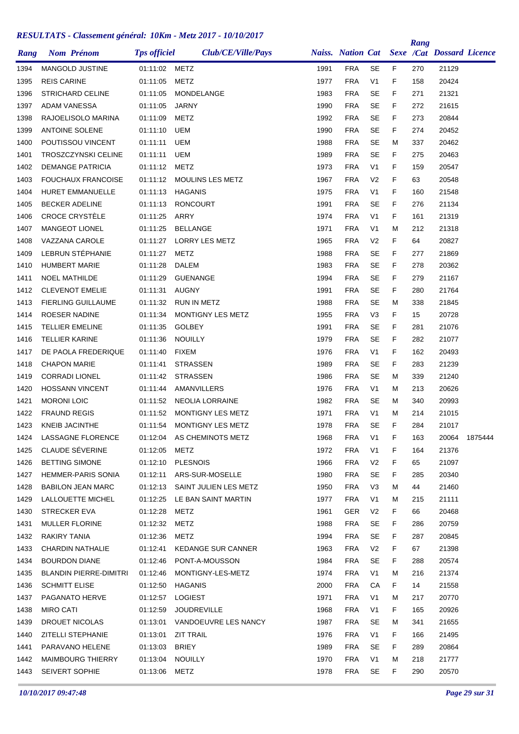| Rang | <b>Nom Prénom</b>             | <b>Tps officiel</b> | Club/CE/Ville/Pays         |      |            |                |    | Rang | Naiss. Nation Cat Sexe /Cat Dossard Licence |         |
|------|-------------------------------|---------------------|----------------------------|------|------------|----------------|----|------|---------------------------------------------|---------|
| 1394 | MANGOLD JUSTINE               | 01:11:02            | <b>METZ</b>                | 1991 | <b>FRA</b> | <b>SE</b>      | F  | 270  | 21129                                       |         |
| 1395 | <b>REIS CARINE</b>            | 01:11:05            | METZ                       | 1977 | <b>FRA</b> | V <sub>1</sub> | F  | 158  | 20424                                       |         |
| 1396 | <b>STRICHARD CELINE</b>       | 01:11:05            | MONDELANGE                 | 1983 | <b>FRA</b> | <b>SE</b>      | F  | 271  | 21321                                       |         |
| 1397 | <b>ADAM VANESSA</b>           | 01:11:05            | <b>JARNY</b>               | 1990 | <b>FRA</b> | <b>SE</b>      | F. | 272  | 21615                                       |         |
| 1398 | RAJOELISOLO MARINA            | 01:11:09            | <b>METZ</b>                | 1992 | <b>FRA</b> | <b>SE</b>      | F  | 273  | 20844                                       |         |
| 1399 | <b>ANTOINE SOLENE</b>         | 01:11:10            | <b>UEM</b>                 | 1990 | <b>FRA</b> | <b>SE</b>      | F  | 274  | 20452                                       |         |
| 1400 | POUTISSOU VINCENT             | 01:11:11            | <b>UEM</b>                 | 1988 | <b>FRA</b> | <b>SE</b>      | м  | 337  | 20462                                       |         |
| 1401 | <b>TROSZCZYNSKI CELINE</b>    | 01:11:11            | <b>UEM</b>                 | 1989 | <b>FRA</b> | <b>SE</b>      | F  | 275  | 20463                                       |         |
| 1402 | <b>DEMANGE PATRICIA</b>       | 01:11:12            | <b>METZ</b>                | 1973 | <b>FRA</b> | V <sub>1</sub> | F  | 159  | 20547                                       |         |
| 1403 | <b>FOUCHAUX FRANCOISE</b>     | 01:11:12            | <b>MOULINS LES METZ</b>    | 1967 | <b>FRA</b> | V <sub>2</sub> | F  | 63   | 20548                                       |         |
| 1404 | <b>HURET EMMANUELLE</b>       | 01:11:13            | <b>HAGANIS</b>             | 1975 | <b>FRA</b> | V <sub>1</sub> | F  | 160  | 21548                                       |         |
| 1405 | BECKER ADELINE                | 01:11:13            | <b>RONCOURT</b>            | 1991 | <b>FRA</b> | <b>SE</b>      | F  | 276  | 21134                                       |         |
| 1406 | CROCE CRYSTÈLE                | 01:11:25            | ARRY                       | 1974 | <b>FRA</b> | V <sub>1</sub> | F  | 161  | 21319                                       |         |
| 1407 | MANGEOT LIONEL                | 01:11:25            | <b>BELLANGE</b>            | 1971 | <b>FRA</b> | V <sub>1</sub> | М  | 212  | 21318                                       |         |
| 1408 | VAZZANA CAROLE                | 01:11:27            | LORRY LES METZ             | 1965 | <b>FRA</b> | V <sub>2</sub> | F  | 64   | 20827                                       |         |
| 1409 | LEBRUN STÉPHANIE              | 01:11:27            | <b>METZ</b>                | 1988 | <b>FRA</b> | <b>SE</b>      | F  | 277  | 21869                                       |         |
| 1410 | <b>HUMBERT MARIE</b>          | 01:11:28            | DALEM                      | 1983 | <b>FRA</b> | <b>SE</b>      | F  | 278  | 20362                                       |         |
| 1411 | <b>NOEL MATHILDE</b>          | 01:11:29            | GUENANGE                   | 1994 | <b>FRA</b> | <b>SE</b>      | F  | 279  | 21167                                       |         |
| 1412 | <b>CLEVENOT EMELIE</b>        | 01:11:31            | <b>AUGNY</b>               | 1991 | <b>FRA</b> | <b>SE</b>      | F  | 280  | 21764                                       |         |
| 1413 | <b>FIERLING GUILLAUME</b>     | 01:11:32            | <b>RUN IN METZ</b>         | 1988 | <b>FRA</b> | <b>SE</b>      | М  | 338  | 21845                                       |         |
| 1414 | ROESER NADINE                 | 01:11:34            | <b>MONTIGNY LES METZ</b>   | 1955 | <b>FRA</b> | V <sub>3</sub> | F  | 15   | 20728                                       |         |
| 1415 | <b>TELLIER EMELINE</b>        | 01:11:35            | <b>GOLBEY</b>              | 1991 | <b>FRA</b> | <b>SE</b>      | F  | 281  | 21076                                       |         |
| 1416 | <b>TELLIER KARINE</b>         | 01:11:36            | <b>NOUILLY</b>             | 1979 | <b>FRA</b> | <b>SE</b>      | F  | 282  | 21077                                       |         |
| 1417 | DE PAOLA FREDERIQUE           | 01:11:40            | <b>FIXEM</b>               | 1976 | <b>FRA</b> | V <sub>1</sub> | F  | 162  | 20493                                       |         |
| 1418 | <b>CHAPON MARIE</b>           | 01:11:41            | <b>STRASSEN</b>            | 1989 | <b>FRA</b> | <b>SE</b>      | F  | 283  | 21239                                       |         |
| 1419 | <b>CORRADI LIONEL</b>         | 01:11:42            | <b>STRASSEN</b>            | 1986 | <b>FRA</b> | <b>SE</b>      | М  | 339  | 21240                                       |         |
| 1420 | <b>HOSSANN VINCENT</b>        | 01:11:44            | AMANVILLERS                | 1976 | <b>FRA</b> | V <sub>1</sub> | М  | 213  | 20626                                       |         |
| 1421 | <b>MORONI LOIC</b>            | 01:11:52            | <b>NEOLIA LORRAINE</b>     | 1982 | <b>FRA</b> | <b>SE</b>      | м  | 340  | 20993                                       |         |
| 1422 | <b>FRAUND REGIS</b>           | 01:11:52            | MONTIGNY LES METZ          | 1971 | <b>FRA</b> | V <sub>1</sub> | М  | 214  | 21015                                       |         |
| 1423 | KNEIB JACINTHE                | 01:11:54            | MONTIGNY LES METZ          | 1978 | <b>FRA</b> | <b>SE</b>      | F  | 284  | 21017                                       |         |
| 1424 | LASSAGNE FLORENCE             |                     | 01:12:04 AS CHEMINOTS METZ | 1968 | <b>FRA</b> | V <sub>1</sub> | F  | 163  | 20064                                       | 1875444 |
| 1425 | CLAUDE SÉVERINE               | 01:12:05            | METZ                       | 1972 | <b>FRA</b> | V <sub>1</sub> | F. | 164  | 21376                                       |         |
| 1426 | <b>BETTING SIMONE</b>         | 01:12:10            | <b>PLESNOIS</b>            | 1966 | <b>FRA</b> | V <sub>2</sub> | F. | 65   | 21097                                       |         |
| 1427 | <b>HEMMER-PARIS SONIA</b>     | 01:12:11            | ARS-SUR-MOSELLE            | 1980 | <b>FRA</b> | <b>SE</b>      | F. | 285  | 20340                                       |         |
| 1428 | <b>BABILON JEAN MARC</b>      | 01:12:13            | SAINT JULIEN LES METZ      | 1950 | <b>FRA</b> | V <sub>3</sub> | Μ  | 44   | 21460                                       |         |
| 1429 | LALLOUETTE MICHEL             | 01:12:25            | LE BAN SAINT MARTIN        | 1977 | <b>FRA</b> | V <sub>1</sub> | м  | 215  | 21111                                       |         |
| 1430 | STRECKER EVA                  | 01:12:28            | METZ                       | 1961 | <b>GER</b> | V <sub>2</sub> | F. | 66   | 20468                                       |         |
| 1431 | <b>MULLER FLORINE</b>         | 01:12:32            | METZ                       | 1988 | <b>FRA</b> | <b>SE</b>      | F. | 286  | 20759                                       |         |
| 1432 | RAKIRY TANIA                  | 01:12:36            | METZ                       | 1994 | <b>FRA</b> | <b>SE</b>      | F. | 287  | 20845                                       |         |
| 1433 | <b>CHARDIN NATHALIE</b>       | 01:12:41            | <b>KEDANGE SUR CANNER</b>  | 1963 | <b>FRA</b> | V <sub>2</sub> | F. | 67   | 21398                                       |         |
| 1434 | <b>BOURDON DIANE</b>          | 01:12:46            | PONT-A-MOUSSON             | 1984 | <b>FRA</b> | <b>SE</b>      | F. | 288  | 20574                                       |         |
| 1435 | <b>BLANDIN PIERRE-DIMITRI</b> | 01:12:46            | MONTIGNY-LES-METZ          | 1974 | <b>FRA</b> | V <sub>1</sub> | Μ  | 216  | 21374                                       |         |
| 1436 | <b>SCHMITT ELISE</b>          | 01:12:50            | HAGANIS                    | 2000 | <b>FRA</b> | СA             | F. | 14   | 21558                                       |         |
| 1437 | PAGANATO HERVE                | 01:12:57            | LOGIEST                    | 1971 | <b>FRA</b> | V <sub>1</sub> | M  | 217  | 20770                                       |         |
| 1438 | <b>MIRO CATI</b>              | 01:12:59            | <b>JOUDREVILLE</b>         | 1968 | <b>FRA</b> | V <sub>1</sub> | F. | 165  | 20926                                       |         |
| 1439 | DROUET NICOLAS                | 01:13:01            | VANDOEUVRE LES NANCY       | 1987 | <b>FRA</b> | <b>SE</b>      | М  | 341  | 21655                                       |         |
| 1440 | <b>ZITELLI STEPHANIE</b>      | 01:13:01            | <b>ZIT TRAIL</b>           | 1976 | <b>FRA</b> | V <sub>1</sub> | F. | 166  | 21495                                       |         |
| 1441 | PARAVANO HELENE               | 01:13:03            | <b>BRIEY</b>               | 1989 | <b>FRA</b> | <b>SE</b>      | F. | 289  | 20864                                       |         |
| 1442 | <b>MAIMBOURG THIERRY</b>      | 01:13:04            | NOUILLY                    | 1970 | <b>FRA</b> | V <sub>1</sub> | Μ  | 218  | 21777                                       |         |
| 1443 | SEIVERT SOPHIE                | 01:13:06            | <b>METZ</b>                | 1978 | <b>FRA</b> | <b>SE</b>      | F. | 290  | 20570                                       |         |
|      |                               |                     |                            |      |            |                |    |      |                                             |         |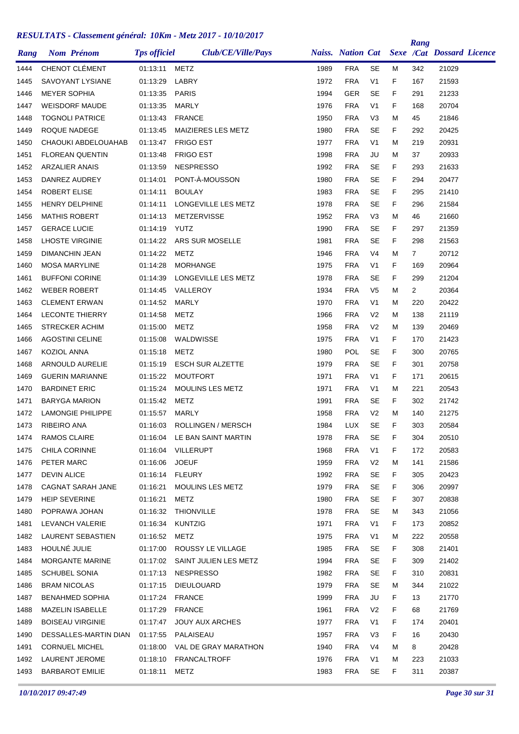| Rang | <b>Nom Prénom</b>        | <b>Tps officiel</b> | Club/CE/Ville/Pays             |      | <b>Naiss.</b> Nation Cat |                |    | Rang | Sexe /Cat Dossard Licence |  |
|------|--------------------------|---------------------|--------------------------------|------|--------------------------|----------------|----|------|---------------------------|--|
| 1444 | CHENOT CLÉMENT           | 01:13:11            | <b>METZ</b>                    | 1989 | <b>FRA</b>               | <b>SE</b>      | М  | 342  | 21029                     |  |
| 1445 | <b>SAVOYANT LYSIANE</b>  | 01:13:29            | LABRY                          | 1972 | <b>FRA</b>               | V <sub>1</sub> | F  | 167  | 21593                     |  |
| 1446 | <b>MEYER SOPHIA</b>      | 01:13:35            | <b>PARIS</b>                   | 1994 | GER                      | <b>SE</b>      | F  | 291  | 21233                     |  |
| 1447 | <b>WEISDORF MAUDE</b>    | 01:13:35            | <b>MARLY</b>                   | 1976 | <b>FRA</b>               | V <sub>1</sub> | F  | 168  | 20704                     |  |
| 1448 | <b>TOGNOLI PATRICE</b>   | 01:13:43            | <b>FRANCE</b>                  | 1950 | <b>FRA</b>               | V <sub>3</sub> | M  | 45   | 21846                     |  |
| 1449 | ROQUE NADEGE             | 01:13:45            | MAIZIERES LES METZ             | 1980 | <b>FRA</b>               | <b>SE</b>      | F  | 292  | 20425                     |  |
| 1450 | CHAOUKI ABDELOUAHAB      | 01:13:47            | <b>FRIGO EST</b>               | 1977 | <b>FRA</b>               | V <sub>1</sub> | М  | 219  | 20931                     |  |
| 1451 | <b>FLOREAN QUENTIN</b>   | 01:13:48            | <b>FRIGO EST</b>               | 1998 | <b>FRA</b>               | JU             | М  | 37   | 20933                     |  |
| 1452 | <b>ARZALIER ANAIS</b>    | 01:13:59            | <b>NESPRESSO</b>               | 1992 | <b>FRA</b>               | <b>SE</b>      | F  | 293  | 21633                     |  |
| 1453 | DANREZ AUDREY            | 01:14:01            | PONT-À-MOUSSON                 | 1980 | <b>FRA</b>               | <b>SE</b>      | F  | 294  | 20477                     |  |
| 1454 | <b>ROBERT ELISE</b>      | 01:14:11            | <b>BOULAY</b>                  | 1983 | <b>FRA</b>               | <b>SE</b>      | F  | 295  | 21410                     |  |
| 1455 | <b>HENRY DELPHINE</b>    | 01:14:11            | LONGEVILLE LES METZ            | 1978 | <b>FRA</b>               | <b>SE</b>      | F  | 296  | 21584                     |  |
| 1456 | <b>MATHIS ROBERT</b>     | 01:14:13            | <b>METZERVISSE</b>             | 1952 | <b>FRA</b>               | V <sub>3</sub> | М  | 46   | 21660                     |  |
| 1457 | <b>GERACE LUCIE</b>      | 01:14:19            | YUTZ                           | 1990 | <b>FRA</b>               | <b>SE</b>      | F  | 297  | 21359                     |  |
| 1458 | <b>LHOSTE VIRGINIE</b>   | 01:14:22            | ARS SUR MOSELLE                | 1981 | <b>FRA</b>               | <b>SE</b>      | F  | 298  | 21563                     |  |
| 1459 | <b>DIMANCHIN JEAN</b>    | 01:14:22            | METZ                           | 1946 | <b>FRA</b>               | V4             | М  | 7    | 20712                     |  |
| 1460 | <b>MOSA MARYLINE</b>     | 01:14:28            | <b>MORHANGE</b>                | 1975 | <b>FRA</b>               | V <sub>1</sub> | F  | 169  | 20964                     |  |
| 1461 | <b>BUFFONI CORINE</b>    | 01:14:39            | LONGEVILLE LES METZ            | 1978 | <b>FRA</b>               | <b>SE</b>      | F  | 299  | 21204                     |  |
| 1462 | <b>WEBER ROBERT</b>      | 01:14:45            | VALLEROY                       | 1934 | <b>FRA</b>               | V <sub>5</sub> | М  | 2    | 20364                     |  |
| 1463 | <b>CLEMENT ERWAN</b>     | 01:14:52            | <b>MARLY</b>                   | 1970 | <b>FRA</b>               | V <sub>1</sub> | М  | 220  | 20422                     |  |
| 1464 | <b>LECONTE THIERRY</b>   | 01:14:58            | METZ                           | 1966 | <b>FRA</b>               | V <sub>2</sub> | м  | 138  | 21119                     |  |
| 1465 | <b>STRECKER ACHIM</b>    | 01:15:00            | METZ                           | 1958 | <b>FRA</b>               | V <sub>2</sub> | м  | 139  | 20469                     |  |
| 1466 | <b>AGOSTINI CELINE</b>   | 01:15:08            | WALDWISSE                      | 1975 | <b>FRA</b>               | V <sub>1</sub> | F  | 170  | 21423                     |  |
| 1467 | <b>KOZIOL ANNA</b>       | 01:15:18            | METZ                           | 1980 | POL                      | <b>SE</b>      | F  | 300  | 20765                     |  |
| 1468 | ARNOULD AURELIE          | 01:15:19            | <b>ESCH SUR ALZETTE</b>        | 1979 | <b>FRA</b>               | <b>SE</b>      | F  | 301  | 20758                     |  |
| 1469 | <b>GUERIN MARIANNE</b>   | 01:15:22            | <b>MOUTFORT</b>                | 1971 | <b>FRA</b>               | V <sub>1</sub> | F  | 171  | 20615                     |  |
| 1470 | <b>BARDINET ERIC</b>     | 01:15:24            | <b>MOULINS LES METZ</b>        | 1971 | <b>FRA</b>               | V <sub>1</sub> | М  | 221  | 20543                     |  |
| 1471 | <b>BARYGA MARION</b>     | 01:15:42            | <b>METZ</b>                    | 1991 | <b>FRA</b>               | <b>SE</b>      | F  | 302  | 21742                     |  |
| 1472 | <b>LAMONGIE PHILIPPE</b> | 01:15:57            | <b>MARLY</b>                   | 1958 | <b>FRA</b>               | V <sub>2</sub> | м  | 140  | 21275                     |  |
| 1473 | RIBEIRO ANA              | 01:16:03            | ROLLINGEN / MERSCH             | 1984 | <b>LUX</b>               | <b>SE</b>      | F  | 303  | 20584                     |  |
| 1474 | RAMOS CLAIRE             |                     | 01:16:04 LE BAN SAINT MARTIN   | 1978 | <b>FRA</b>               | SE             | F  | 304  | 20510                     |  |
| 1475 | CHILA CORINNE            |                     | 01:16:04 VILLERUPT             | 1968 | <b>FRA</b>               | V <sub>1</sub> | F. | 172  | 20583                     |  |
| 1476 | PETER MARC               | 01:16:06 JOEUF      |                                | 1959 | <b>FRA</b>               | V <sub>2</sub> | м  | 141  | 21586                     |  |
| 1477 | <b>DEVIN ALICE</b>       | 01:16:14 FLEURY     |                                | 1992 | <b>FRA</b>               | <b>SE</b>      | F  | 305  | 20423                     |  |
| 1478 | CAGNAT SARAH JANE        | 01:16:21            | MOULINS LES METZ               | 1979 | <b>FRA</b>               | <b>SE</b>      | F. | 306  | 20997                     |  |
| 1479 | <b>HEIP SEVERINE</b>     | 01:16:21            | METZ                           | 1980 | <b>FRA</b>               | <b>SE</b>      | F. | 307  | 20838                     |  |
| 1480 | POPRAWA JOHAN            |                     | 01:16:32 THIONVILLE            | 1978 | <b>FRA</b>               | SE             | м  | 343  | 21056                     |  |
| 1481 | LEVANCH VALERIE          | 01:16:34            | <b>KUNTZIG</b>                 | 1971 | <b>FRA</b>               | V <sub>1</sub> | F. | 173  | 20852                     |  |
| 1482 | LAURENT SEBASTIEN        | 01:16:52            | METZ                           | 1975 | <b>FRA</b>               | V1             | M  | 222  | 20558                     |  |
| 1483 | HOULNÉ JULIE             | 01:17:00            | ROUSSY LE VILLAGE              | 1985 | <b>FRA</b>               | <b>SE</b>      | F. | 308  | 21401                     |  |
| 1484 | MORGANTE MARINE          |                     | 01:17:02 SAINT JULIEN LES METZ | 1994 | <b>FRA</b>               | <b>SE</b>      | F. | 309  | 21402                     |  |
| 1485 | <b>SCHUBEL SONIA</b>     | 01:17:13            | <b>NESPRESSO</b>               | 1982 | <b>FRA</b>               | SE             | F. | 310  | 20831                     |  |
| 1486 | <b>BRAM NICOLAS</b>      | 01:17:15            | <b>DIEULOUARD</b>              | 1979 | <b>FRA</b>               | SE             | м  | 344  | 21022                     |  |
| 1487 | <b>BENAHMED SOPHIA</b>   | 01:17:24            | FRANCE                         | 1999 | <b>FRA</b>               | JU             | F. | 13   | 21770                     |  |
| 1488 | MAZELIN ISABELLE         | 01:17:29            | <b>FRANCE</b>                  | 1961 | <b>FRA</b>               | V <sub>2</sub> | F. | 68   | 21769                     |  |
| 1489 | <b>BOISEAU VIRGINIE</b>  | 01:17:47            | JOUY AUX ARCHES                | 1977 | <b>FRA</b>               | V <sub>1</sub> | F. | 174  | 20401                     |  |
| 1490 | DESSALLES-MARTIN DIAN    |                     | 01:17:55 PALAISEAU             | 1957 | <b>FRA</b>               | V <sub>3</sub> | F. | 16   | 20430                     |  |
| 1491 | <b>CORNUEL MICHEL</b>    |                     | 01:18:00 VAL DE GRAY MARATHON  | 1940 | <b>FRA</b>               | V4             | м  | 8    | 20428                     |  |
| 1492 | LAURENT JEROME           |                     | 01:18:10 FRANCALTROFF          | 1976 | <b>FRA</b>               | V1             | м  | 223  | 21033                     |  |
| 1493 | BARBAROT EMILIE          | 01:18:11 METZ       |                                | 1983 | FRA                      | <b>SE</b>      | F. | 311  | 20387                     |  |
|      |                          |                     |                                |      |                          |                |    |      |                           |  |